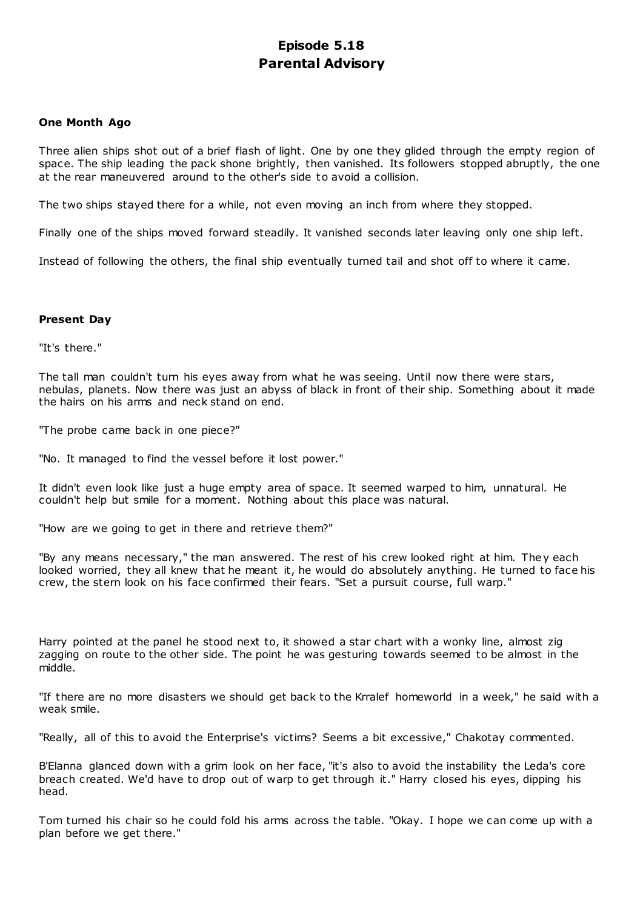# **Episode 5.18 Parental Advisory**

## **One Month Ago**

Three alien ships shot out of a brief flash of light. One by one they glided through the empty region of space. The ship leading the pack shone brightly, then vanished. Its followers stopped abruptly, the one at the rear maneuvered around to the other's side to avoid a collision.

The two ships stayed there for a while, not even moving an inch from where they stopped.

Finally one of the ships moved forward steadily. It vanished seconds later leaving only one ship left.

Instead of following the others, the final ship eventually turned tail and shot off to where it came.

## **Present Day**

"It's there."

The tall man couldn't turn his eyes away from what he was seeing. Until now there were stars, nebulas, planets. Now there was just an abyss of black in front of their ship. Something about it made the hairs on his arms and neck stand on end.

"The probe came back in one piece?"

"No. It managed to find the vessel before it lost power."

It didn't even look like just a huge empty area of space. It seemed warped to him, unnatural. He couldn't help but smile for a moment. Nothing about this place was natural.

"How are we going to get in there and retrieve them?"

"By any means necessary," the man answered. The rest of his crew looked right at him. They each looked worried, they all knew that he meant it, he would do absolutely anything. He turned to face his crew, the stern look on his face confirmed their fears. "Set a pursuit course, full warp."

Harry pointed at the panel he stood next to, it showed a star chart with a wonky line, almost zig zagging on route to the other side. The point he was gesturing towards seemed to be almost in the middle.

"If there are no more disasters we should get back to the Krralef homeworld in a week," he said with a weak smile.

"Really, all of this to avoid the Enterprise's victims? Seems a bit excessive," Chakotay commented.

B'Elanna glanced down with a grim look on her face, "it's also to avoid the instability the Leda's core breach created. We'd have to drop out of warp to get through it." Harry closed his eyes, dipping his head.

Tom turned his chair so he could fold his arms across the table. "Okay. I hope we can come up with a plan before we get there."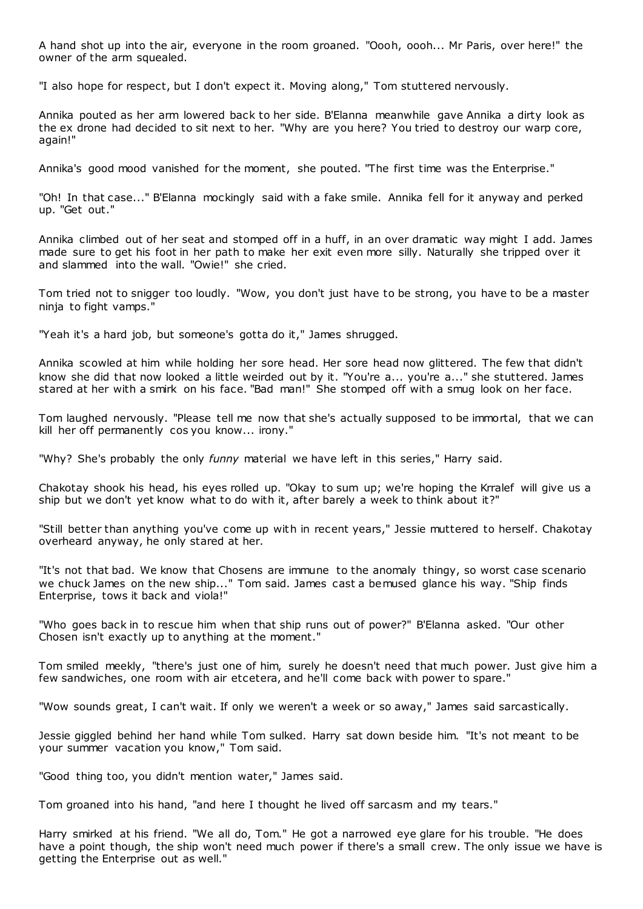A hand shot up into the air, everyone in the room groaned. "Oooh, oooh... Mr Paris, over here!" the owner of the arm squealed.

"I also hope for respect, but I don't expect it. Moving along," Tom stuttered nervously.

Annika pouted as her arm lowered back to her side. B'Elanna meanwhile gave Annika a dirty look as the ex drone had decided to sit next to her. "Why are you here? You tried to destroy our warp core, again!"

Annika's good mood vanished for the moment, she pouted. "The first time was the Enterprise."

"Oh! In that case..." B'Elanna mockingly said with a fake smile. Annika fell for it anyway and perked up. "Get out."

Annika climbed out of her seat and stomped off in a huff, in an over dramatic way might I add. James made sure to get his foot in her path to make her exit even more silly. Naturally she tripped over it and slammed into the wall. "Owie!" she cried.

Tom tried not to snigger too loudly. "Wow, you don't just have to be strong, you have to be a master ninja to fight vamps."

"Yeah it's a hard job, but someone's gotta do it," James shrugged.

Annika scowled at him while holding her sore head. Her sore head now glittered. The few that didn't know she did that now looked a little weirded out by it. "You're a... you're a..." she stuttered. James stared at her with a smirk on his face. "Bad man!" She stomped off with a smug look on her face.

Tom laughed nervously. "Please tell me now that she's actually supposed to be immortal, that we can kill her off permanently cos you know... irony."

"Why? She's probably the only *funny* material we have left in this series," Harry said.

Chakotay shook his head, his eyes rolled up. "Okay to sum up; we're hoping the Krralef will give us a ship but we don't yet know what to do with it, after barely a week to think about it?"

"Still better than anything you've come up with in recent years," Jessie muttered to herself. Chakotay overheard anyway, he only stared at her.

"It's not that bad. We know that Chosens are immune to the anomaly thingy, so worst case scenario we chuck James on the new ship..." Tom said. James cast a bemused glance his way. "Ship finds Enterprise, tows it back and viola!"

"Who goes back in to rescue him when that ship runs out of power?" B'Elanna asked. "Our other Chosen isn't exactly up to anything at the moment."

Tom smiled meekly, "there's just one of him, surely he doesn't need that much power. Just give him a few sandwiches, one room with air etcetera, and he'll come back with power to spare."

"Wow sounds great, I can't wait. If only we weren't a week or so away," James said sarcastically.

Jessie giggled behind her hand while Tom sulked. Harry sat down beside him. "It's not meant to be your summer vacation you know," Tom said.

"Good thing too, you didn't mention water," James said.

Tom groaned into his hand, "and here I thought he lived off sarcasm and my tears."

Harry smirked at his friend. "We all do, Tom." He got a narrowed eye glare for his trouble. "He does have a point though, the ship won't need much power if there's a small crew. The only issue we have is getting the Enterprise out as well."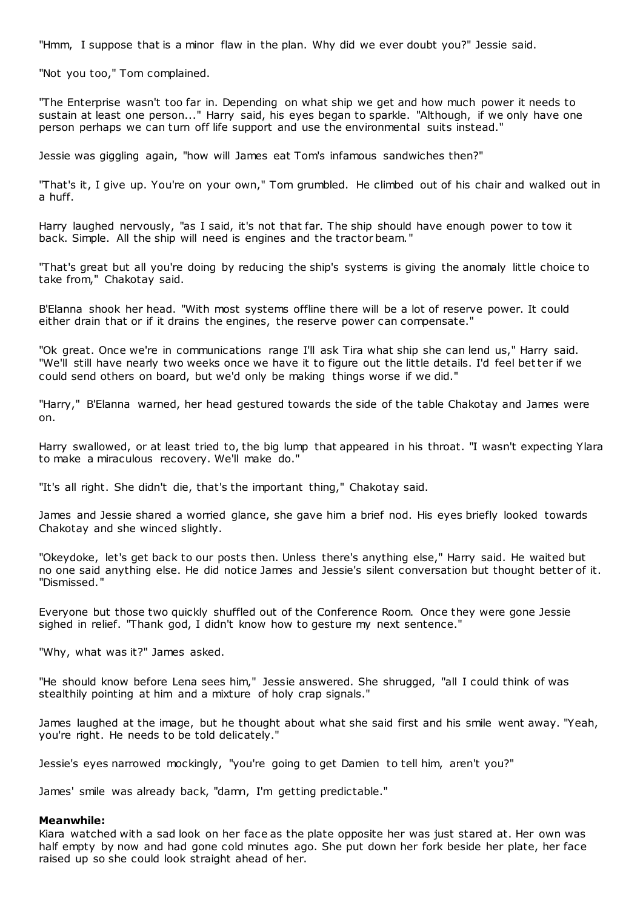"Hmm, I suppose that is a minor flaw in the plan. Why did we ever doubt you?" Jessie said.

"Not you too," Tom complained.

"The Enterprise wasn't too far in. Depending on what ship we get and how much power it needs to sustain at least one person..." Harry said, his eyes began to sparkle. "Although, if we only have one person perhaps we can turn off life support and use the environmental suits instead."

Jessie was giggling again, "how will James eat Tom's infamous sandwiches then?"

"That's it, I give up. You're on your own," Tom grumbled. He climbed out of his chair and walked out in a huff.

Harry laughed nervously, "as I said, it's not that far. The ship should have enough power to tow it back. Simple. All the ship will need is engines and the tractor beam."

"That's great but all you're doing by reducing the ship's systems is giving the anomaly little choice to take from," Chakotay said.

B'Elanna shook her head. "With most systems offline there will be a lot of reserve power. It could either drain that or if it drains the engines, the reserve power can compensate."

"Ok great. Once we're in communications range I'll ask Tira what ship she can lend us," Harry said. "We'll still have nearly two weeks once we have it to figure out the little details. I'd feel better if we could send others on board, but we'd only be making things worse if we did."

"Harry," B'Elanna warned, her head gestured towards the side of the table Chakotay and James were on.

Harry swallowed, or at least tried to, the big lump that appeared in his throat. "I wasn't expecting Ylara to make a miraculous recovery. We'll make do."

"It's all right. She didn't die, that's the important thing," Chakotay said.

James and Jessie shared a worried glance, she gave him a brief nod. His eyes briefly looked towards Chakotay and she winced slightly.

"Okeydoke, let's get back to our posts then. Unless there's anything else," Harry said. He waited but no one said anything else. He did notice James and Jessie's silent conversation but thought better of it. "Dismissed."

Everyone but those two quickly shuffled out of the Conference Room. Once they were gone Jessie sighed in relief. "Thank god, I didn't know how to gesture my next sentence."

"Why, what was it?" James asked.

"He should know before Lena sees him," Jessie answered. She shrugged, "all I could think of was stealthily pointing at him and a mixture of holy crap signals."

James laughed at the image, but he thought about what she said first and his smile went away. "Yeah, you're right. He needs to be told delicately."

Jessie's eyes narrowed mockingly, "you're going to get Damien to tell him, aren't you?"

James' smile was already back, "damn, I'm getting predictable."

#### **Meanwhile:**

Kiara watched with a sad look on her face as the plate opposite her was just stared at. Her own was half empty by now and had gone cold minutes ago. She put down her fork beside her plate, her face raised up so she could look straight ahead of her.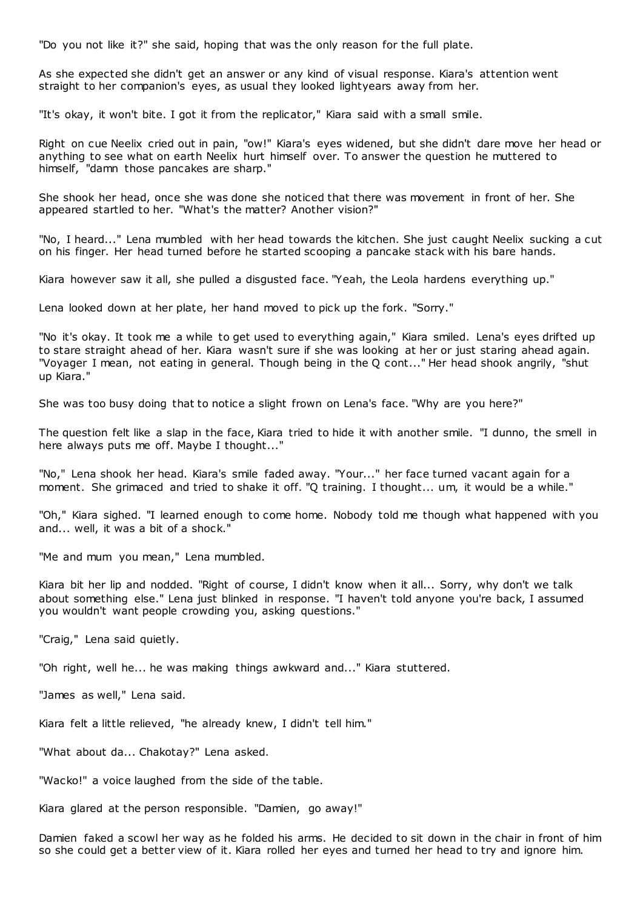"Do you not like it?" she said, hoping that was the only reason for the full plate.

As she expected she didn't get an answer or any kind of visual response. Kiara's attention went straight to her companion's eyes, as usual they looked lightyears away from her.

"It's okay, it won't bite. I got it from the replicator," Kiara said with a small smile.

Right on cue Neelix cried out in pain, "ow!" Kiara's eyes widened, but she didn't dare move her head or anything to see what on earth Neelix hurt himself over. To answer the question he muttered to himself, "damn those pancakes are sharp."

She shook her head, once she was done she noticed that there was movement in front of her. She appeared startled to her. "What's the matter? Another vision?"

"No, I heard..." Lena mumbled with her head towards the kitchen. She just caught Neelix sucking a cut on his finger. Her head turned before he started scooping a pancake stack with his bare hands.

Kiara however saw it all, she pulled a disgusted face. "Yeah, the Leola hardens everything up."

Lena looked down at her plate, her hand moved to pick up the fork. "Sorry."

"No it's okay. It took me a while to get used to everything again," Kiara smiled. Lena's eyes drifted up to stare straight ahead of her. Kiara wasn't sure if she was looking at her or just staring ahead again. "Voyager I mean, not eating in general. Though being in the Q cont..." Her head shook angrily, "shut up Kiara."

She was too busy doing that to notice a slight frown on Lena's face. "Why are you here?"

The question felt like a slap in the face, Kiara tried to hide it with another smile. "I dunno, the smell in here always puts me off. Maybe I thought..."

"No," Lena shook her head. Kiara's smile faded away. "Your..." her face turned vacant again for a moment. She grimaced and tried to shake it off. "Q training. I thought... um, it would be a while."

"Oh," Kiara sighed. "I learned enough to come home. Nobody told me though what happened with you and... well, it was a bit of a shock."

"Me and mum you mean," Lena mumbled.

Kiara bit her lip and nodded. "Right of course, I didn't know when it all... Sorry, why don't we talk about something else." Lena just blinked in response. "I haven't told anyone you're back, I assumed you wouldn't want people crowding you, asking questions."

"Craig," Lena said quietly.

"Oh right, well he... he was making things awkward and..." Kiara stuttered.

"James as well," Lena said.

Kiara felt a little relieved, "he already knew, I didn't tell him."

"What about da... Chakotay?" Lena asked.

"Wacko!" a voice laughed from the side of the table.

Kiara glared at the person responsible. "Damien, go away!"

Damien faked a scowl her way as he folded his arms. He decided to sit down in the chair in front of him so she could get a better view of it. Kiara rolled her eyes and turned her head to try and ignore him.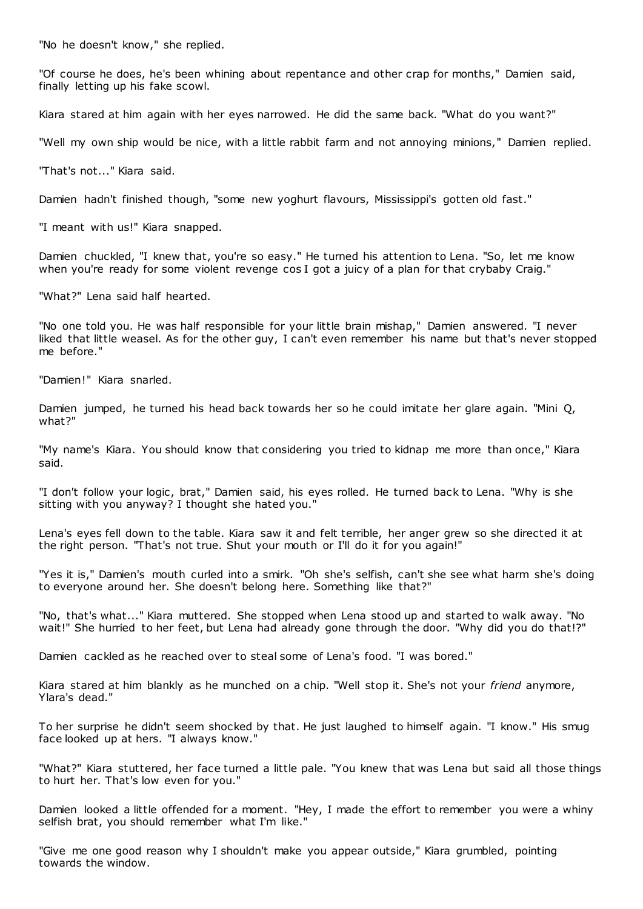"No he doesn't know," she replied.

"Of course he does, he's been whining about repentance and other crap for months," Damien said, finally letting up his fake scowl.

Kiara stared at him again with her eyes narrowed. He did the same back. "What do you want?"

"Well my own ship would be nice, with a little rabbit farm and not annoying minions," Damien replied.

"That's not..." Kiara said.

Damien hadn't finished though, "some new yoghurt flavours, Mississippi's gotten old fast."

"I meant with us!" Kiara snapped.

Damien chuckled, "I knew that, you're so easy." He turned his attention to Lena. "So, let me know when you're ready for some violent revenge cos I got a juicy of a plan for that crybaby Craig."

"What?" Lena said half hearted.

"No one told you. He was half responsible for your little brain mishap," Damien answered. "I never liked that little weasel. As for the other guy, I can't even remember his name but that's never stopped me before."

"Damien!" Kiara snarled.

Damien jumped, he turned his head back towards her so he could imitate her glare again. "Mini Q, what?"

"My name's Kiara. You should know that considering you tried to kidnap me more than once," Kiara said.

"I don't follow your logic, brat," Damien said, his eyes rolled. He turned back to Lena. "Why is she sitting with you anyway? I thought she hated you."

Lena's eyes fell down to the table. Kiara saw it and felt terrible, her anger grew so she directed it at the right person. "That's not true. Shut your mouth or I'll do it for you again!"

"Yes it is," Damien's mouth curled into a smirk. "Oh she's selfish, can't she see what harm she's doing to everyone around her. She doesn't belong here. Something like that?"

"No, that's what..." Kiara muttered. She stopped when Lena stood up and started to walk away. "No wait!" She hurried to her feet, but Lena had already gone through the door. "Why did you do that!?"

Damien cackled as he reached over to steal some of Lena's food. "I was bored."

Kiara stared at him blankly as he munched on a chip. "Well stop it. She's not your *friend* anymore, Ylara's dead."

To her surprise he didn't seem shocked by that. He just laughed to himself again. "I know." His smug face looked up at hers. "I always know."

"What?" Kiara stuttered, her face turned a little pale. "You knew that was Lena but said all those things to hurt her. That's low even for you."

Damien looked a little offended for a moment. "Hey, I made the effort to remember you were a whiny selfish brat, you should remember what I'm like."

"Give me one good reason why I shouldn't make you appear outside," Kiara grumbled, pointing towards the window.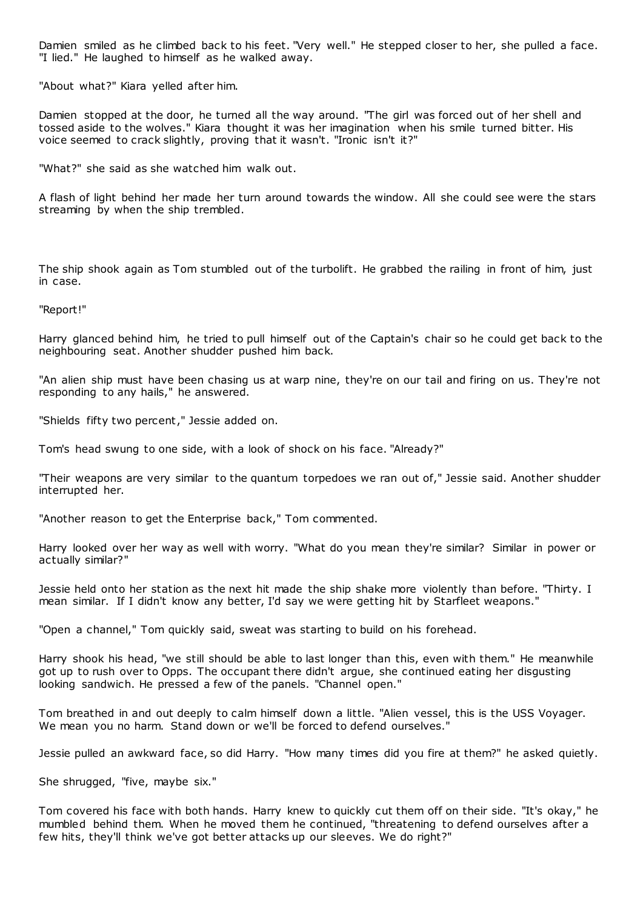Damien smiled as he climbed back to his feet. "Very well." He stepped closer to her, she pulled a face. "I lied." He laughed to himself as he walked away.

"About what?" Kiara yelled after him.

Damien stopped at the door, he turned all the way around. "The girl was forced out of her shell and tossed aside to the wolves." Kiara thought it was her imagination when his smile turned bitter. His voice seemed to crack slightly, proving that it wasn't. "Ironic isn't it?"

"What?" she said as she watched him walk out.

A flash of light behind her made her turn around towards the window. All she could see were the stars streaming by when the ship trembled.

The ship shook again as Tom stumbled out of the turbolift. He grabbed the railing in front of him, just in case.

"Report!"

Harry glanced behind him, he tried to pull himself out of the Captain's chair so he could get back to the neighbouring seat. Another shudder pushed him back.

"An alien ship must have been chasing us at warp nine, they're on our tail and firing on us. They're not responding to any hails," he answered.

"Shields fifty two percent," Jessie added on.

Tom's head swung to one side, with a look of shock on his face. "Already?"

"Their weapons are very similar to the quantum torpedoes we ran out of," Jessie said. Another shudder interrupted her.

"Another reason to get the Enterprise back," Tom commented.

Harry looked over her way as well with worry. "What do you mean they're similar? Similar in power or actually similar?"

Jessie held onto her station as the next hit made the ship shake more violently than before. "Thirty. I mean similar. If I didn't know any better, I'd say we were getting hit by Starfleet weapons."

"Open a channel," Tom quickly said, sweat was starting to build on his forehead.

Harry shook his head, "we still should be able to last longer than this, even with them." He meanwhile got up to rush over to Opps. The occupant there didn't argue, she continued eating her disgusting looking sandwich. He pressed a few of the panels. "Channel open."

Tom breathed in and out deeply to calm himself down a little. "Alien vessel, this is the USS Voyager. We mean you no harm. Stand down or we'll be forced to defend ourselves."

Jessie pulled an awkward face, so did Harry. "How many times did you fire at them?" he asked quietly.

She shrugged, "five, maybe six."

Tom covered his face with both hands. Harry knew to quickly cut them off on their side. "It's okay," he mumbled behind them. When he moved them he continued, "threatening to defend ourselves after a few hits, they'll think we've got better attacks up our sleeves. We do right?"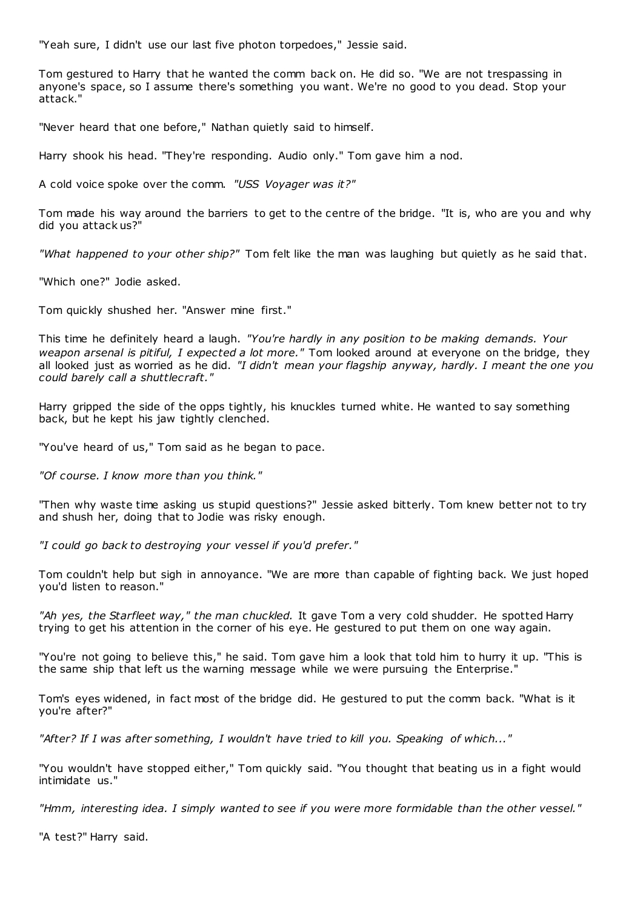"Yeah sure, I didn't use our last five photon torpedoes," Jessie said.

Tom gestured to Harry that he wanted the comm back on. He did so. "We are not trespassing in anyone's space, so I assume there's something you want. We're no good to you dead. Stop your attack."

"Never heard that one before," Nathan quietly said to himself.

Harry shook his head. "They're responding. Audio only." Tom gave him a nod.

A cold voice spoke over the comm. *"USS Voyager was it?"*

Tom made his way around the barriers to get to the centre of the bridge. "It is, who are you and why did you attack us?"

*"What happened to your other ship?"* Tom felt like the man was laughing but quietly as he said that.

"Which one?" Jodie asked.

Tom quickly shushed her. "Answer mine first."

This time he definitely heard a laugh. *"You're hardly in any position to be making demands. Your weapon arsenal is pitiful, I expected a lot more."* Tom looked around at everyone on the bridge, they all looked just as worried as he did. *"I didn't mean your flagship anyway, hardly. I meant the one you could barely call a shuttlecraft."*

Harry gripped the side of the opps tightly, his knuckles turned white. He wanted to say something back, but he kept his jaw tightly clenched.

"You've heard of us," Tom said as he began to pace.

*"Of course. I know more than you think."*

"Then why waste time asking us stupid questions?" Jessie asked bitterly. Tom knew better not to try and shush her, doing that to Jodie was risky enough.

*"I could go back to destroying your vessel if you'd prefer."*

Tom couldn't help but sigh in annoyance. "We are more than capable of fighting back. We just hoped you'd listen to reason."

*"Ah yes, the Starfleet way," the man chuckled.* It gave Tom a very cold shudder. He spotted Harry trying to get his attention in the corner of his eye. He gestured to put them on one way again.

"You're not going to believe this," he said. Tom gave him a look that told him to hurry it up. "This is the same ship that left us the warning message while we were pursuing the Enterprise."

Tom's eyes widened, in fact most of the bridge did. He gestured to put the comm back. "What is it you're after?"

*"After? If I was after something, I wouldn't have tried to kill you. Speaking of which..."*

"You wouldn't have stopped either," Tom quickly said. "You thought that beating us in a fight would intimidate us."

*"Hmm, interesting idea. I simply wanted to see if you were more formidable than the other vessel."*

"A test?" Harry said.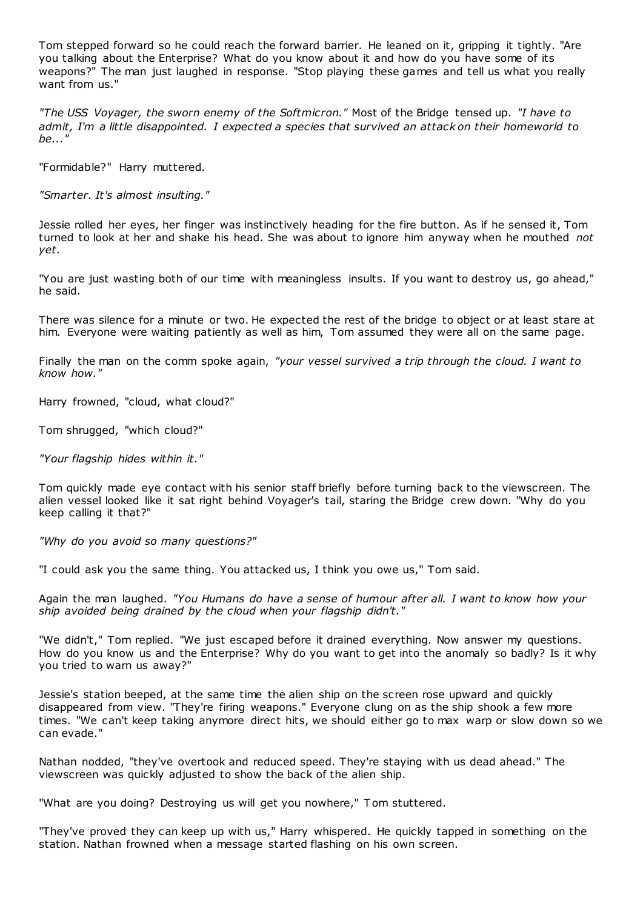Tom stepped forward so he could reach the forward barrier. He leaned on it, gripping it tightly. "Are you talking about the Enterprise? What do you know about it and how do you have some of its weapons?" The man just laughed in response. "Stop playing these games and tell us what you really want from us."

*"The USS Voyager, the sworn enemy of the Softmicron."* Most of the Bridge tensed up. *"I have to admit, I'm a little disappointed. I expected a species that survived an attack on their homeworld to be..."*

"Formidable?" Harry muttered.

*"Smarter. It's almost insulting."*

Jessie rolled her eyes, her finger was instinctively heading for the fire button. As if he sensed it, Tom turned to look at her and shake his head. She was about to ignore him anyway when he mouthed *not yet.*

"You are just wasting both of our time with meaningless insults. If you want to destroy us, go ahead," he said.

There was silence for a minute or two. He expected the rest of the bridge to object or at least stare at him. Everyone were waiting patiently as well as him, Tom assumed they were all on the same page.

Finally the man on the comm spoke again, *"your vessel survived a trip through the cloud. I want to know how."*

Harry frowned, "cloud, what cloud?"

Tom shrugged, "which cloud?"

*"Your flagship hides within it."*

Tom quickly made eye contact with his senior staff briefly before turning back to the viewscreen. The alien vessel looked like it sat right behind Voyager's tail, staring the Bridge crew down. "Why do you keep calling it that?"

*"Why do you avoid so many questions?"*

"I could ask you the same thing. You attacked us, I think you owe us," Tom said.

Again the man laughed. *"You Humans do have a sense of humour after all. I want to know how your ship avoided being drained by the cloud when your flagship didn't."*

"We didn't," Tom replied. "We just escaped before it drained everything. Now answer my questions. How do you know us and the Enterprise? Why do you want to get into the anomaly so badly? Is it why you tried to warn us away?"

Jessie's station beeped, at the same time the alien ship on the screen rose upward and quickly disappeared from view. "They're firing weapons." Everyone clung on as the ship shook a few more times. "We can't keep taking anymore direct hits, we should either go to max warp or slow down so we can evade."

Nathan nodded, "they've overtook and reduced speed. They're staying with us dead ahead." The viewscreen was quickly adjusted to show the back of the alien ship.

"What are you doing? Destroying us will get you nowhere," Tom stuttered.

"They've proved they can keep up with us," Harry whispered. He quickly tapped in something on the station. Nathan frowned when a message started flashing on his own screen.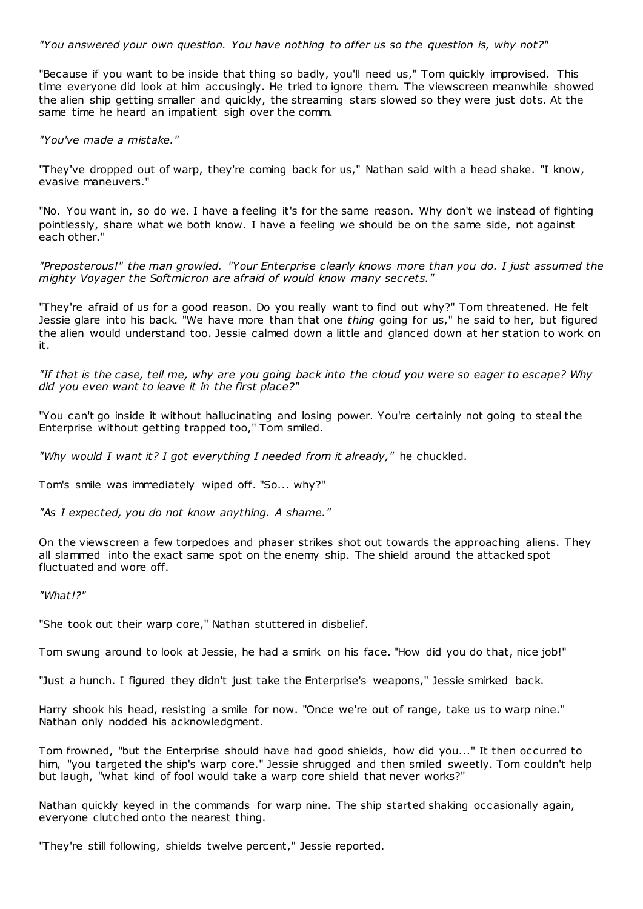*"You answered your own question. You have nothing to offer us so the question is, why not?"*

"Because if you want to be inside that thing so badly, you'll need us," Tom quickly improvised. This time everyone did look at him accusingly. He tried to ignore them. The viewscreen meanwhile showed the alien ship getting smaller and quickly, the streaming stars slowed so they were just dots. At the same time he heard an impatient sigh over the comm.

*"You've made a mistake."*

"They've dropped out of warp, they're coming back for us," Nathan said with a head shake. "I know, evasive maneuvers."

"No. You want in, so do we. I have a feeling it's for the same reason. Why don't we instead of fighting pointlessly, share what we both know. I have a feeling we should be on the same side, not against each other."

*"Preposterous!" the man growled. "Your Enterprise clearly knows more than you do. I just assumed the mighty Voyager the Softmicron are afraid of would know many secrets."*

"They're afraid of us for a good reason. Do you really want to find out why?" Tom threatened. He felt Jessie glare into his back. "We have more than that one *thing* going for us," he said to her, but figured the alien would understand too. Jessie calmed down a little and glanced down at her station to work on it.

*"If that is the case, tell me, why are you going back into the cloud you were so eager to escape? Why did you even want to leave it in the first place?"*

"You can't go inside it without hallucinating and losing power. You're certainly not going to steal the Enterprise without getting trapped too," Tom smiled.

*"Why would I want it? I got everything I needed from it already,"* he chuckled.

Tom's smile was immediately wiped off. "So... why?"

*"As I expected, you do not know anything. A shame."*

On the viewscreen a few torpedoes and phaser strikes shot out towards the approaching aliens. They all slammed into the exact same spot on the enemy ship. The shield around the attacked spot fluctuated and wore off.

*"What!?"*

"She took out their warp core," Nathan stuttered in disbelief.

Tom swung around to look at Jessie, he had a smirk on his face. "How did you do that, nice job!"

"Just a hunch. I figured they didn't just take the Enterprise's weapons," Jessie smirked back.

Harry shook his head, resisting a smile for now. "Once we're out of range, take us to warp nine." Nathan only nodded his acknowledgment.

Tom frowned, "but the Enterprise should have had good shields, how did you..." It then occurred to him, "you targeted the ship's warp core." Jessie shrugged and then smiled sweetly. Tom couldn't help but laugh, "what kind of fool would take a warp core shield that never works?"

Nathan quickly keyed in the commands for warp nine. The ship started shaking occasionally again, everyone clutched onto the nearest thing.

"They're still following, shields twelve percent," Jessie reported.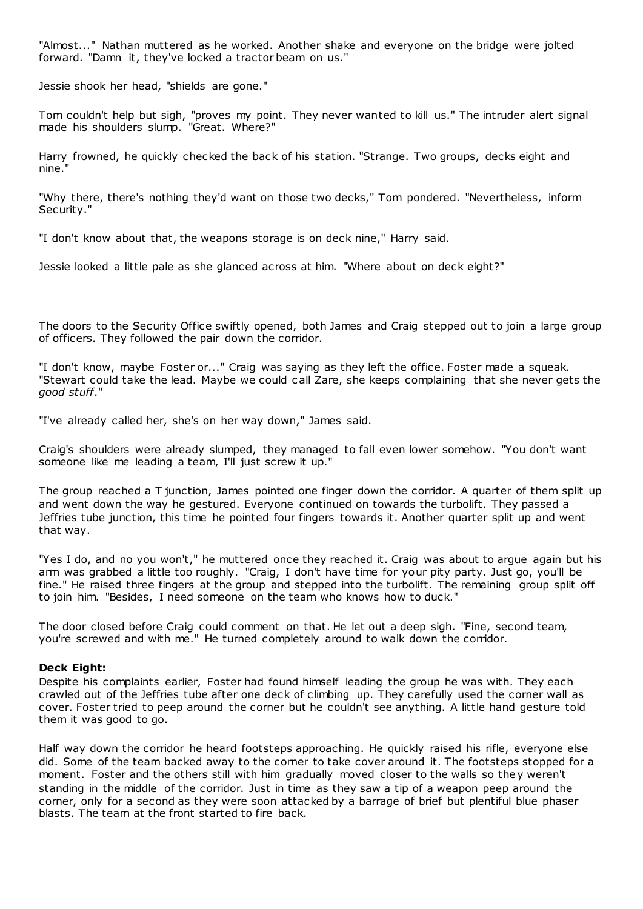"Almost..." Nathan muttered as he worked. Another shake and everyone on the bridge were jolted forward. "Damn it, they've locked a tractor beam on us."

Jessie shook her head, "shields are gone."

Tom couldn't help but sigh, "proves my point. They never wanted to kill us." The intruder alert signal made his shoulders slump. "Great. Where?"

Harry frowned, he quickly checked the back of his station. "Strange. Two groups, decks eight and nine."

"Why there, there's nothing they'd want on those two decks," Tom pondered. "Nevertheless, inform Security."

"I don't know about that, the weapons storage is on deck nine," Harry said.

Jessie looked a little pale as she glanced across at him. "Where about on deck eight?"

The doors to the Security Office swiftly opened, both James and Craig stepped out to join a large group of officers. They followed the pair down the corridor.

"I don't know, maybe Foster or..." Craig was saying as they left the office. Foster made a squeak. "Stewart could take the lead. Maybe we could c all Zare, she keeps complaining that she never gets the *good stuff*."

"I've already called her, she's on her way down," James said.

Craig's shoulders were already slumped, they managed to fall even lower somehow. "You don't want someone like me leading a team, I'll just screw it up."

The group reached a T junction, James pointed one finger down the corridor. A quarter of them split up and went down the way he gestured. Everyone continued on towards the turbolift. They passed a Jeffries tube junction, this time he pointed four fingers towards it. Another quarter split up and went that way.

"Yes I do, and no you won't," he muttered once they reached it. Craig was about to argue again but his arm was grabbed a little too roughly. "Craig, I don't have time for your pity party. Just go, you'll be fine." He raised three fingers at the group and stepped into the turbolift. The remaining group split off to join him. "Besides, I need someone on the team who knows how to duck."

The door closed before Craig could comment on that. He let out a deep sigh. "Fine, second team, you're screwed and with me." He turned completely around to walk down the corridor.

## **Deck Eight:**

Despite his complaints earlier, Foster had found himself leading the group he was with. They each crawled out of the Jeffries tube after one deck of climbing up. They carefully used the corner wall as cover. Foster tried to peep around the corner but he couldn't see anything. A little hand gesture told them it was good to go.

Half way down the corridor he heard footsteps approaching. He quickly raised his rifle, everyone else did. Some of the team backed away to the corner to take cover around it. The footsteps stopped for a moment. Foster and the others still with him gradually moved closer to the walls so they weren't standing in the middle of the corridor. Just in time as they saw a tip of a weapon peep around the corner, only for a second as they were soon attacked by a barrage of brief but plentiful blue phaser blasts. The team at the front started to fire back.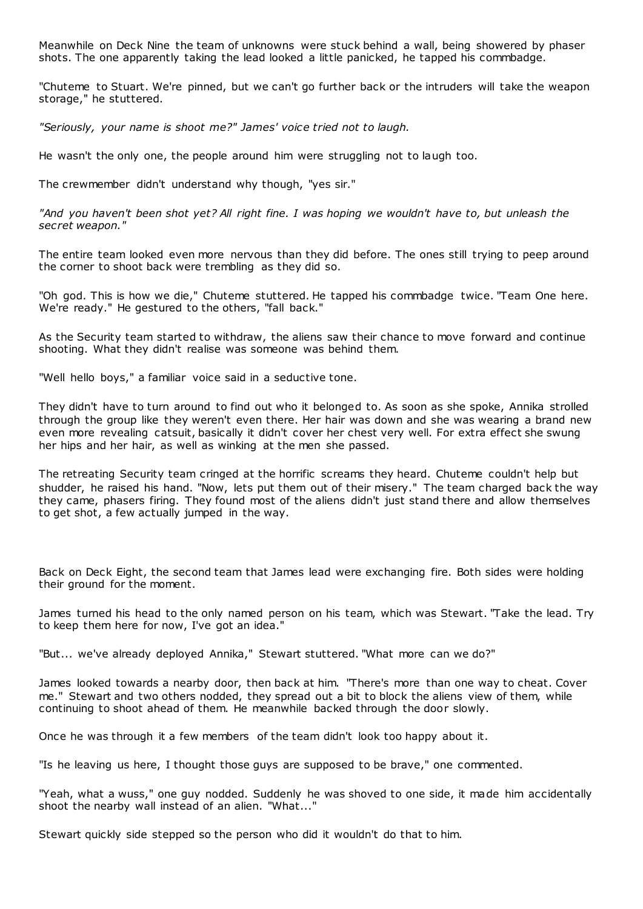Meanwhile on Deck Nine the team of unknowns were stuck behind a wall, being showered by phaser shots. The one apparently taking the lead looked a little panicked, he tapped his commbadge.

"Chuteme to Stuart. We're pinned, but we can't go further back or the intruders will take the weapon storage," he stuttered.

*"Seriously, your name is shoot me?" James' voice tried not to laugh.*

He wasn't the only one, the people around him were struggling not to laugh too.

The crewmember didn't understand why though, "yes sir."

*"And you haven't been shot yet? All right fine. I was hoping we wouldn't have to, but unleash the secret weapon."*

The entire team looked even more nervous than they did before. The ones still trying to peep around the corner to shoot back were trembling as they did so.

"Oh god. This is how we die," Chuteme stuttered. He tapped his commbadge twice. "Team One here. We're ready." He gestured to the others, "fall back."

As the Security team started to withdraw, the aliens saw their chance to move forward and continue shooting. What they didn't realise was someone was behind them.

"Well hello boys," a familiar voice said in a seductive tone.

They didn't have to turn around to find out who it belonged to. As soon as she spoke, Annika strolled through the group like they weren't even there. Her hair was down and she was wearing a brand new even more revealing catsuit, basically it didn't cover her chest very well. For extra effect she swung her hips and her hair, as well as winking at the men she passed.

The retreating Security team cringed at the horrific screams they heard. Chuteme couldn't help but shudder, he raised his hand. "Now, lets put them out of their misery." The team charged back the way they came, phasers firing. They found most of the aliens didn't just stand there and allow themselves to get shot, a few actually jumped in the way.

Back on Deck Eight, the second team that James lead were exchanging fire. Both sides were holding their ground for the moment.

James turned his head to the only named person on his team, which was Stewart. "Take the lead. Try to keep them here for now, I've got an idea."

"But... we've already deployed Annika," Stewart stuttered. "What more can we do?"

James looked towards a nearby door, then back at him. "There's more than one way to cheat. Cover me." Stewart and two others nodded, they spread out a bit to block the aliens view of them, while continuing to shoot ahead of them. He meanwhile backed through the door slowly.

Once he was through it a few members of the team didn't look too happy about it.

"Is he leaving us here, I thought those guys are supposed to be brave," one commented.

"Yeah, what a wuss," one guy nodded. Suddenly he was shoved to one side, it made him accidentally shoot the nearby wall instead of an alien. "What..."

Stewart quickly side stepped so the person who did it wouldn't do that to him.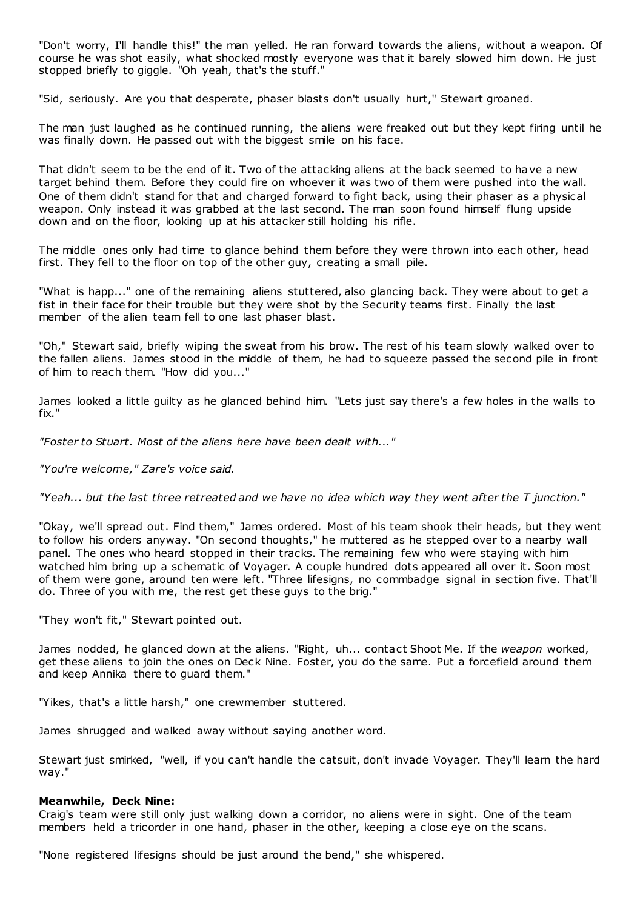"Don't worry, I'll handle this!" the man yelled. He ran forward towards the aliens, without a weapon. Of course he was shot easily, what shocked mostly everyone was that it barely slowed him down. He just stopped briefly to giggle. "Oh yeah, that's the stuff."

"Sid, seriously. Are you that desperate, phaser blasts don't usually hurt," Stewart groaned.

The man just laughed as he continued running, the aliens were freaked out but they kept firing until he was finally down. He passed out with the biggest smile on his face.

That didn't seem to be the end of it. Two of the attacking aliens at the back seemed to have a new target behind them. Before they could fire on whoever it was two of them were pushed into the wall. One of them didn't stand for that and charged forward to fight back, using their phaser as a physical weapon. Only instead it was grabbed at the last second. The man soon found himself flung upside down and on the floor, looking up at his attacker still holding his rifle.

The middle ones only had time to glance behind them before they were thrown into each other, head first. They fell to the floor on top of the other guy, creating a small pile.

"What is happ..." one of the remaining aliens stuttered, also glancing back. They were about to get a fist in their face for their trouble but they were shot by the Security teams first. Finally the last member of the alien team fell to one last phaser blast.

"Oh," Stewart said, briefly wiping the sweat from his brow. The rest of his team slowly walked over to the fallen aliens. James stood in the middle of them, he had to squeeze passed the second pile in front of him to reach them. "How did you..."

James looked a little guilty as he glanced behind him. "Lets just say there's a few holes in the walls to fix."

*"Foster to Stuart. Most of the aliens here have been dealt with..."*

*"You're welcome," Zare's voice said.*

*"Yeah... but the last three retreated and we have no idea which way they went after the T junction."*

"Okay, we'll spread out. Find them," James ordered. Most of his team shook their heads, but they went to follow his orders anyway. "On second thoughts," he muttered as he stepped over to a nearby wall panel. The ones who heard stopped in their tracks. The remaining few who were staying with him watched him bring up a schematic of Voyager. A couple hundred dots appeared all over it. Soon most of them were gone, around ten were left. "Three lifesigns, no commbadge signal in section five. That'll do. Three of you with me, the rest get these guys to the brig."

"They won't fit," Stewart pointed out.

James nodded, he glanced down at the aliens. "Right, uh... contact Shoot Me. If the *weapon* worked, get these aliens to join the ones on Deck Nine. Foster, you do the same. Put a forcefield around them and keep Annika there to guard them."

"Yikes, that's a little harsh," one crewmember stuttered.

James shrugged and walked away without saying another word.

Stewart just smirked, "well, if you can't handle the catsuit, don't invade Voyager. They'll learn the hard way."

#### **Meanwhile, Deck Nine:**

Craig's team were still only just walking down a corridor, no aliens were in sight. One of the team members held a tricorder in one hand, phaser in the other, keeping a close eye on the scans.

"None registered lifesigns should be just around the bend," she whispered.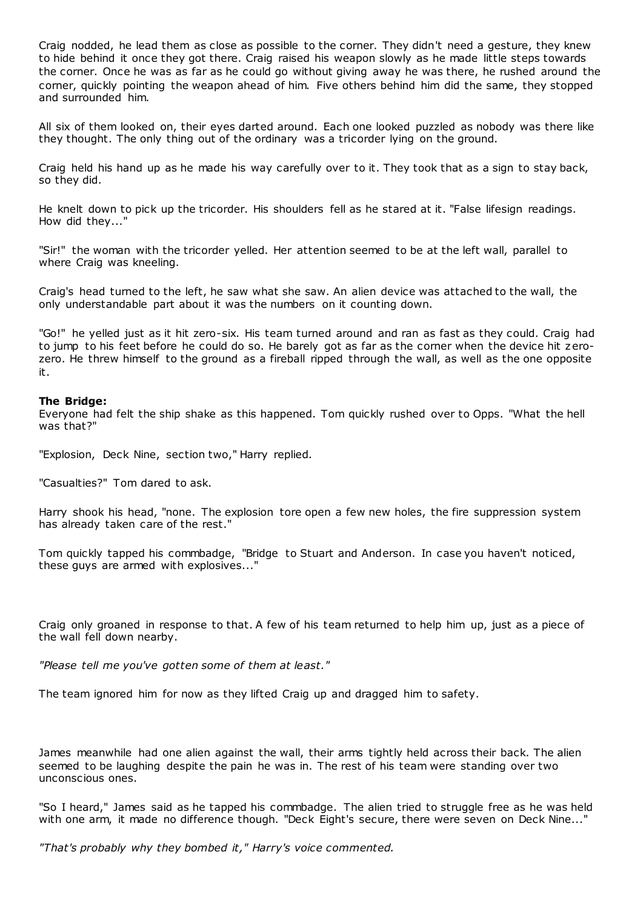Craig nodded, he lead them as close as possible to the corner. They didn't need a gesture, they knew to hide behind it once they got there. Craig raised his weapon slowly as he made little steps towards the corner. Once he was as far as he could go without giving away he was there, he rushed around the corner, quickly pointing the weapon ahead of him. Five others behind him did the same, they stopped and surrounded him.

All six of them looked on, their eyes darted around. Each one looked puzzled as nobody was there like they thought. The only thing out of the ordinary was a tricorder lying on the ground.

Craig held his hand up as he made his way carefully over to it. They took that as a sign to stay back, so they did.

He knelt down to pick up the tricorder. His shoulders fell as he stared at it. "False lifesign readings. How did they..."

"Sir!" the woman with the tricorder yelled. Her attention seemed to be at the left wall, parallel to where Craig was kneeling.

Craig's head turned to the left, he saw what she saw. An alien device was attached to the wall, the only understandable part about it was the numbers on it counting down.

"Go!" he yelled just as it hit zero-six. His team turned around and ran as fast as they could. Craig had to jump to his feet before he could do so. He barely got as far as the corner when the device hit zerozero. He threw himself to the ground as a fireball ripped through the wall, as well as the one opposite it.

#### **The Bridge:**

Everyone had felt the ship shake as this happened. Tom quickly rushed over to Opps. "What the hell was that?"

"Explosion, Deck Nine, section two," Harry replied.

"Casualties?" Tom dared to ask.

Harry shook his head, "none. The explosion tore open a few new holes, the fire suppression system has already taken care of the rest."

Tom quickly tapped his commbadge, "Bridge to Stuart and Anderson. In case you haven't noticed, these guys are armed with explosives..."

Craig only groaned in response to that. A few of his team returned to help him up, just as a piece of the wall fell down nearby.

*"Please tell me you've gotten some of them at least."*

The team ignored him for now as they lifted Craig up and dragged him to safety.

James meanwhile had one alien against the wall, their arms tightly held across their back. The alien seemed to be laughing despite the pain he was in. The rest of his team were standing over two unconscious ones.

"So I heard," James said as he tapped his commbadge. The alien tried to struggle free as he was held with one arm, it made no difference though. "Deck Eight's secure, there were seven on Deck Nine..."

*"That's probably why they bombed it," Harry's voice commented.*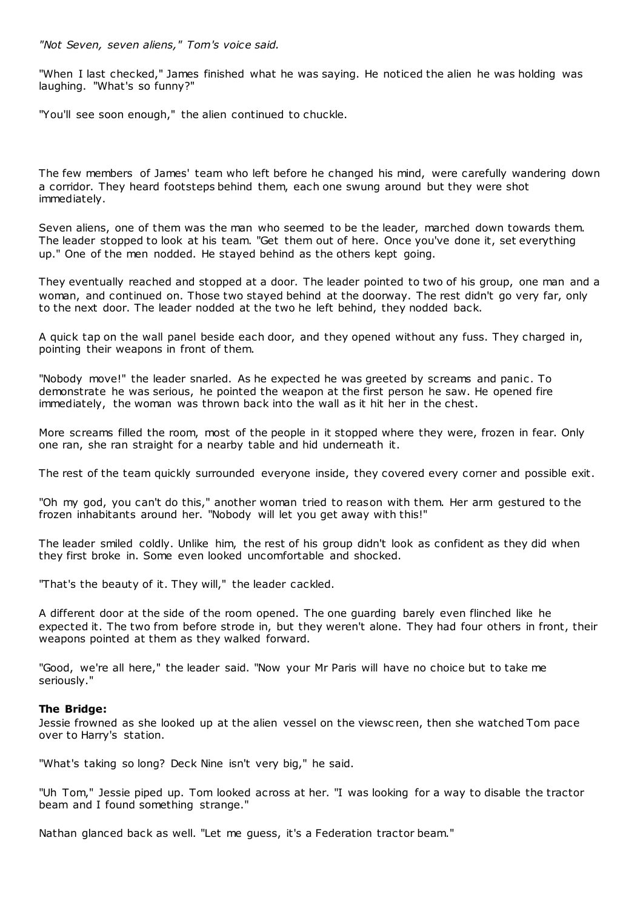*"Not Seven, seven aliens," Tom's voice said.*

"When I last checked," James finished what he was saying. He noticed the alien he was holding was laughing. "What's so funny?"

"You'll see soon enough," the alien continued to chuckle.

The few members of James' team who left before he changed his mind, were carefully wandering down a corridor. They heard footsteps behind them, each one swung around but they were shot immediately.

Seven aliens, one of them was the man who seemed to be the leader, marched down towards them. The leader stopped to look at his team. "Get them out of here. Once you've done it, set everything up." One of the men nodded. He stayed behind as the others kept going.

They eventually reached and stopped at a door. The leader pointed to two of his group, one man and a woman, and continued on. Those two stayed behind at the doorway. The rest didn't go very far, only to the next door. The leader nodded at the two he left behind, they nodded back.

A quick tap on the wall panel beside each door, and they opened without any fuss. They charged in, pointing their weapons in front of them.

"Nobody move!" the leader snarled. As he expected he was greeted by screams and panic . To demonstrate he was serious, he pointed the weapon at the first person he saw. He opened fire immediately, the woman was thrown back into the wall as it hit her in the chest.

More screams filled the room, most of the people in it stopped where they were, frozen in fear. Only one ran, she ran straight for a nearby table and hid underneath it.

The rest of the team quickly surrounded everyone inside, they covered every corner and possible exit.

"Oh my god, you can't do this," another woman tried to reason with them. Her arm gestured to the frozen inhabitants around her. "Nobody will let you get away with this!"

The leader smiled coldly. Unlike him, the rest of his group didn't look as confident as they did when they first broke in. Some even looked uncomfortable and shocked.

"That's the beauty of it. They will," the leader cackled.

A different door at the side of the room opened. The one guarding barely even flinched like he expected it. The two from before strode in, but they weren't alone. They had four others in front, their weapons pointed at them as they walked forward.

"Good, we're all here," the leader said. "Now your Mr Paris will have no choice but to take me seriously."

# **The Bridge:**

Jessie frowned as she looked up at the alien vessel on the viewsc reen, then she watched Tom pace over to Harry's station.

"What's taking so long? Deck Nine isn't very big," he said.

"Uh Tom," Jessie piped up. Tom looked across at her. "I was looking for a way to disable the tractor beam and I found something strange."

Nathan glanced back as well. "Let me guess, it's a Federation tractor beam."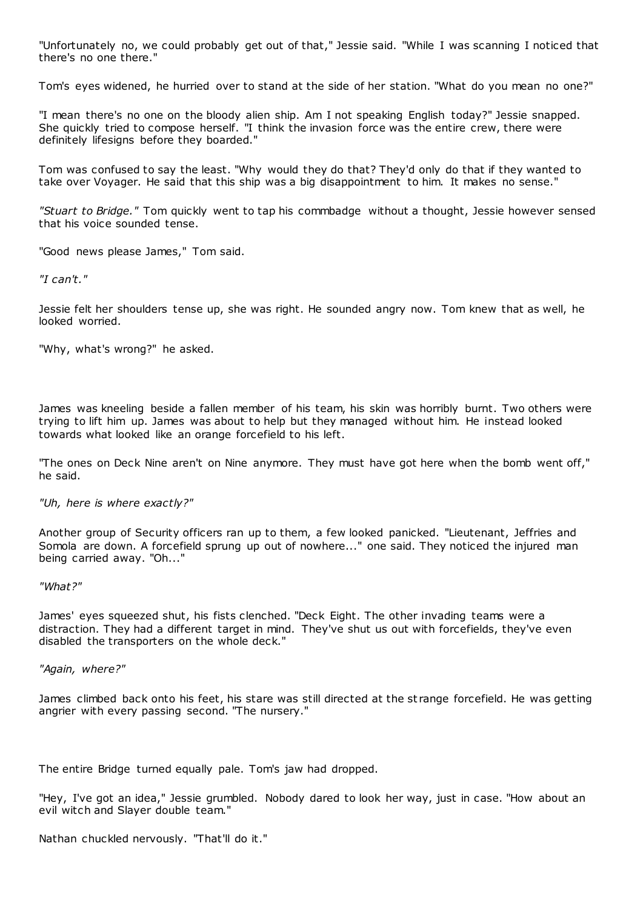"Unfortunately no, we could probably get out of that," Jessie said. "While I was scanning I noticed that there's no one there."

Tom's eyes widened, he hurried over to stand at the side of her station. "What do you mean no one?"

"I mean there's no one on the bloody alien ship. Am I not speaking English today?" Jessie snapped. She quickly tried to compose herself. "I think the invasion force was the entire crew, there were definitely lifesigns before they boarded."

Tom was confused to say the least. "Why would they do that? They'd only do that if they wanted to take over Voyager. He said that this ship was a big disappointment to him. It makes no sense."

*"Stuart to Bridge."* Tom quickly went to tap his commbadge without a thought, Jessie however sensed that his voice sounded tense.

"Good news please James," Tom said.

*"I can't."*

Jessie felt her shoulders tense up, she was right. He sounded angry now. Tom knew that as well, he looked worried.

"Why, what's wrong?" he asked.

James was kneeling beside a fallen member of his team, his skin was horribly burnt. Two others were trying to lift him up. James was about to help but they managed without him. He instead looked towards what looked like an orange forcefield to his left.

"The ones on Deck Nine aren't on Nine anymore. They must have got here when the bomb went off," he said.

#### *"Uh, here is where exactly?"*

Another group of Security officers ran up to them, a few looked panicked. "Lieutenant, Jeffries and Somola are down. A forcefield sprung up out of nowhere..." one said. They noticed the injured man being carried away. "Oh..."

#### *"What?"*

James' eyes squeezed shut, his fists clenched. "Deck Eight. The other invading teams were a distraction. They had a different target in mind. They've shut us out with forcefields, they've even disabled the transporters on the whole deck."

*"Again, where?"*

James climbed back onto his feet, his stare was still directed at the st range forcefield. He was getting angrier with every passing second. "The nursery."

The entire Bridge turned equally pale. Tom's jaw had dropped.

"Hey, I've got an idea," Jessie grumbled. Nobody dared to look her way, just in case. "How about an evil witch and Slayer double team."

Nathan chuckled nervously. "That'll do it."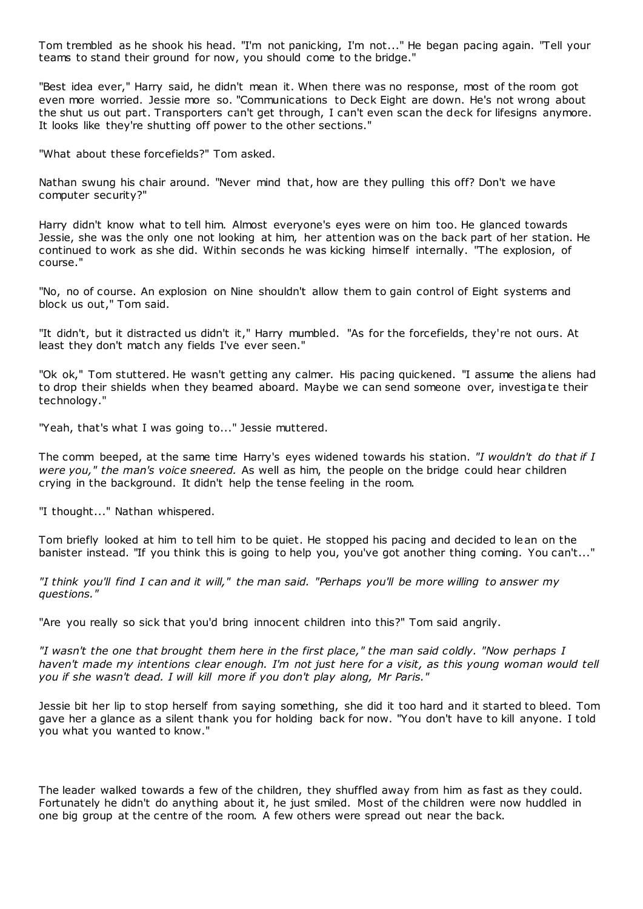Tom trembled as he shook his head. "I'm not panicking, I'm not..." He began pacing again. "Tell your teams to stand their ground for now, you should come to the bridge."

"Best idea ever," Harry said, he didn't mean it. When there was no response, most of the room got even more worried. Jessie more so. "Communications to Deck Eight are down. He's not wrong about the shut us out part. Transporters can't get through, I can't even scan the deck for lifesigns anymore. It looks like they're shutting off power to the other sections."

"What about these forcefields?" Tom asked.

Nathan swung his chair around. "Never mind that, how are they pulling this off? Don't we have computer security?"

Harry didn't know what to tell him. Almost everyone's eyes were on him too. He glanced towards Jessie, she was the only one not looking at him, her attention was on the back part of her station. He continued to work as she did. Within seconds he was kicking himself internally. "The explosion, of course."

"No, no of course. An explosion on Nine shouldn't allow them to gain control of Eight systems and block us out," Tom said.

"It didn't, but it distracted us didn't it," Harry mumbled. "As for the forcefields, they're not ours. At least they don't match any fields I've ever seen."

"Ok ok," Tom stuttered. He wasn't getting any calmer. His pacing quickened. "I assume the aliens had to drop their shields when they beamed aboard. Maybe we can send someone over, investigate their technology."

"Yeah, that's what I was going to..." Jessie muttered.

The comm beeped, at the same time Harry's eyes widened towards his station. *"I wouldn't do that if I were you," the man's voice sneered.* As well as him, the people on the bridge could hear children crying in the background. It didn't help the tense feeling in the room.

"I thought..." Nathan whispered.

Tom briefly looked at him to tell him to be quiet. He stopped his pacing and decided to lean on the banister instead. "If you think this is going to help you, you've got another thing coming. You can't..."

*"I think you'll find I can and it will," the man said. "Perhaps you'll be more willing to answer my questions."*

"Are you really so sick that you'd bring innocent children into this?" Tom said angrily.

*"I wasn't the one that brought them here in the first place," the man said coldly. "Now perhaps I haven't made my intentions clear enough. I'm not just here for a visit, as this young woman would tell you if she wasn't dead. I will kill more if you don't play along, Mr Paris."*

Jessie bit her lip to stop herself from saying something, she did it too hard and it started to bleed. Tom gave her a glance as a silent thank you for holding back for now. "You don't have to kill anyone. I told you what you wanted to know."

The leader walked towards a few of the children, they shuffled away from him as fast as they could. Fortunately he didn't do anything about it, he just smiled. Most of the children were now huddled in one big group at the centre of the room. A few others were spread out near the back.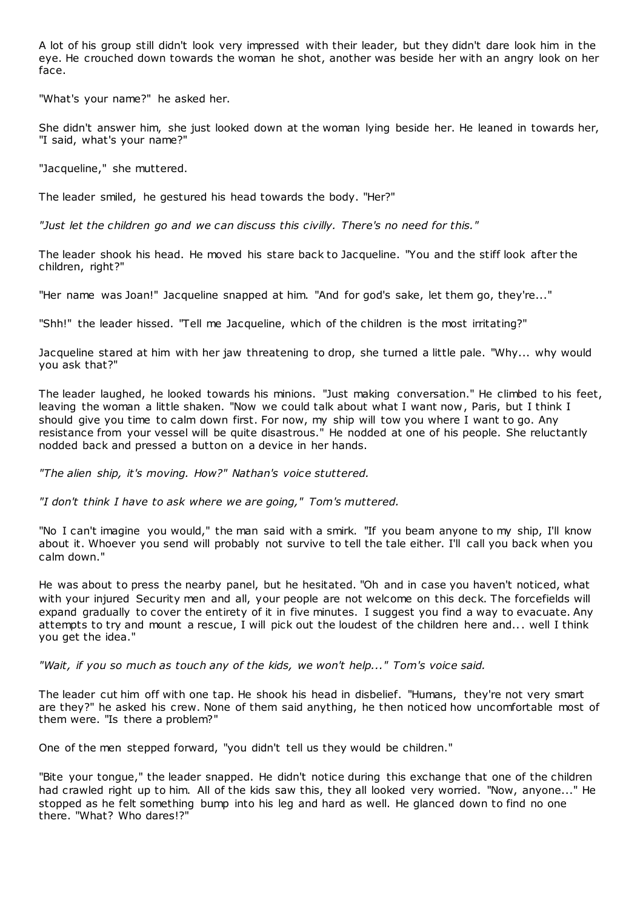A lot of his group still didn't look very impressed with their leader, but they didn't dare look him in the eye. He crouched down towards the woman he shot, another was beside her with an angry look on her face.

"What's your name?" he asked her.

She didn't answer him, she just looked down at the woman lying beside her. He leaned in towards her, "I said, what's your name?"

"Jacqueline," she muttered.

The leader smiled, he gestured his head towards the body. "Her?"

*"Just let the children go and we can discuss this civilly. There's no need for this."*

The leader shook his head. He moved his stare back to Jacqueline. "You and the stiff look after the children, right?"

"Her name was Joan!" Jacqueline snapped at him. "And for god's sake, let them go, they're..."

"Shh!" the leader hissed. "Tell me Jacqueline, which of the children is the most irritating?"

Jacqueline stared at him with her jaw threatening to drop, she turned a little pale. "Why... why would you ask that?"

The leader laughed, he looked towards his minions. "Just making conversation." He climbed to his feet, leaving the woman a little shaken. "Now we could talk about what I want now, Paris, but I think I should give you time to calm down first. For now, my ship will tow you where I want to go. Any resistance from your vessel will be quite disastrous." He nodded at one of his people. She reluctantly nodded back and pressed a button on a device in her hands.

*"The alien ship, it's moving. How?" Nathan's voice stuttered.*

*"I don't think I have to ask where we are going," Tom's muttered.*

"No I can't imagine you would," the man said with a smirk. "If you beam anyone to my ship, I'll know about it. Whoever you send will probably not survive to tell the tale either. I'll call you back when you calm down."

He was about to press the nearby panel, but he hesitated. "Oh and in case you haven't noticed, what with your injured Security men and all, your people are not welcome on this deck. The forcefields will expand gradually to cover the entirety of it in five minutes. I suggest you find a way to evacuate. Any attempts to try and mount a rescue, I will pick out the loudest of the children here and... well I think you get the idea."

*"Wait, if you so much as touch any of the kids, we won't help..." Tom's voice said.*

The leader cut him off with one tap. He shook his head in disbelief. "Humans, they're not very smart are they?" he asked his crew. None of them said anything, he then noticed how uncomfortable most of them were. "Is there a problem?"

One of the men stepped forward, "you didn't tell us they would be children."

"Bite your tongue," the leader snapped. He didn't notice during this exchange that one of the children had crawled right up to him. All of the kids saw this, they all looked very worried. "Now, anyone..." He stopped as he felt something bump into his leg and hard as well. He glanced down to find no one there. "What? Who dares!?"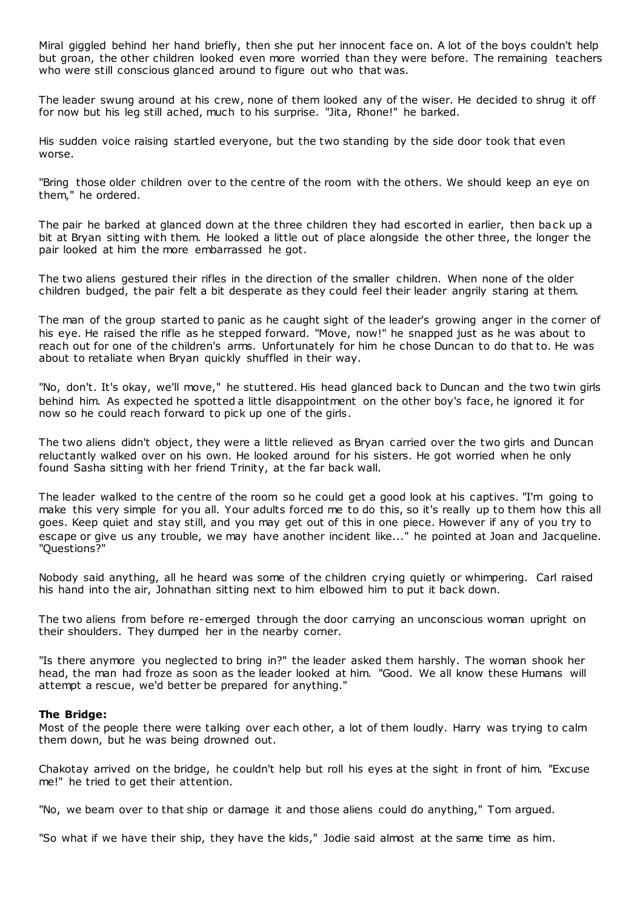Miral giggled behind her hand briefly, then she put her innocent face on. A lot of the boys couldn't help but groan, the other children looked even more worried than they were before. The remaining teachers who were still conscious glanced around to figure out who that was.

The leader swung around at his crew, none of them looked any of the wiser. He decided to shrug it off for now but his leg still ached, much to his surprise. "Jita, Rhone!" he barked.

His sudden voice raising startled everyone, but the two standing by the side door took that even worse.

"Bring those older children over to the centre of the room with the others. We should keep an eye on them," he ordered.

The pair he barked at glanced down at the three children they had escorted in earlier, then back up a bit at Bryan sitting with them. He looked a little out of place alongside the other three, the longer the pair looked at him the more embarrassed he got.

The two aliens gestured their rifles in the direction of the smaller children. When none of the older children budged, the pair felt a bit desperate as they could feel their leader angrily staring at them.

The man of the group started to panic as he caught sight of the leader's growing anger in the corner of his eye. He raised the rifle as he stepped forward. "Move, now!" he snapped just as he was about to reach out for one of the children's arms. Unfortunately for him he chose Duncan to do that to. He was about to retaliate when Bryan quickly shuffled in their way.

"No, don't. It's okay, we'll move," he stuttered. His head glanced back to Duncan and the two twin girls behind him. As expected he spotted a little disappointment on the other boy's face, he ignored it for now so he could reach forward to pick up one of the girls.

The two aliens didn't object, they were a little relieved as Bryan carried over the two girls and Duncan reluctantly walked over on his own. He looked around for his sisters. He got worried when he only found Sasha sitting with her friend Trinity, at the far back wall.

The leader walked to the centre of the room so he could get a good look at his captives. "I'm going to make this very simple for you all. Your adults forced me to do this, so it's really up to them how this all goes. Keep quiet and stay still, and you may get out of this in one piece. However if any of you try to escape or give us any trouble, we may have another incident like..." he pointed at Joan and Jacqueline. "Questions?"

Nobody said anything, all he heard was some of the children crying quietly or whimpering. Carl raised his hand into the air, Johnathan sitting next to him elbowed him to put it back down.

The two aliens from before re-emerged through the door carrying an unconscious woman upright on their shoulders. They dumped her in the nearby corner.

"Is there anymore you neglected to bring in?" the leader asked them harshly. The woman shook her head, the man had froze as soon as the leader looked at him. "Good. We all know these Humans will attempt a rescue, we'd better be prepared for anything."

#### **The Bridge:**

Most of the people there were talking over each other, a lot of them loudly. Harry was trying to calm them down, but he was being drowned out.

Chakotay arrived on the bridge, he couldn't help but roll his eyes at the sight in front of him. "Excuse me!" he tried to get their attention.

"No, we beam over to that ship or damage it and those aliens could do anything," Tom argued.

"So what if we have their ship, they have the kids," Jodie said almost at the same time as him.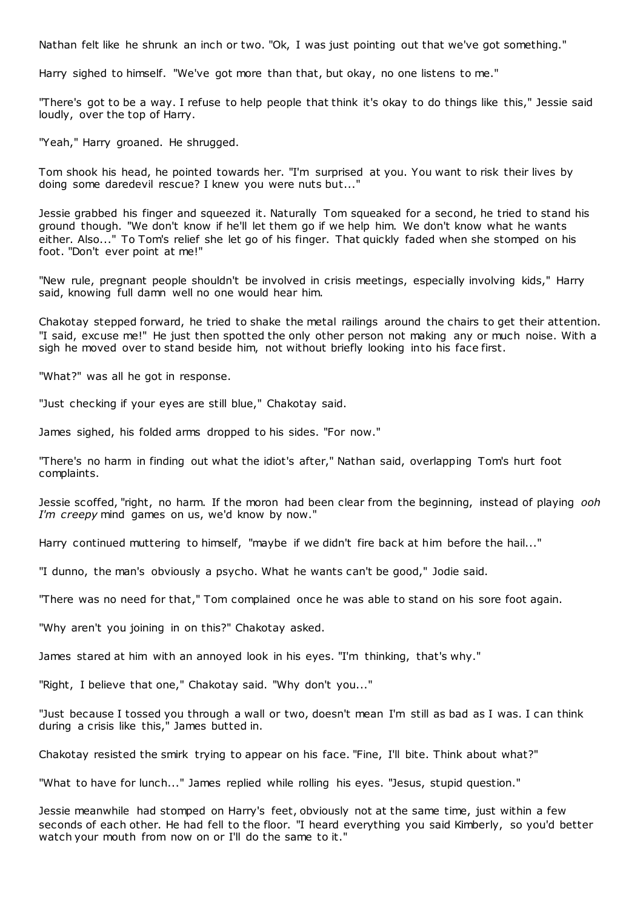Nathan felt like he shrunk an inch or two. "Ok, I was just pointing out that we've got something."

Harry sighed to himself. "We've got more than that, but okay, no one listens to me."

"There's got to be a way. I refuse to help people that think it's okay to do things like this," Jessie said loudly, over the top of Harry.

"Yeah," Harry groaned. He shrugged.

Tom shook his head, he pointed towards her. "I'm surprised at you. You want to risk their lives by doing some daredevil rescue? I knew you were nuts but..."

Jessie grabbed his finger and squeezed it. Naturally Tom squeaked for a second, he tried to stand his ground though. "We don't know if he'll let them go if we help him. We don't know what he wants either. Also..." To Tom's relief she let go of his finger. That quickly faded when she stomped on his foot. "Don't ever point at me!"

"New rule, pregnant people shouldn't be involved in crisis meetings, especially involving kids," Harry said, knowing full damn well no one would hear him.

Chakotay stepped forward, he tried to shake the metal railings around the chairs to get their attention. "I said, excuse me!" He just then spotted the only other person not making any or much noise. With a sigh he moved over to stand beside him, not without briefly looking into his face first.

"What?" was all he got in response.

"Just checking if your eyes are still blue," Chakotay said.

James sighed, his folded arms dropped to his sides. "For now."

"There's no harm in finding out what the idiot's after," Nathan said, overlapping Tom's hurt foot complaints.

Jessie scoffed, "right, no harm. If the moron had been clear from the beginning, instead of playing *ooh I'm creepy* mind games on us, we'd know by now."

Harry continued muttering to himself, "maybe if we didn't fire back at him before the hail..."

"I dunno, the man's obviously a psycho. What he wants can't be good," Jodie said.

"There was no need for that," Tom complained once he was able to stand on his sore foot again.

"Why aren't you joining in on this?" Chakotay asked.

James stared at him with an annoyed look in his eyes. "I'm thinking, that's why."

"Right, I believe that one," Chakotay said. "Why don't you..."

"Just because I tossed you through a wall or two, doesn't mean I'm still as bad as I was. I can think during a crisis like this," James butted in.

Chakotay resisted the smirk trying to appear on his face. "Fine, I'll bite. Think about what?"

"What to have for lunch..." James replied while rolling his eyes. "Jesus, stupid question."

Jessie meanwhile had stomped on Harry's feet, obviously not at the same time, just within a few seconds of each other. He had fell to the floor. "I heard everything you said Kimberly, so you'd better watch your mouth from now on or I'll do the same to it."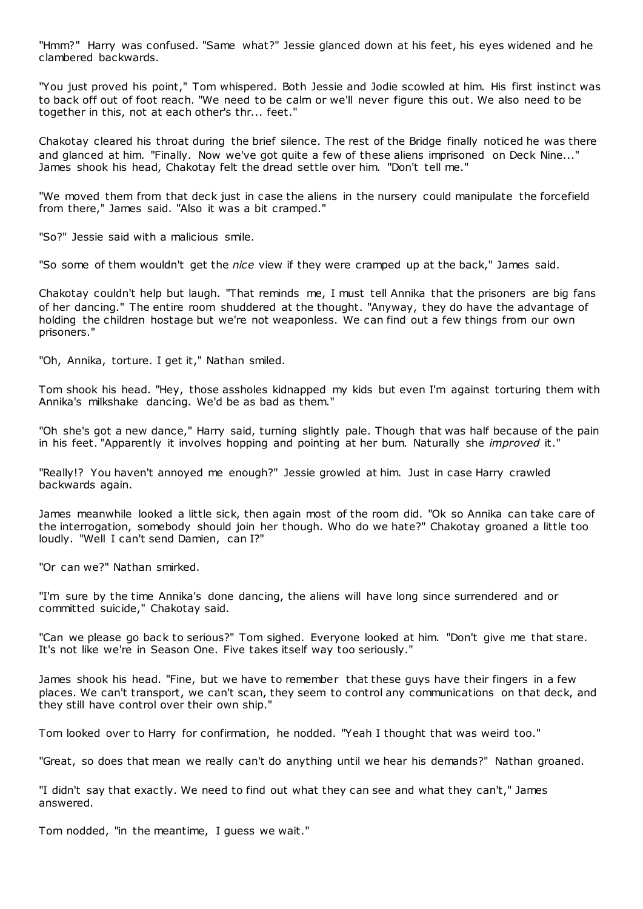"Hmm?" Harry was confused. "Same what?" Jessie glanced down at his feet, his eyes widened and he clambered backwards.

"You just proved his point," Tom whispered. Both Jessie and Jodie scowled at him. His first instinct was to back off out of foot reach. "We need to be calm or we'll never figure this out. We also need to be together in this, not at each other's thr... feet."

Chakotay cleared his throat during the brief silence. The rest of the Bridge finally noticed he was there and glanced at him. "Finally. Now we've got quite a few of these aliens imprisoned on Deck Nine..." James shook his head, Chakotay felt the dread settle over him. "Don't tell me."

"We moved them from that deck just in case the aliens in the nursery could manipulate the forcefield from there," James said. "Also it was a bit cramped."

"So?" Jessie said with a malicious smile.

"So some of them wouldn't get the *nice* view if they were cramped up at the back," James said.

Chakotay couldn't help but laugh. "That reminds me, I must tell Annika that the prisoners are big fans of her dancing." The entire room shuddered at the thought. "Anyway, they do have the advantage of holding the children hostage but we're not weaponless. We can find out a few things from our own prisoners."

"Oh, Annika, torture. I get it," Nathan smiled.

Tom shook his head. "Hey, those assholes kidnapped my kids but even I'm against torturing them with Annika's milkshake dancing. We'd be as bad as them."

"Oh she's got a new dance," Harry said, turning slightly pale. Though that was half because of the pain in his feet. "Apparently it involves hopping and pointing at her bum. Naturally she *improved* it."

"Really!? You haven't annoyed me enough?" Jessie growled at him. Just in case Harry crawled backwards again.

James meanwhile looked a little sick, then again most of the room did. "Ok so Annika can take care of the interrogation, somebody should join her though. Who do we hate?" Chakotay groaned a little too loudly. "Well I can't send Damien, can I?"

"Or can we?" Nathan smirked.

"I'm sure by the time Annika's done dancing, the aliens will have long since surrendered and or committed suicide," Chakotay said.

"Can we please go back to serious?" Tom sighed. Everyone looked at him. "Don't give me that stare. It's not like we're in Season One. Five takes itself way too seriously."

James shook his head. "Fine, but we have to remember that these guys have their fingers in a few places. We can't transport, we can't scan, they seem to control any communications on that deck, and they still have control over their own ship."

Tom looked over to Harry for confirmation, he nodded. "Yeah I thought that was weird too."

"Great, so does that mean we really can't do anything until we hear his demands?" Nathan groaned.

"I didn't say that exactly. We need to find out what they can see and what they can't," James answered.

Tom nodded, "in the meantime, I guess we wait."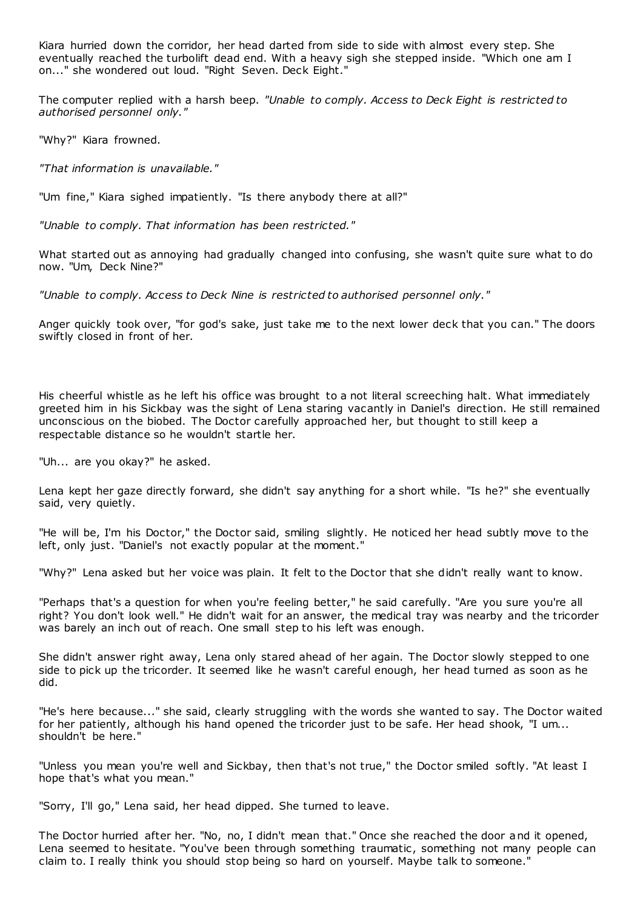Kiara hurried down the corridor, her head darted from side to side with almost every step. She eventually reached the turbolift dead end. With a heavy sigh she stepped inside. "Which one am I on..." she wondered out loud. "Right Seven. Deck Eight."

The computer replied with a harsh beep. *"Unable to comply. Access to Deck Eight is restricted to authorised personnel only."*

"Why?" Kiara frowned.

*"That information is unavailable."*

"Um fine," Kiara sighed impatiently. "Is there anybody there at all?"

*"Unable to comply. That information has been restricted."*

What started out as annoying had gradually changed into confusing, she wasn't quite sure what to do now. "Um, Deck Nine?"

*"Unable to comply. Access to Deck Nine is restricted to authorised personnel only."*

Anger quickly took over, "for god's sake, just take me to the next lower deck that you can." The doors swiftly closed in front of her.

His cheerful whistle as he left his office was brought to a not literal screeching halt. What immediately greeted him in his Sickbay was the sight of Lena staring vacantly in Daniel's direction. He still remained unconscious on the biobed. The Doctor carefully approached her, but thought to still keep a respectable distance so he wouldn't startle her.

"Uh... are you okay?" he asked.

Lena kept her gaze directly forward, she didn't say anything for a short while. "Is he?" she eventually said, very quietly.

"He will be, I'm his Doctor," the Doctor said, smiling slightly. He noticed her head subtly move to the left, only just. "Daniel's not exactly popular at the moment."

"Why?" Lena asked but her voice was plain. It felt to the Doctor that she didn't really want to know.

"Perhaps that's a question for when you're feeling better," he said carefully. "Are you sure you're all right? You don't look well." He didn't wait for an answer, the medical tray was nearby and the tricorder was barely an inch out of reach. One small step to his left was enough.

She didn't answer right away, Lena only stared ahead of her again. The Doctor slowly stepped to one side to pick up the tricorder. It seemed like he wasn't careful enough, her head turned as soon as he did.

"He's here because..." she said, clearly struggling with the words she wanted to say. The Doctor waited for her patiently, although his hand opened the tricorder just to be safe. Her head shook, "I um... shouldn't be here."

"Unless you mean you're well and Sickbay, then that's not true," the Doctor smiled softly. "At least I hope that's what you mean."

"Sorry, I'll go," Lena said, her head dipped. She turned to leave.

The Doctor hurried after her. "No, no, I didn't mean that." Once she reached the door and it opened, Lena seemed to hesitate. "You've been through something traumatic, something not many people can claim to. I really think you should stop being so hard on yourself. Maybe talk to someone."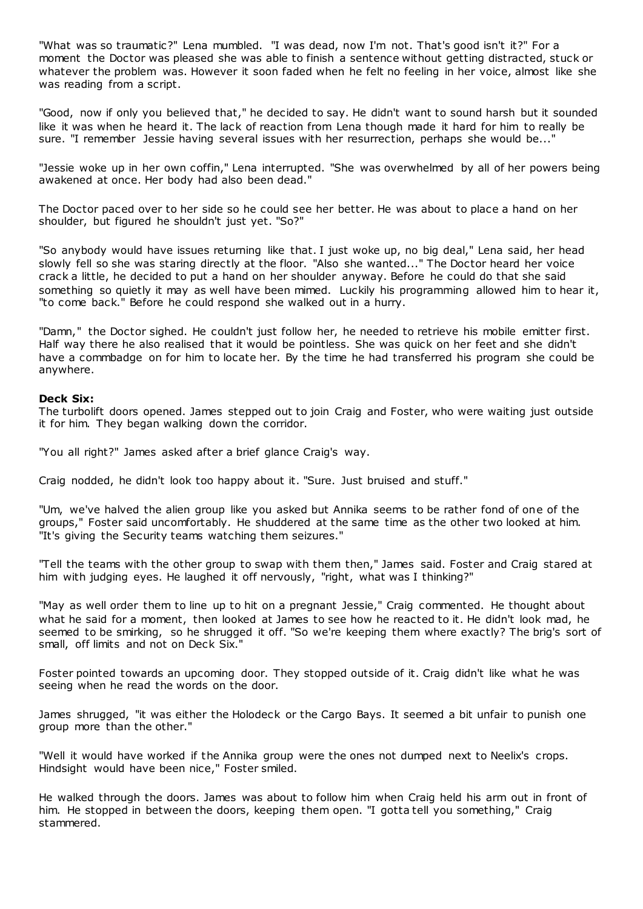"What was so traumatic?" Lena mumbled. "I was dead, now I'm not. That's good isn't it?" For a moment the Doctor was pleased she was able to finish a sentence without getting distracted, stuck or whatever the problem was. However it soon faded when he felt no feeling in her voice, almost like she was reading from a script.

"Good, now if only you believed that," he decided to say. He didn't want to sound harsh but it sounded like it was when he heard it. The lack of reaction from Lena though made it hard for him to really be sure. "I remember Jessie having several issues with her resurrection, perhaps she would be..."

"Jessie woke up in her own coffin," Lena interrupted. "She was overwhelmed by all of her powers being awakened at once. Her body had also been dead."

The Doctor paced over to her side so he could see her better. He was about to place a hand on her shoulder, but figured he shouldn't just yet. "So?"

"So anybody would have issues returning like that. I just woke up, no big deal," Lena said, her head slowly fell so she was staring directly at the floor. "Also she wanted..." The Doctor heard her voice crack a little, he decided to put a hand on her shoulder anyway. Before he could do that she said something so quietly it may as well have been mimed. Luckily his programming allowed him to hear it, "to come back." Before he could respond she walked out in a hurry.

"Damn," the Doctor sighed. He couldn't just follow her, he needed to retrieve his mobile emitter first. Half way there he also realised that it would be pointless. She was quick on her feet and she didn't have a commbadge on for him to locate her. By the time he had transferred his program she could be anywhere.

## **Deck Six:**

The turbolift doors opened. James stepped out to join Craig and Foster, who were waiting just outside it for him. They began walking down the corridor.

"You all right?" James asked after a brief glance Craig's way.

Craig nodded, he didn't look too happy about it. "Sure. Just bruised and stuff."

"Um, we've halved the alien group like you asked but Annika seems to be rather fond of one of the groups," Foster said uncomfortably. He shuddered at the same time as the other two looked at him. "It's giving the Security teams watching them seizures."

"Tell the teams with the other group to swap with them then," James said. Foster and Craig stared at him with judging eyes. He laughed it off nervously, "right, what was I thinking?"

"May as well order them to line up to hit on a pregnant Jessie," Craig commented. He thought about what he said for a moment, then looked at James to see how he reacted to it. He didn't look mad, he seemed to be smirking, so he shrugged it off. "So we're keeping them where exactly? The brig's sort of small, off limits and not on Deck Six."

Foster pointed towards an upcoming door. They stopped outside of it. Craig didn't like what he was seeing when he read the words on the door.

James shrugged, "it was either the Holodeck or the Cargo Bays. It seemed a bit unfair to punish one group more than the other."

"Well it would have worked if the Annika group were the ones not dumped next to Neelix's crops. Hindsight would have been nice," Foster smiled.

He walked through the doors. James was about to follow him when Craig held his arm out in front of him. He stopped in between the doors, keeping them open. "I gotta tell you something," Craig stammered.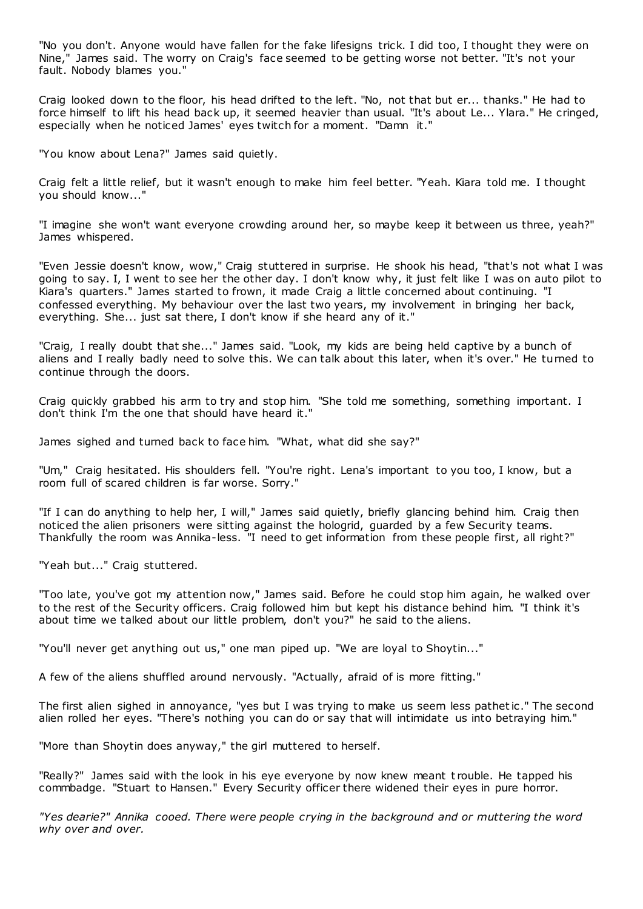"No you don't. Anyone would have fallen for the fake lifesigns trick. I did too, I thought they were on Nine," James said. The worry on Craig's face seemed to be getting worse not better. "It's not your fault. Nobody blames you."

Craig looked down to the floor, his head drifted to the left. "No, not that but er... thanks." He had to force himself to lift his head back up, it seemed heavier than usual. "It's about Le... Ylara." He cringed, especially when he noticed James' eyes twitch for a moment. "Damn it."

"You know about Lena?" James said quietly.

Craig felt a little relief, but it wasn't enough to make him feel better. "Yeah. Kiara told me. I thought you should know..."

"I imagine she won't want everyone crowding around her, so maybe keep it between us three, yeah?" James whispered.

"Even Jessie doesn't know, wow," Craig stuttered in surprise. He shook his head, "that's not what I was going to say. I, I went to see her the other day. I don't know why, it just felt like I was on auto pilot to Kiara's quarters." James started to frown, it made Craig a little concerned about continuing. "I confessed everything. My behaviour over the last two years, my involvement in bringing her back, everything. She... just sat there, I don't know if she heard any of it."

"Craig, I really doubt that she..." James said. "Look, my kids are being held captive by a bunch of aliens and I really badly need to solve this. We can talk about this later, when it's over." He turned to continue through the doors.

Craig quickly grabbed his arm to try and stop him. "She told me something, something important. I don't think I'm the one that should have heard it."

James sighed and turned back to face him. "What, what did she say?"

"Um," Craig hesitated. His shoulders fell. "You're right. Lena's important to you too, I know, but a room full of scared children is far worse. Sorry."

"If I can do anything to help her, I will," James said quietly, briefly glancing behind him. Craig then noticed the alien prisoners were sitting against the hologrid, guarded by a few Security teams. Thankfully the room was Annika-less. "I need to get information from these people first, all right?"

"Yeah but..." Craig stuttered.

"Too late, you've got my attention now," James said. Before he could stop him again, he walked over to the rest of the Security officers. Craig followed him but kept his distance behind him. "I think it's about time we talked about our little problem, don't you?" he said to the aliens.

"You'll never get anything out us," one man piped up. "We are loyal to Shoytin..."

A few of the aliens shuffled around nervously. "Actually, afraid of is more fitting."

The first alien sighed in annoyance, "yes but I was trying to make us seem less pathetic ." The second alien rolled her eyes. "There's nothing you can do or say that will intimidate us into betraying him."

"More than Shoytin does anyway," the girl muttered to herself.

"Really?" James said with the look in his eye everyone by now knew meant t rouble. He tapped his commbadge. "Stuart to Hansen." Every Security officer there widened their eyes in pure horror.

*"Yes dearie?" Annika cooed. There were people crying in the background and or muttering the word why over and over.*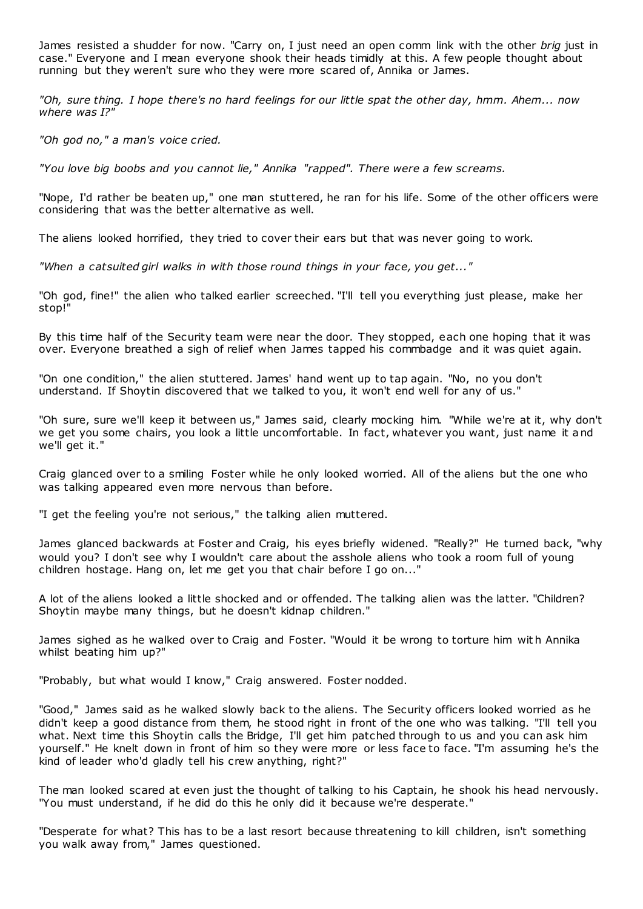James resisted a shudder for now. "Carry on, I just need an open comm link with the other *brig* just in case." Everyone and I mean everyone shook their heads timidly at this. A few people thought about running but they weren't sure who they were more scared of, Annika or James.

*"Oh, sure thing. I hope there's no hard feelings for our little spat the other day, hmm. Ahem... now where was I?"*

*"Oh god no," a man's voice cried.*

*"You love big boobs and you cannot lie," Annika "rapped". There were a few screams.*

"Nope, I'd rather be beaten up," one man stuttered, he ran for his life. Some of the other officers were considering that was the better alternative as well.

The aliens looked horrified, they tried to cover their ears but that was never going to work.

*"When a catsuited girl walks in with those round things in your face, you get..."*

"Oh god, fine!" the alien who talked earlier screeched. "I'll tell you everything just please, make her stop!"

By this time half of the Security team were near the door. They stopped, each one hoping that it was over. Everyone breathed a sigh of relief when James tapped his commbadge and it was quiet again.

"On one condition," the alien stuttered. James' hand went up to tap again. "No, no you don't understand. If Shoytin discovered that we talked to you, it won't end well for any of us."

"Oh sure, sure we'll keep it between us," James said, clearly mocking him. "While we're at it, why don't we get you some chairs, you look a little uncomfortable. In fact, whatever you want, just name it and we'll get it."

Craig glanced over to a smiling Foster while he only looked worried. All of the aliens but the one who was talking appeared even more nervous than before.

"I get the feeling you're not serious," the talking alien muttered.

James glanced backwards at Foster and Craig, his eyes briefly widened. "Really?" He turned back, "why would you? I don't see why I wouldn't care about the asshole aliens who took a room full of young children hostage. Hang on, let me get you that chair before I go on..."

A lot of the aliens looked a little shocked and or offended. The talking alien was the latter. "Children? Shoytin maybe many things, but he doesn't kidnap children."

James sighed as he walked over to Craig and Foster. "Would it be wrong to torture him wit h Annika whilst beating him up?"

"Probably, but what would I know," Craig answered. Foster nodded.

"Good," James said as he walked slowly back to the aliens. The Security officers looked worried as he didn't keep a good distance from them, he stood right in front of the one who was talking. "I'll tell you what. Next time this Shoytin calls the Bridge, I'll get him patched through to us and you can ask him yourself." He knelt down in front of him so they were more or less face to face. "I'm assuming he's the kind of leader who'd gladly tell his crew anything, right?"

The man looked scared at even just the thought of talking to his Captain, he shook his head nervously. "You must understand, if he did do this he only did it because we're desperate."

"Desperate for what? This has to be a last resort because threatening to kill children, isn't something you walk away from," James questioned.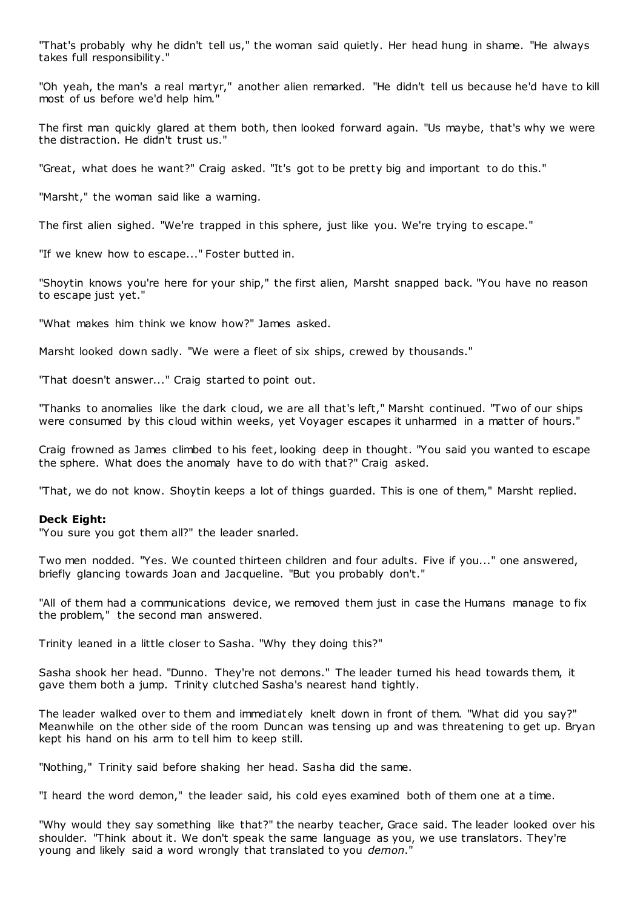"That's probably why he didn't tell us," the woman said quietly. Her head hung in shame. "He always takes full responsibility."

"Oh yeah, the man's a real martyr," another alien remarked. "He didn't tell us because he'd have to kill most of us before we'd help him."

The first man quickly glared at them both, then looked forward again. "Us maybe, that's why we were the distraction. He didn't trust us."

"Great, what does he want?" Craig asked. "It's got to be pretty big and important to do this."

"Marsht," the woman said like a warning.

The first alien sighed. "We're trapped in this sphere, just like you. We're trying to escape."

"If we knew how to escape..." Foster butted in.

"Shoytin knows you're here for your ship," the first alien, Marsht snapped back. "You have no reason to escape just yet."

"What makes him think we know how?" James asked.

Marsht looked down sadly. "We were a fleet of six ships, crewed by thousands."

"That doesn't answer..." Craig started to point out.

"Thanks to anomalies like the dark cloud, we are all that's left," Marsht continued. "Two of our ships were consumed by this cloud within weeks, yet Voyager escapes it unharmed in a matter of hours."

Craig frowned as James climbed to his feet, looking deep in thought. "You said you wanted to escape the sphere. What does the anomaly have to do with that?" Craig asked.

"That, we do not know. Shoytin keeps a lot of things guarded. This is one of them," Marsht replied.

#### **Deck Eight:**

"You sure you got them all?" the leader snarled.

Two men nodded. "Yes. We counted thirteen children and four adults. Five if you..." one answered, briefly glancing towards Joan and Jacqueline. "But you probably don't."

"All of them had a communications device, we removed them just in case the Humans manage to fix the problem," the second man answered.

Trinity leaned in a little closer to Sasha. "Why they doing this?"

Sasha shook her head. "Dunno. They're not demons." The leader turned his head towards them, it gave them both a jump. Trinity clutched Sasha's nearest hand tightly.

The leader walked over to them and immediately knelt down in front of them. "What did you say?" Meanwhile on the other side of the room Duncan was tensing up and was threatening to get up. Bryan kept his hand on his arm to tell him to keep still.

"Nothing," Trinity said before shaking her head. Sasha did the same.

"I heard the word demon," the leader said, his cold eyes examined both of them one at a time.

"Why would they say something like that?" the nearby teacher, Grace said. The leader looked over his shoulder. "Think about it. We don't speak the same language as you, we use translators. They're young and likely said a word wrongly that translated to you *demon*."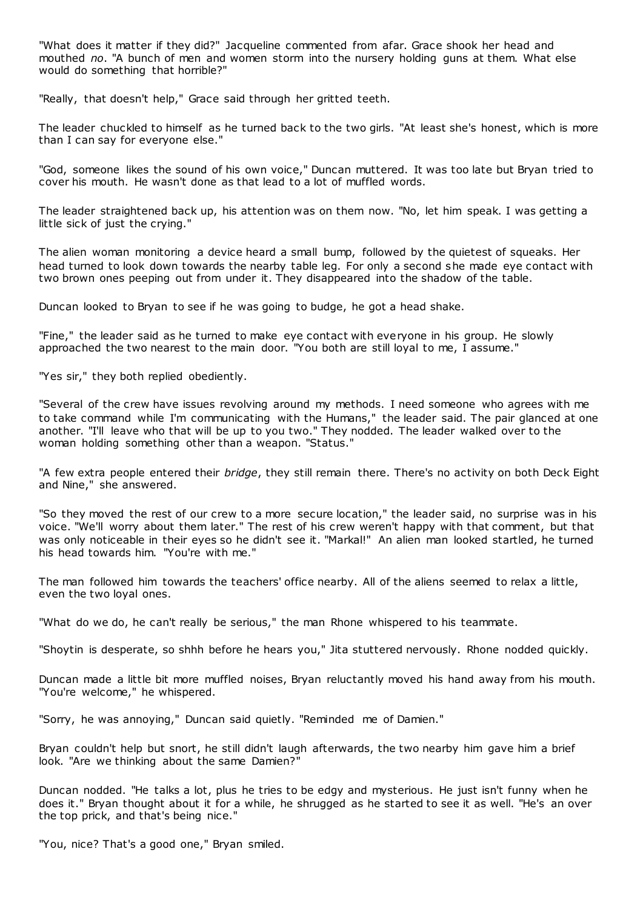"What does it matter if they did?" Jacqueline commented from afar. Grace shook her head and mouthed *no*. "A bunch of men and women storm into the nursery holding guns at them. What else would do something that horrible?"

"Really, that doesn't help," Grace said through her gritted teeth.

The leader chuckled to himself as he turned back to the two girls. "At least she's honest, which is more than I can say for everyone else."

"God, someone likes the sound of his own voice," Duncan muttered. It was too late but Bryan tried to cover his mouth. He wasn't done as that lead to a lot of muffled words.

The leader straightened back up, his attention was on them now. "No, let him speak. I was getting a little sick of just the crying."

The alien woman monitoring a device heard a small bump, followed by the quietest of squeaks. Her head turned to look down towards the nearby table leg. For only a second she made eye contact with two brown ones peeping out from under it. They disappeared into the shadow of the table.

Duncan looked to Bryan to see if he was going to budge, he got a head shake.

"Fine," the leader said as he turned to make eye contact with everyone in his group. He slowly approached the two nearest to the main door. "You both are still loyal to me, I assume."

"Yes sir," they both replied obediently.

"Several of the crew have issues revolving around my methods. I need someone who agrees with me to take command while I'm communicating with the Humans," the leader said. The pair glanced at one another. "I'll leave who that will be up to you two." They nodded. The leader walked over to the woman holding something other than a weapon. "Status."

"A few extra people entered their *bridge*, they still remain there. There's no activity on both Deck Eight and Nine," she answered.

"So they moved the rest of our crew to a more secure location," the leader said, no surprise was in his voice. "We'll worry about them later." The rest of his crew weren't happy with that comment, but that was only noticeable in their eyes so he didn't see it. "Markal!" An alien man looked startled, he turned his head towards him. "You're with me."

The man followed him towards the teachers' office nearby. All of the aliens seemed to relax a little, even the two loyal ones.

"What do we do, he can't really be serious," the man Rhone whispered to his teammate.

"Shoytin is desperate, so shhh before he hears you," Jita stuttered nervously. Rhone nodded quickly.

Duncan made a little bit more muffled noises, Bryan reluctantly moved his hand away from his mouth. "You're welcome," he whispered.

"Sorry, he was annoying," Duncan said quietly. "Reminded me of Damien."

Bryan couldn't help but snort, he still didn't laugh afterwards, the two nearby him gave him a brief look. "Are we thinking about the same Damien?"

Duncan nodded. "He talks a lot, plus he tries to be edgy and mysterious. He just isn't funny when he does it." Bryan thought about it for a while, he shrugged as he started to see it as well. "He's an over the top prick, and that's being nice."

"You, nice? That's a good one," Bryan smiled.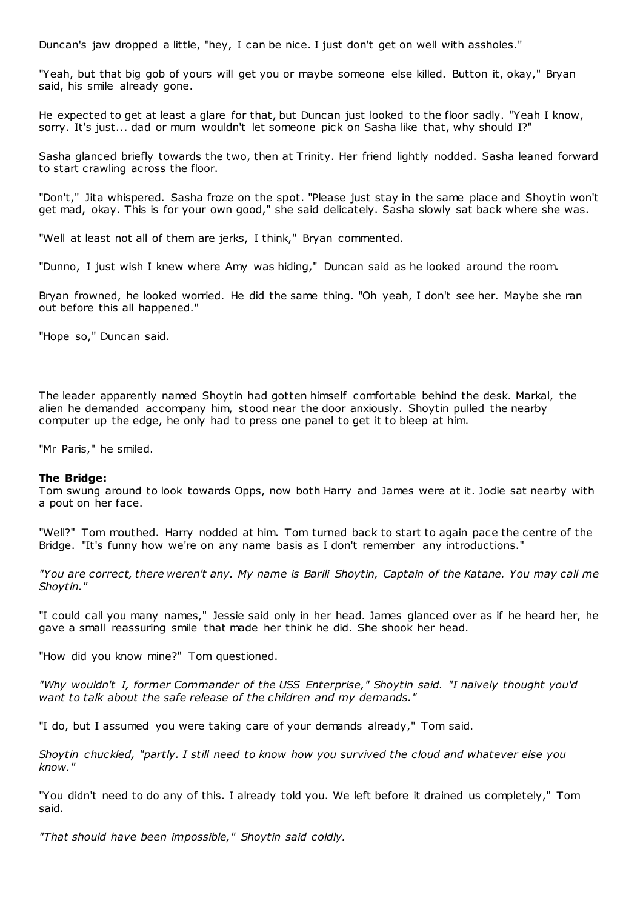Duncan's jaw dropped a little, "hey, I can be nice. I just don't get on well with assholes."

"Yeah, but that big gob of yours will get you or maybe someone else killed. Button it, okay," Bryan said, his smile already gone.

He expected to get at least a glare for that, but Duncan just looked to the floor sadly. "Yeah I know, sorry. It's just... dad or mum wouldn't let someone pick on Sasha like that, why should I?"

Sasha glanced briefly towards the two, then at Trinity. Her friend lightly nodded. Sasha leaned forward to start crawling across the floor.

"Don't," Jita whispered. Sasha froze on the spot. "Please just stay in the same place and Shoytin won't get mad, okay. This is for your own good," she said delicately. Sasha slowly sat back where she was.

"Well at least not all of them are jerks, I think," Bryan commented.

"Dunno, I just wish I knew where Amy was hiding," Duncan said as he looked around the room.

Bryan frowned, he looked worried. He did the same thing. "Oh yeah, I don't see her. Maybe she ran out before this all happened."

"Hope so," Duncan said.

The leader apparently named Shoytin had gotten himself comfortable behind the desk. Markal, the alien he demanded accompany him, stood near the door anxiously. Shoytin pulled the nearby computer up the edge, he only had to press one panel to get it to bleep at him.

"Mr Paris," he smiled.

#### **The Bridge:**

Tom swung around to look towards Opps, now both Harry and James were at it. Jodie sat nearby with a pout on her face.

"Well?" Tom mouthed. Harry nodded at him. Tom turned back to start to again pace the centre of the Bridge. "It's funny how we're on any name basis as I don't remember any introductions."

*"You are correct, there weren't any. My name is Barili Shoytin, Captain of the Katane. You may call me Shoytin."*

"I could call you many names," Jessie said only in her head. James glanced over as if he heard her, he gave a small reassuring smile that made her think he did. She shook her head.

"How did you know mine?" Tom questioned.

*"Why wouldn't I, former Commander of the USS Enterprise," Shoytin said. "I naively thought you'd want to talk about the safe release of the children and my demands."*

"I do, but I assumed you were taking care of your demands already," Tom said.

*Shoytin chuckled, "partly. I still need to know how you survived the cloud and whatever else you know."*

"You didn't need to do any of this. I already told you. We left before it drained us completely," Tom said.

*"That should have been impossible," Shoytin said coldly.*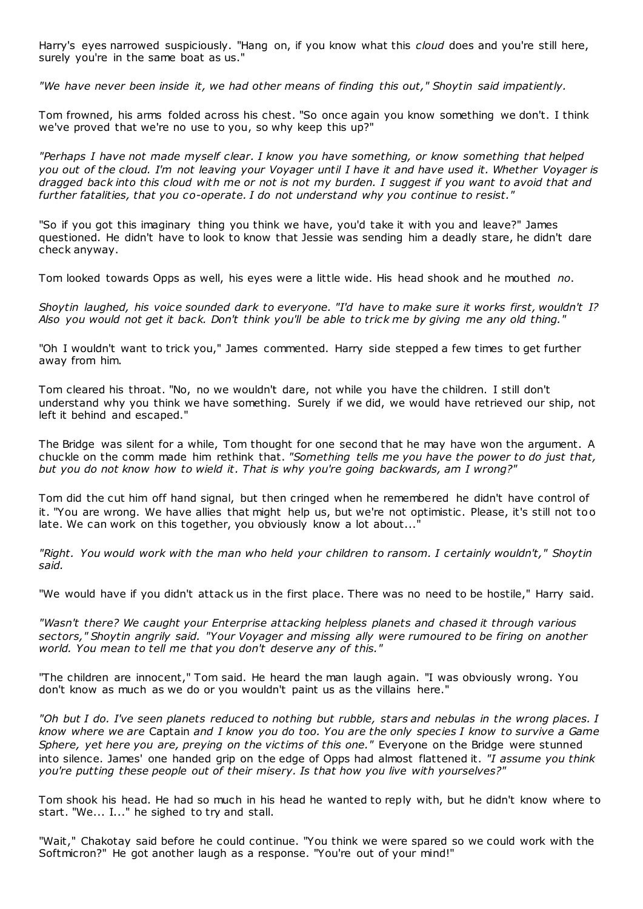Harry's eyes narrowed suspiciously. "Hang on, if you know what this *cloud* does and you're still here, surely you're in the same boat as us."

*"We have never been inside it, we had other means of finding this out," Shoytin said impatiently.*

Tom frowned, his arms folded across his chest. "So once again you know something we don't. I think we've proved that we're no use to you, so why keep this up?"

*"Perhaps I have not made myself clear. I know you have something, or know something that helped you out of the cloud. I'm not leaving your Voyager until I have it and have used it. Whether Voyager is dragged back into this cloud with me or not is not my burden. I suggest if you want to avoid that and further fatalities, that you co-operate. I do not understand why you continue to resist."*

"So if you got this imaginary thing you think we have, you'd take it with you and leave?" James questioned. He didn't have to look to know that Jessie was sending him a deadly stare, he didn't dare check anyway.

Tom looked towards Opps as well, his eyes were a little wide. His head shook and he mouthed *no*.

*Shoytin laughed, his voice sounded dark to everyone. "I'd have to make sure it works first, wouldn't I? Also you would not get it back. Don't think you'll be able to trick me by giving me any old thing."*

"Oh I wouldn't want to trick you," James commented. Harry side stepped a few times to get further away from him.

Tom cleared his throat. "No, no we wouldn't dare, not while you have the children. I still don't understand why you think we have something. Surely if we did, we would have retrieved our ship, not left it behind and escaped."

The Bridge was silent for a while, Tom thought for one second that he may have won the argument. A chuckle on the comm made him rethink that. *"Something tells me you have the power to do just that, but you do not know how to wield it. That is why you're going backwards, am I wrong?"*

Tom did the cut him off hand signal, but then cringed when he remembered he didn't have control of it. "You are wrong. We have allies that might help us, but we're not optimistic . Please, it's still not too late. We can work on this together, you obviously know a lot about...'

*"Right. You would work with the man who held your children to ransom. I certainly wouldn't," Shoytin said.*

"We would have if you didn't attack us in the first place. There was no need to be hostile," Harry said.

*"Wasn't there? We caught your Enterprise attacking helpless planets and chased it through various sectors," Shoytin angrily said. "Your Voyager and missing ally were rumoured to be firing on another world. You mean to tell me that you don't deserve any of this."*

"The children are innocent," Tom said. He heard the man laugh again. "I was obviously wrong. You don't know as much as we do or you wouldn't paint us as the villains here."

*"Oh but I do. I've seen planets reduced to nothing but rubble, stars and nebulas in the wrong places. I know where we are* Captain *and I know you do too. You are the only species I know to survive a Game Sphere, yet here you are, preying on the victims of this one."* Everyone on the Bridge were stunned into silence. James' one handed grip on the edge of Opps had almost flattened it. *"I assume you think you're putting these people out of their misery. Is that how you live with yourselves?"*

Tom shook his head. He had so much in his head he wanted to reply with, but he didn't know where to start. "We... I..." he sighed to try and stall.

"Wait," Chakotay said before he could continue. "You think we were spared so we could work with the Softmicron?" He got another laugh as a response. "You're out of your mind!"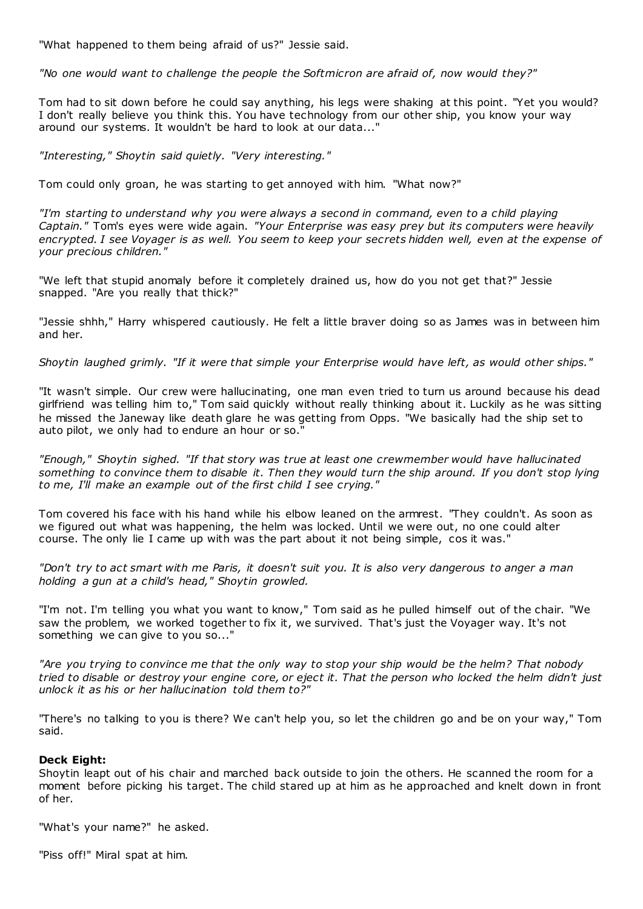"What happened to them being afraid of us?" Jessie said.

*"No one would want to challenge the people the Softmicron are afraid of, now would they?"*

Tom had to sit down before he could say anything, his legs were shaking at this point. "Yet you would? I don't really believe you think this. You have technology from our other ship, you know your way around our systems. It wouldn't be hard to look at our data..."

*"Interesting," Shoytin said quietly. "Very interesting."*

Tom could only groan, he was starting to get annoyed with him. "What now?"

*"I'm starting to understand why you were always a second in command, even to a child playing Captain."* Tom's eyes were wide again. *"Your Enterprise was easy prey but its computers were heavily encrypted. I see Voyager is as well. You seem to keep your secrets hidden well, even at the expense of your precious children."*

"We left that stupid anomaly before it completely drained us, how do you not get that?" Jessie snapped. "Are you really that thick?"

"Jessie shhh," Harry whispered cautiously. He felt a little braver doing so as James was in between him and her.

*Shoytin laughed grimly. "If it were that simple your Enterprise would have left, as would other ships."*

"It wasn't simple. Our crew were hallucinating, one man even tried to turn us around because his dead girlfriend was telling him to," Tom said quickly without really thinking about it. Luckily as he was sitting he missed the Janeway like death glare he was getting from Opps. "We basically had the ship set to auto pilot, we only had to endure an hour or so."

*"Enough," Shoytin sighed. "If that story was true at least one crewmember would have hallucinated something to convince them to disable it. Then they would turn the ship around. If you don't stop lying to me, I'll make an example out of the first child I see crying."*

Tom covered his face with his hand while his elbow leaned on the armrest. "They couldn't. As soon as we figured out what was happening, the helm was locked. Until we were out, no one could alter course. The only lie I came up with was the part about it not being simple, cos it was."

*"Don't try to act smart with me Paris, it doesn't suit you. It is also very dangerous to anger a man holding a gun at a child's head," Shoytin growled.*

"I'm not. I'm telling you what you want to know," Tom said as he pulled himself out of the chair. "We saw the problem, we worked together to fix it, we survived. That's just the Voyager way. It's not something we can give to you so..."

*"Are you trying to convince me that the only way to stop your ship would be the helm? That nobody tried to disable or destroy your engine core, or eject it. That the person who locked the helm didn't just unlock it as his or her hallucination told them to?"*

"There's no talking to you is there? We can't help you, so let the children go and be on your way," Tom said.

## **Deck Eight:**

Shoytin leapt out of his chair and marched back outside to join the others. He scanned the room for a moment before picking his target. The child stared up at him as he approached and knelt down in front of her.

"What's your name?" he asked.

"Piss off!" Miral spat at him.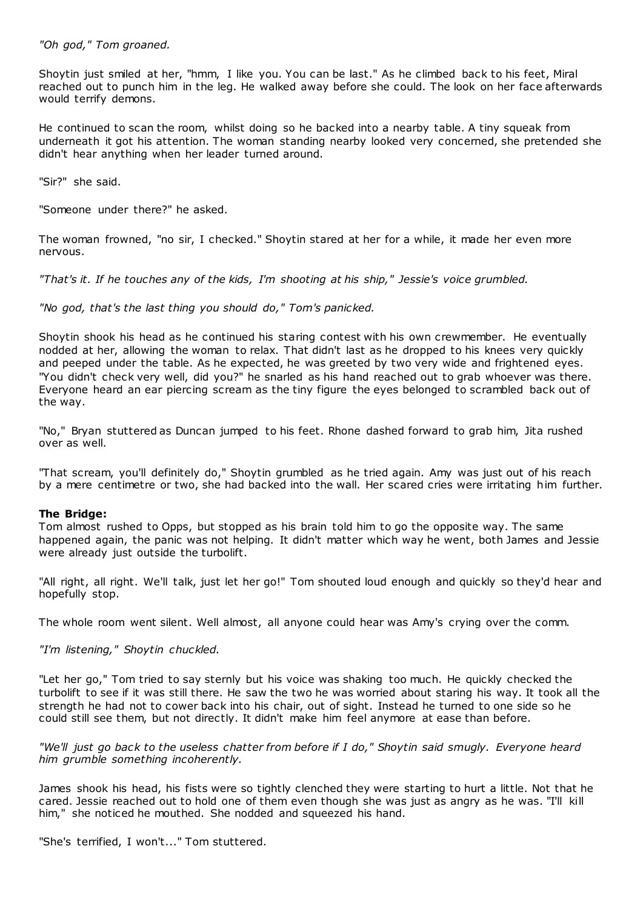## *"Oh god," Tom groaned.*

Shoytin just smiled at her, "hmm, I like you. You can be last." As he climbed back to his feet, Miral reached out to punch him in the leg. He walked away before she could. The look on her face afterwards would terrify demons.

He continued to scan the room, whilst doing so he backed into a nearby table. A tiny squeak from underneath it got his attention. The woman standing nearby looked very concerned, she pretended she didn't hear anything when her leader turned around.

"Sir?" she said.

"Someone under there?" he asked.

The woman frowned, "no sir, I checked." Shoytin stared at her for a while, it made her even more nervous.

*"That's it. If he touches any of the kids, I'm shooting at his ship," Jessie's voice grumbled.*

*"No god, that's the last thing you should do," Tom's panicked.*

Shoytin shook his head as he continued his staring contest with his own crewmember. He eventually nodded at her, allowing the woman to relax. That didn't last as he dropped to his knees very quickly and peeped under the table. As he expected, he was greeted by two very wide and frightened eyes. "You didn't check very well, did you?" he snarled as his hand reached out to grab whoever was there. Everyone heard an ear piercing scream as the tiny figure the eyes belonged to scrambled back out of the way.

"No," Bryan stuttered as Duncan jumped to his feet. Rhone dashed forward to grab him, Jita rushed over as well.

"That scream, you'll definitely do," Shoytin grumbled as he tried again. Amy was just out of his reach by a mere centimetre or two, she had backed into the wall. Her scared cries were irritating him further.

#### **The Bridge:**

Tom almost rushed to Opps, but stopped as his brain told him to go the opposite way. The same happened again, the panic was not helping. It didn't matter which way he went, both James and Jessie were already just outside the turbolift.

"All right, all right. We'll talk, just let her go!" Tom shouted loud enough and quickly so they'd hear and hopefully stop.

The whole room went silent. Well almost, all anyone could hear was Amy's crying over the comm.

# *"I'm listening," Shoytin chuckled.*

"Let her go," Tom tried to say sternly but his voice was shaking too much. He quickly checked the turbolift to see if it was still there. He saw the two he was worried about staring his way. It took all the strength he had not to cower back into his chair, out of sight. Instead he turned to one side so he could still see them, but not directly. It didn't make him feel anymore at ease than before.

*"We'll just go back to the useless chatter from before if I do," Shoytin said smugly. Everyone heard him grumble something incoherently.*

James shook his head, his fists were so tightly clenched they were starting to hurt a little. Not that he cared. Jessie reached out to hold one of them even though she was just as angry as he was. "I'll kill him," she noticed he mouthed. She nodded and squeezed his hand.

"She's terrified, I won't..." Tom stuttered.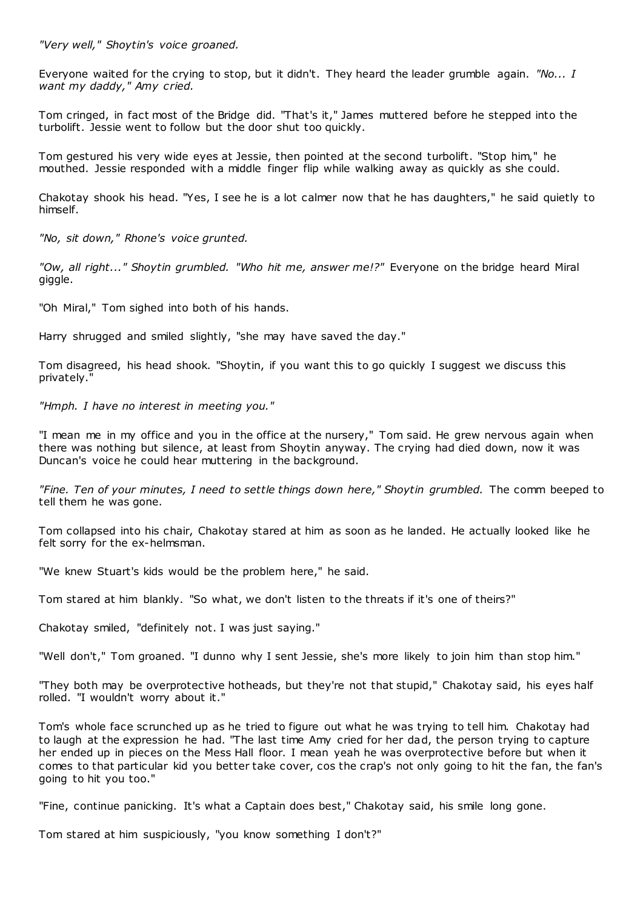*"Very well," Shoytin's voice groaned.*

Everyone waited for the crying to stop, but it didn't. They heard the leader grumble again. *"No... I want my daddy," Amy cried.*

Tom cringed, in fact most of the Bridge did. "That's it," James muttered before he stepped into the turbolift. Jessie went to follow but the door shut too quickly.

Tom gestured his very wide eyes at Jessie, then pointed at the second turbolift. "Stop him," he mouthed. Jessie responded with a middle finger flip while walking away as quickly as she could.

Chakotay shook his head. "Yes, I see he is a lot calmer now that he has daughters," he said quietly to himself.

*"No, sit down," Rhone's voice grunted.*

*"Ow, all right..." Shoytin grumbled. "Who hit me, answer me!?"* Everyone on the bridge heard Miral giggle.

"Oh Miral," Tom sighed into both of his hands.

Harry shrugged and smiled slightly, "she may have saved the day."

Tom disagreed, his head shook. "Shoytin, if you want this to go quickly I suggest we discuss this privately."

*"Hmph. I have no interest in meeting you."*

"I mean me in my office and you in the office at the nursery," Tom said. He grew nervous again when there was nothing but silence, at least from Shoytin anyway. The crying had died down, now it was Duncan's voice he could hear muttering in the background.

*"Fine. Ten of your minutes, I need to settle things down here," Shoytin grumbled.* The comm beeped to tell them he was gone.

Tom collapsed into his chair, Chakotay stared at him as soon as he landed. He actually looked like he felt sorry for the ex-helmsman.

"We knew Stuart's kids would be the problem here," he said.

Tom stared at him blankly. "So what, we don't listen to the threats if it's one of theirs?"

Chakotay smiled, "definitely not. I was just saying."

"Well don't," Tom groaned. "I dunno why I sent Jessie, she's more likely to join him than stop him."

"They both may be overprotective hotheads, but they're not that stupid," Chakotay said, his eyes half rolled. "I wouldn't worry about it."

Tom's whole face scrunched up as he tried to figure out what he was trying to tell him. Chakotay had to laugh at the expression he had. "The last time Amy cried for her dad, the person trying to capture her ended up in pieces on the Mess Hall floor. I mean yeah he was overprotective before but when it comes to that particular kid you better take cover, cos the crap's not only going to hit the fan, the fan's going to hit you too."

"Fine, continue panicking. It's what a Captain does best," Chakotay said, his smile long gone.

Tom stared at him suspiciously, "you know something I don't?"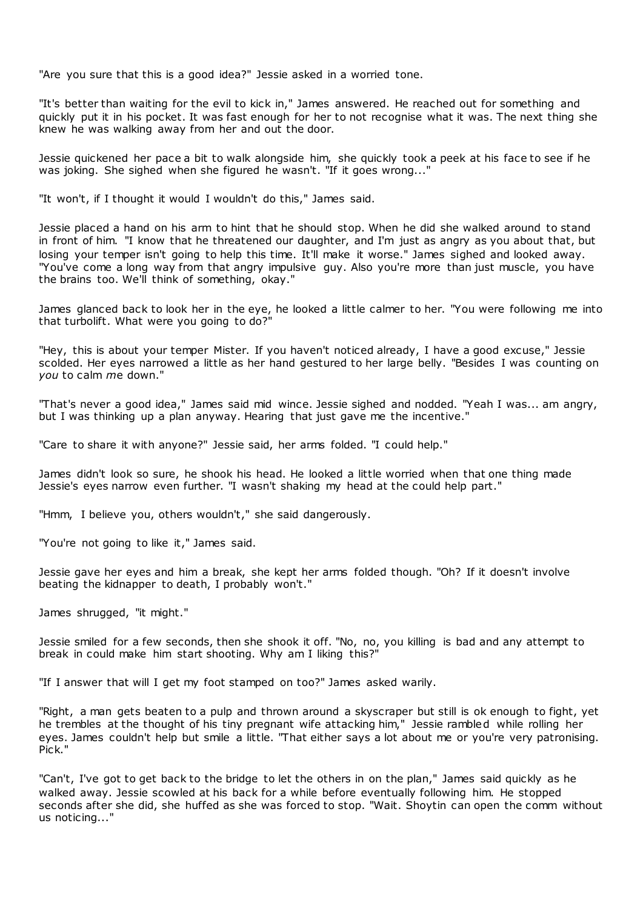"Are you sure that this is a good idea?" Jessie asked in a worried tone.

"It's better than waiting for the evil to kick in," James answered. He reached out for something and quickly put it in his pocket. It was fast enough for her to not recognise what it was. The next thing she knew he was walking away from her and out the door.

Jessie quickened her pace a bit to walk alongside him, she quickly took a peek at his face to see if he was joking. She sighed when she figured he wasn't. "If it goes wrong..."

"It won't, if I thought it would I wouldn't do this," James said.

Jessie placed a hand on his arm to hint that he should stop. When he did she walked around to stand in front of him. "I know that he threatened our daughter, and I'm just as angry as you about that, but losing your temper isn't going to help this time. It'll make it worse." James sighed and looked away. "You've come a long way from that angry impulsive guy. Also you're more than just muscle, you have the brains too. We'll think of something, okay."

James glanced back to look her in the eye, he looked a little calmer to her. "You were following me into that turbolift. What were you going to do?"

"Hey, this is about your temper Mister. If you haven't noticed already, I have a good excuse," Jessie scolded. Her eyes narrowed a little as her hand gestured to her large belly. "Besides I was counting on *you* to calm *m*e down."

"That's never a good idea," James said mid wince. Jessie sighed and nodded. "Yeah I was... am angry, but I was thinking up a plan anyway. Hearing that just gave me the incentive."

"Care to share it with anyone?" Jessie said, her arms folded. "I could help."

James didn't look so sure, he shook his head. He looked a little worried when that one thing made Jessie's eyes narrow even further. "I wasn't shaking my head at the could help part."

"Hmm, I believe you, others wouldn't," she said dangerously.

"You're not going to like it," James said.

Jessie gave her eyes and him a break, she kept her arms folded though. "Oh? If it doesn't involve beating the kidnapper to death, I probably won't."

James shrugged, "it might."

Jessie smiled for a few seconds, then she shook it off. "No, no, you killing is bad and any attempt to break in could make him start shooting. Why am I liking this?"

"If I answer that will I get my foot stamped on too?" James asked warily.

"Right, a man gets beaten to a pulp and thrown around a skyscraper but still is ok enough to fight, yet he trembles at the thought of his tiny pregnant wife attacking him," Jessie rambled while rolling her eyes. James couldn't help but smile a little. "That either says a lot about me or you're very patronising. Pick."

"Can't, I've got to get back to the bridge to let the others in on the plan," James said quickly as he walked away. Jessie scowled at his back for a while before eventually following him. He stopped seconds after she did, she huffed as she was forced to stop. "Wait. Shoytin can open the comm without us noticing...'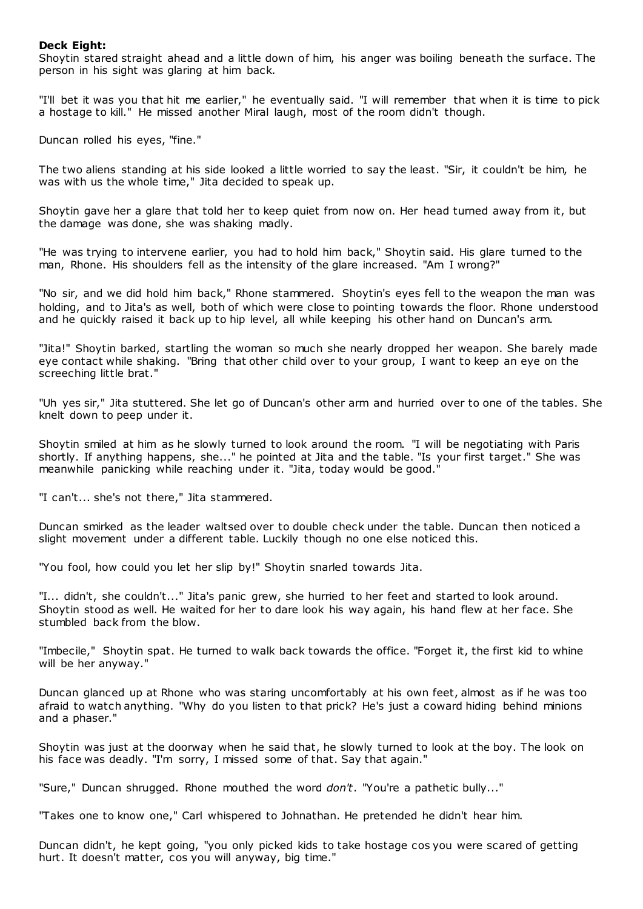## **Deck Eight:**

Shoytin stared straight ahead and a little down of him, his anger was boiling beneath the surface. The person in his sight was glaring at him back.

"I'll bet it was you that hit me earlier," he eventually said. "I will remember that when it is time to pick a hostage to kill." He missed another Miral laugh, most of the room didn't though.

Duncan rolled his eyes, "fine."

The two aliens standing at his side looked a little worried to say the least. "Sir, it couldn't be him, he was with us the whole time," Jita decided to speak up.

Shoytin gave her a glare that told her to keep quiet from now on. Her head turned away from it, but the damage was done, she was shaking madly.

"He was trying to intervene earlier, you had to hold him back," Shoytin said. His glare turned to the man, Rhone. His shoulders fell as the intensity of the glare increased. "Am I wrong?"

"No sir, and we did hold him back," Rhone stammered. Shoytin's eyes fell to the weapon the man was holding, and to Jita's as well, both of which were close to pointing towards the floor. Rhone understood and he quickly raised it back up to hip level, all while keeping his other hand on Duncan's arm.

"Jita!" Shoytin barked, startling the woman so much she nearly dropped her weapon. She barely made eye contact while shaking. "Bring that other child over to your group, I want to keep an eye on the screeching little brat."

"Uh yes sir," Jita stuttered. She let go of Duncan's other arm and hurried over to one of the tables. She knelt down to peep under it.

Shoytin smiled at him as he slowly turned to look around the room. "I will be negotiating with Paris shortly. If anything happens, she..." he pointed at Jita and the table. "Is your first target." She was meanwhile panicking while reaching under it. "Jita, today would be good."

"I can't... she's not there," Jita stammered.

Duncan smirked as the leader waltsed over to double check under the table. Duncan then noticed a slight movement under a different table. Luckily though no one else noticed this.

"You fool, how could you let her slip by!" Shoytin snarled towards Jita.

"I... didn't, she couldn't..." Jita's panic grew, she hurried to her feet and started to look around. Shoytin stood as well. He waited for her to dare look his way again, his hand flew at her face. She stumbled back from the blow.

"Imbecile," Shoytin spat. He turned to walk back towards the office. "Forget it, the first kid to whine will be her anyway."

Duncan glanced up at Rhone who was staring uncomfortably at his own feet, almost as if he was too afraid to watch anything. "Why do you listen to that prick? He's just a coward hiding behind minions and a phaser."

Shoytin was just at the doorway when he said that, he slowly turned to look at the boy. The look on his face was deadly. "I'm sorry, I missed some of that. Say that again."

"Sure," Duncan shrugged. Rhone mouthed the word *don't*. "You're a pathetic bully..."

"Takes one to know one," Carl whispered to Johnathan. He pretended he didn't hear him.

Duncan didn't, he kept going, "you only picked kids to take hostage cos you were scared of getting hurt. It doesn't matter, cos you will anyway, big time."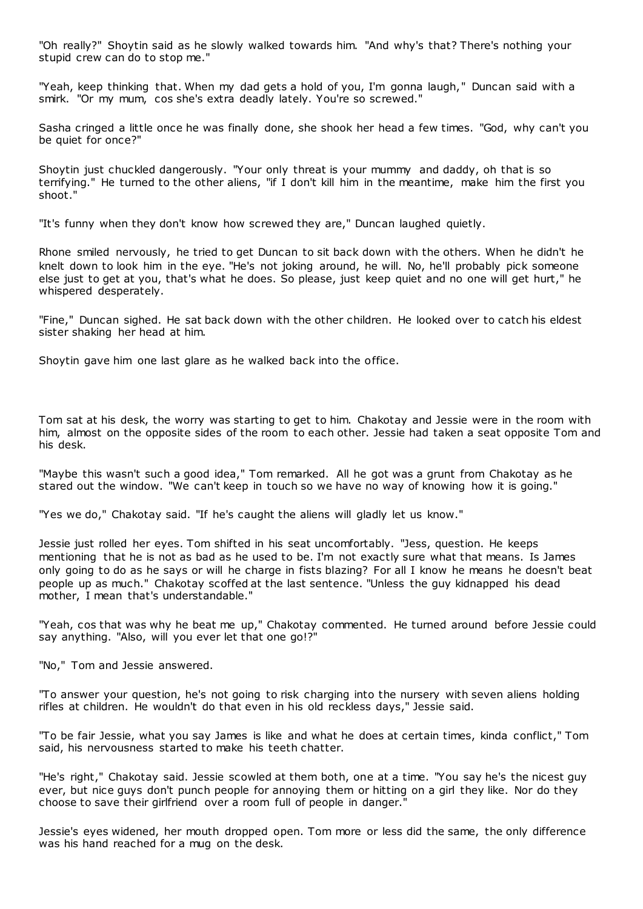"Oh really?" Shoytin said as he slowly walked towards him. "And why's that? There's nothing your stupid crew can do to stop me."

"Yeah, keep thinking that. When my dad gets a hold of you, I'm gonna laugh, " Duncan said with a smirk. "Or my mum, cos she's extra deadly lately. You're so screwed."

Sasha cringed a little once he was finally done, she shook her head a few times. "God, why can't you be quiet for once?"

Shoytin just chuckled dangerously. "Your only threat is your mummy and daddy, oh that is so terrifying." He turned to the other aliens, "if I don't kill him in the meantime, make him the first you shoot."

"It's funny when they don't know how screwed they are," Duncan laughed quietly.

Rhone smiled nervously, he tried to get Duncan to sit back down with the others. When he didn't he knelt down to look him in the eye. "He's not joking around, he will. No, he'll probably pick someone else just to get at you, that's what he does. So please, just keep quiet and no one will get hurt," he whispered desperately.

"Fine," Duncan sighed. He sat back down with the other children. He looked over to catch his eldest sister shaking her head at him.

Shoytin gave him one last glare as he walked back into the office.

Tom sat at his desk, the worry was starting to get to him. Chakotay and Jessie were in the room with him, almost on the opposite sides of the room to each other. Jessie had taken a seat opposite Tom and his desk.

"Maybe this wasn't such a good idea," Tom remarked. All he got was a grunt from Chakotay as he stared out the window. "We can't keep in touch so we have no way of knowing how it is going."

"Yes we do," Chakotay said. "If he's caught the aliens will gladly let us know."

Jessie just rolled her eyes. Tom shifted in his seat uncomfortably. "Jess, question. He keeps mentioning that he is not as bad as he used to be. I'm not exactly sure what that means. Is James only going to do as he says or will he charge in fists blazing? For all I know he means he doesn't beat people up as much." Chakotay scoffed at the last sentence. "Unless the guy kidnapped his dead mother, I mean that's understandable."

"Yeah, cos that was why he beat me up," Chakotay commented. He turned around before Jessie could say anything. "Also, will you ever let that one go!?"

"No," Tom and Jessie answered.

"To answer your question, he's not going to risk charging into the nursery with seven aliens holding rifles at children. He wouldn't do that even in his old reckless days," Jessie said.

"To be fair Jessie, what you say James is like and what he does at certain times, kinda conflict," Tom said, his nervousness started to make his teeth chatter.

"He's right," Chakotay said. Jessie scowled at them both, one at a time. "You say he's the nicest guy ever, but nice guys don't punch people for annoying them or hitting on a girl they like. Nor do they choose to save their girlfriend over a room full of people in danger."

Jessie's eyes widened, her mouth dropped open. Tom more or less did the same, the only difference was his hand reached for a mug on the desk.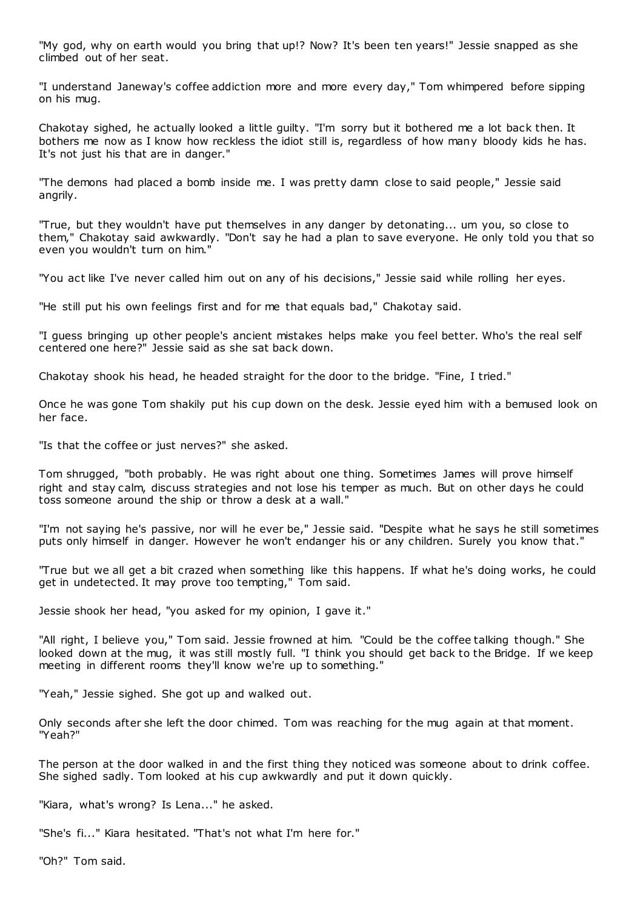"My god, why on earth would you bring that up!? Now? It's been ten years!" Jessie snapped as she climbed out of her seat.

"I understand Janeway's coffee addiction more and more every day," Tom whimpered before sipping on his mug.

Chakotay sighed, he actually looked a little guilty. "I'm sorry but it bothered me a lot back then. It bothers me now as I know how reckless the idiot still is, regardless of how many bloody kids he has. It's not just his that are in danger."

"The demons had placed a bomb inside me. I was pretty damn close to said people," Jessie said angrily.

"True, but they wouldn't have put themselves in any danger by detonating... um you, so close to them," Chakotay said awkwardly. "Don't say he had a plan to save everyone. He only told you that so even you wouldn't turn on him."

"You act like I've never called him out on any of his decisions," Jessie said while rolling her eyes.

"He still put his own feelings first and for me that equals bad," Chakotay said.

"I guess bringing up other people's ancient mistakes helps make you feel better. Who's the real self centered one here?" Jessie said as she sat back down.

Chakotay shook his head, he headed straight for the door to the bridge. "Fine, I tried."

Once he was gone Tom shakily put his cup down on the desk. Jessie eyed him with a bemused look on her face.

"Is that the coffee or just nerves?" she asked.

Tom shrugged, "both probably. He was right about one thing. Sometimes James will prove himself right and stay calm, discuss strategies and not lose his temper as much. But on other days he could toss someone around the ship or throw a desk at a wall."

"I'm not saying he's passive, nor will he ever be," Jessie said. "Despite what he says he still sometimes puts only himself in danger. However he won't endanger his or any children. Surely you know that."

"True but we all get a bit crazed when something like this happens. If what he's doing works, he could get in undetected. It may prove too tempting," Tom said.

Jessie shook her head, "you asked for my opinion, I gave it."

"All right, I believe you," Tom said. Jessie frowned at him. "Could be the coffee talking though." She looked down at the mug, it was still mostly full. "I think you should get back to the Bridge. If we keep meeting in different rooms they'll know we're up to something."

"Yeah," Jessie sighed. She got up and walked out.

Only seconds after she left the door chimed. Tom was reaching for the mug again at that moment. "Yeah?"

The person at the door walked in and the first thing they noticed was someone about to drink coffee. She sighed sadly. Tom looked at his cup awkwardly and put it down quickly.

"Kiara, what's wrong? Is Lena..." he asked.

"She's fi..." Kiara hesitated. "That's not what I'm here for."

"Oh?" Tom said.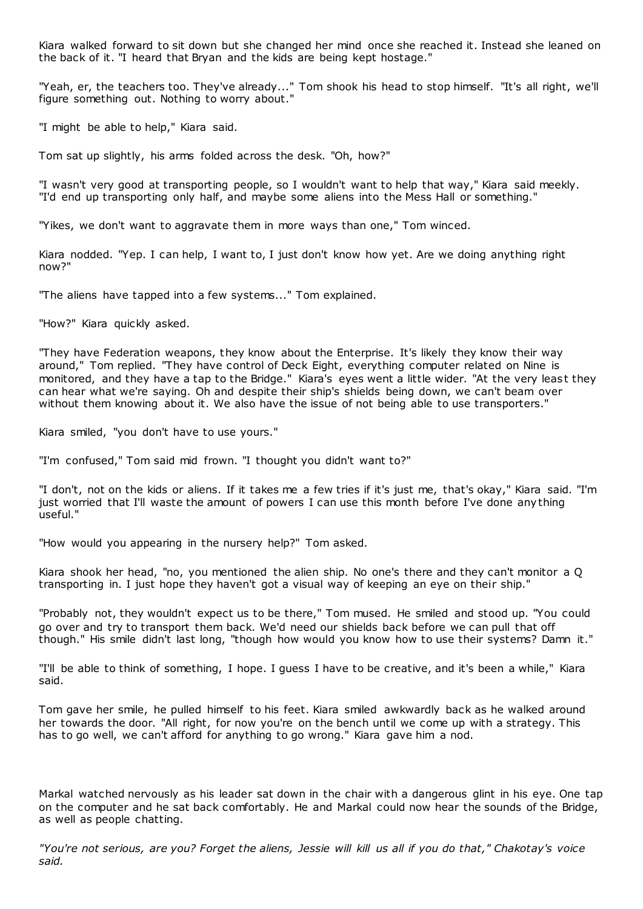Kiara walked forward to sit down but she changed her mind once she reached it. Instead she leaned on the back of it. "I heard that Bryan and the kids are being kept hostage."

"Yeah, er, the teachers too. They've already..." Tom shook his head to stop himself. "It's all right, we'll figure something out. Nothing to worry about."

"I might be able to help," Kiara said.

Tom sat up slightly, his arms folded across the desk. "Oh, how?"

"I wasn't very good at transporting people, so I wouldn't want to help that way," Kiara said meekly. "I'd end up transporting only half, and maybe some aliens into the Mess Hall or something."

"Yikes, we don't want to aggravate them in more ways than one," Tom winced.

Kiara nodded. "Yep. I can help, I want to, I just don't know how yet. Are we doing anything right now?"

"The aliens have tapped into a few systems..." Tom explained.

"How?" Kiara quickly asked.

"They have Federation weapons, they know about the Enterprise. It's likely they know their way around," Tom replied. "They have control of Deck Eight, everything computer related on Nine is monitored, and they have a tap to the Bridge." Kiara's eyes went a little wider. "At the very least they can hear what we're saying. Oh and despite their ship's shields being down, we can't beam over without them knowing about it. We also have the issue of not being able to use transporters."

Kiara smiled, "you don't have to use yours."

"I'm confused," Tom said mid frown. "I thought you didn't want to?"

"I don't, not on the kids or aliens. If it takes me a few tries if it's just me, that's okay," Kiara said. "I'm just worried that I'll waste the amount of powers I can use this month before I've done anything useful."

"How would you appearing in the nursery help?" Tom asked.

Kiara shook her head, "no, you mentioned the alien ship. No one's there and they can't monitor a Q transporting in. I just hope they haven't got a visual way of keeping an eye on their ship."

"Probably not, they wouldn't expect us to be there," Tom mused. He smiled and stood up. "You could go over and try to transport them back. We'd need our shields back before we can pull that off though." His smile didn't last long, "though how would you know how to use their systems? Damn it."

"I'll be able to think of something, I hope. I guess I have to be creative, and it's been a while," Kiara said.

Tom gave her smile, he pulled himself to his feet. Kiara smiled awkwardly back as he walked around her towards the door. "All right, for now you're on the bench until we come up with a strategy. This has to go well, we can't afford for anything to go wrong." Kiara gave him a nod.

Markal watched nervously as his leader sat down in the chair with a dangerous glint in his eye. One tap on the computer and he sat back comfortably. He and Markal could now hear the sounds of the Bridge, as well as people chatting.

*"You're not serious, are you? Forget the aliens, Jessie will kill us all if you do that," Chakotay's voice said.*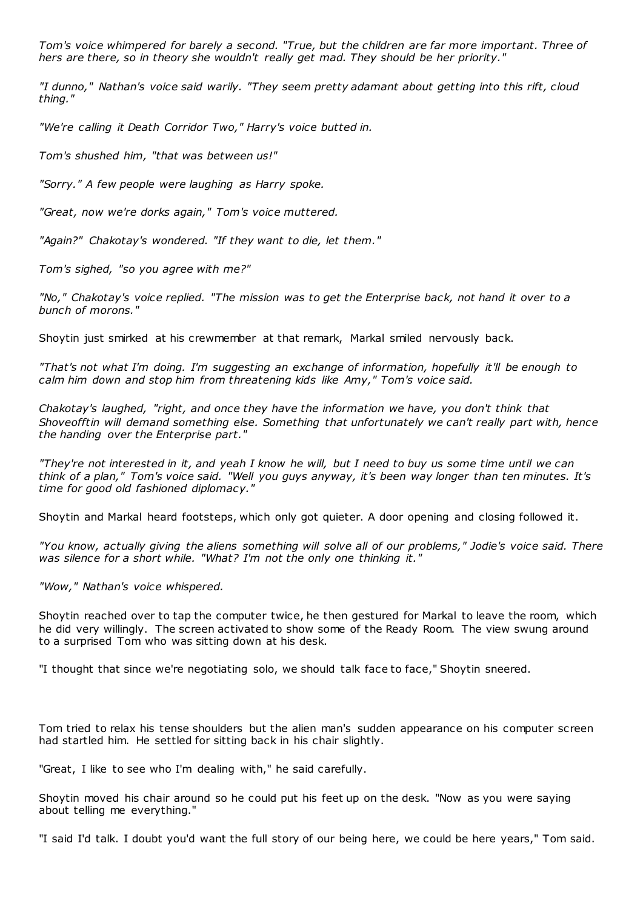*Tom's voice whimpered for barely a second. "True, but the children are far more important. Three of hers are there, so in theory she wouldn't really get mad. They should be her priority."*

*"I dunno," Nathan's voice said warily. "They seem pretty adamant about getting into this rift, cloud thing."*

*"We're calling it Death Corridor Two," Harry's voice butted in.*

*Tom's shushed him, "that was between us!"*

*"Sorry." A few people were laughing as Harry spoke.*

*"Great, now we're dorks again," Tom's voice muttered.*

*"Again?" Chakotay's wondered. "If they want to die, let them."*

*Tom's sighed, "so you agree with me?"*

*"No," Chakotay's voice replied. "The mission was to get the Enterprise back, not hand it over to a bunch of morons."*

Shoytin just smirked at his crewmember at that remark, Markal smiled nervously back.

*"That's not what I'm doing. I'm suggesting an exchange of information, hopefully it'll be enough to calm him down and stop him from threatening kids like Amy," Tom's voice said.*

*Chakotay's laughed, "right, and once they have the information we have, you don't think that Shoveofftin will demand something else. Something that unfortunately we can't really part with, hence the handing over the Enterprise part."*

*"They're not interested in it, and yeah I know he will, but I need to buy us some time until we can think of a plan," Tom's voice said. "Well you guys anyway, it's been way longer than ten minutes. It's time for good old fashioned diplomacy."*

Shoytin and Markal heard footsteps, which only got quieter. A door opening and closing followed it.

*"You know, actually giving the aliens something will solve all of our problems," Jodie's voice said. There was silence for a short while. "What? I'm not the only one thinking it."*

*"Wow," Nathan's voice whispered.*

Shoytin reached over to tap the computer twice, he then gestured for Markal to leave the room, which he did very willingly. The screen activated to show some of the Ready Room. The view swung around to a surprised Tom who was sitting down at his desk.

"I thought that since we're negotiating solo, we should talk face to face," Shoytin sneered.

Tom tried to relax his tense shoulders but the alien man's sudden appearance on his computer screen had startled him. He settled for sitting back in his chair slightly.

"Great, I like to see who I'm dealing with," he said carefully.

Shoytin moved his chair around so he could put his feet up on the desk. "Now as you were saying about telling me everything."

"I said I'd talk. I doubt you'd want the full story of our being here, we could be here years," Tom said.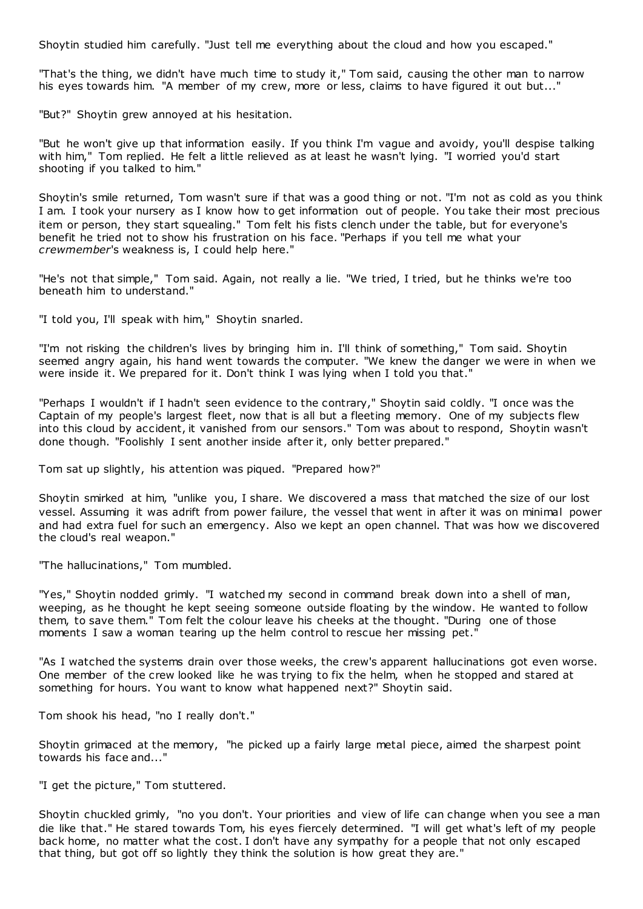Shoytin studied him carefully. "Just tell me everything about the cloud and how you escaped."

"That's the thing, we didn't have much time to study it," Tom said, causing the other man to narrow his eyes towards him. "A member of my crew, more or less, claims to have figured it out but..."

"But?" Shoytin grew annoyed at his hesitation.

"But he won't give up that information easily. If you think I'm vague and avoidy, you'll despise talking with him," Tom replied. He felt a little relieved as at least he wasn't lying. "I worried you'd start shooting if you talked to him."

Shoytin's smile returned, Tom wasn't sure if that was a good thing or not. "I'm not as cold as you think I am. I took your nursery as I know how to get information out of people. You take their most precious item or person, they start squealing." Tom felt his fists clench under the table, but for everyone's benefit he tried not to show his frustration on his face. "Perhaps if you tell me what your *crewmember*'s weakness is, I could help here."

"He's not that simple," Tom said. Again, not really a lie. "We tried, I tried, but he thinks we're too beneath him to understand."

"I told you, I'll speak with him," Shoytin snarled.

"I'm not risking the children's lives by bringing him in. I'll think of something," Tom said. Shoytin seemed angry again, his hand went towards the computer. "We knew the danger we were in when we were inside it. We prepared for it. Don't think I was lying when I told you that."

"Perhaps I wouldn't if I hadn't seen evidence to the contrary," Shoytin said coldly. "I once was the Captain of my people's largest fleet, now that is all but a fleeting memory. One of my subjects flew into this cloud by accident, it vanished from our sensors." Tom was about to respond, Shoytin wasn't done though. "Foolishly I sent another inside after it, only better prepared."

Tom sat up slightly, his attention was piqued. "Prepared how?"

Shoytin smirked at him, "unlike you, I share. We discovered a mass that matched the size of our lost vessel. Assuming it was adrift from power failure, the vessel that went in after it was on minimal power and had extra fuel for such an emergency. Also we kept an open channel. That was how we discovered the cloud's real weapon."

"The hallucinations," Tom mumbled.

"Yes," Shoytin nodded grimly. "I watched my second in command break down into a shell of man, weeping, as he thought he kept seeing someone outside floating by the window. He wanted to follow them, to save them." Tom felt the colour leave his cheeks at the thought. "During one of those moments I saw a woman tearing up the helm control to rescue her missing pet."

"As I watched the systems drain over those weeks, the crew's apparent hallucinations got even worse. One member of the crew looked like he was trying to fix the helm, when he stopped and stared at something for hours. You want to know what happened next?" Shoytin said.

Tom shook his head, "no I really don't."

Shoytin grimaced at the memory, "he picked up a fairly large metal piece, aimed the sharpest point towards his face and..."

"I get the picture," Tom stuttered.

Shoytin chuckled grimly, "no you don't. Your priorities and view of life can change when you see a man die like that." He stared towards Tom, his eyes fiercely determined. "I will get what's left of my people back home, no matter what the cost. I don't have any sympathy for a people that not only escaped that thing, but got off so lightly they think the solution is how great they are."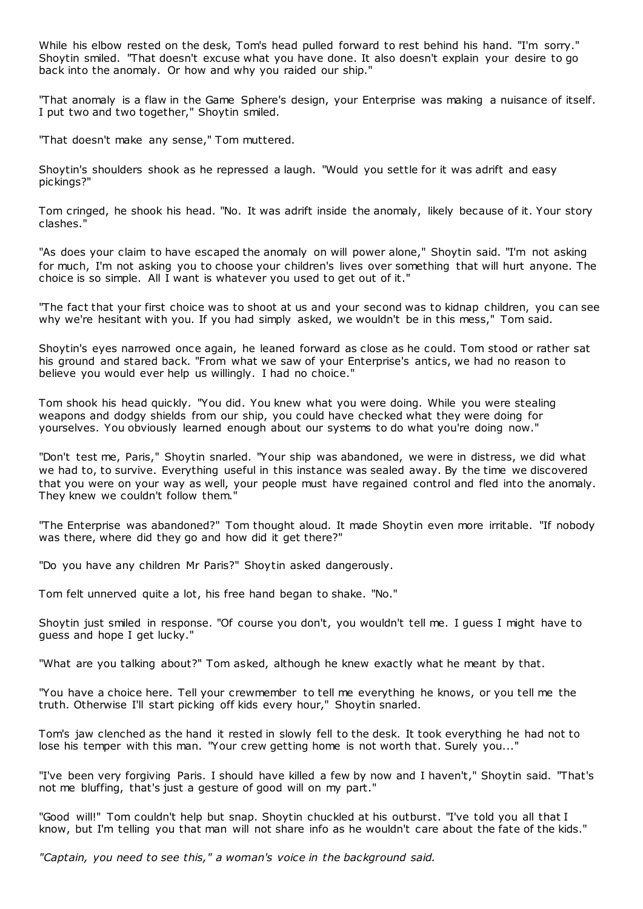While his elbow rested on the desk, Tom's head pulled forward to rest behind his hand. "I'm sorry." Shoytin smiled. "That doesn't excuse what you have done. It also doesn't explain your desire to go back into the anomaly. Or how and why you raided our ship."

"That anomaly is a flaw in the Game Sphere's design, your Enterprise was making a nuisance of itself. I put two and two together," Shoytin smiled.

"That doesn't make any sense," Tom muttered.

Shoytin's shoulders shook as he repressed a laugh. "Would you settle for it was adrift and easy pickings?"

Tom cringed, he shook his head. "No. It was adrift inside the anomaly, likely because of it. Your story clashes."

"As does your claim to have escaped the anomaly on will power alone," Shoytin said. "I'm not asking for much, I'm not asking you to choose your children's lives over something that will hurt anyone. The choice is so simple. All I want is whatever you used to get out of it."

"The fact that your first choice was to shoot at us and your second was to kidnap children, you can see why we're hesitant with you. If you had simply asked, we wouldn't be in this mess," Tom said.

Shoytin's eyes narrowed once again, he leaned forward as close as he could. Tom stood or rather sat his ground and stared back. "From what we saw of your Enterprise's antics, we had no reason to believe you would ever help us willingly. I had no choice."

Tom shook his head quickly. "You did. You knew what you were doing. While you were stealing weapons and dodgy shields from our ship, you could have checked what they were doing for yourselves. You obviously learned enough about our systems to do what you're doing now."

"Don't test me, Paris," Shoytin snarled. "Your ship was abandoned, we were in distress, we did what we had to, to survive. Everything useful in this instance was sealed away. By the time we discovered that you were on your way as well, your people must have regained control and fled into the anomaly. They knew we couldn't follow them.

"The Enterprise was abandoned?" Tom thought aloud. It made Shoytin even more irritable. "If nobody was there, where did they go and how did it get there?"

"Do you have any children Mr Paris?" Shoytin asked dangerously.

Tom felt unnerved quite a lot, his free hand began to shake. "No."

Shoytin just smiled in response. "Of course you don't, you wouldn't tell me. I guess I might have to guess and hope I get lucky."

"What are you talking about?" Tom asked, although he knew exactly what he meant by that.

"You have a choice here. Tell your crewmember to tell me everything he knows, or you tell me the truth. Otherwise I'll start picking off kids every hour," Shoytin snarled.

Tom's jaw clenched as the hand it rested in slowly fell to the desk. It took everything he had not to lose his temper with this man. "Your crew getting home is not worth that. Surely you..."

"I've been very forgiving Paris. I should have killed a few by now and I haven't," Shoytin said. "That's not me bluffing, that's just a gesture of good will on my part."

"Good will!" Tom couldn't help but snap. Shoytin chuckled at his outburst. "I've told you all that I know, but I'm telling you that man will not share info as he wouldn't care about the fate of the kids."

*"Captain, you need to see this," a woman's voice in the background said.*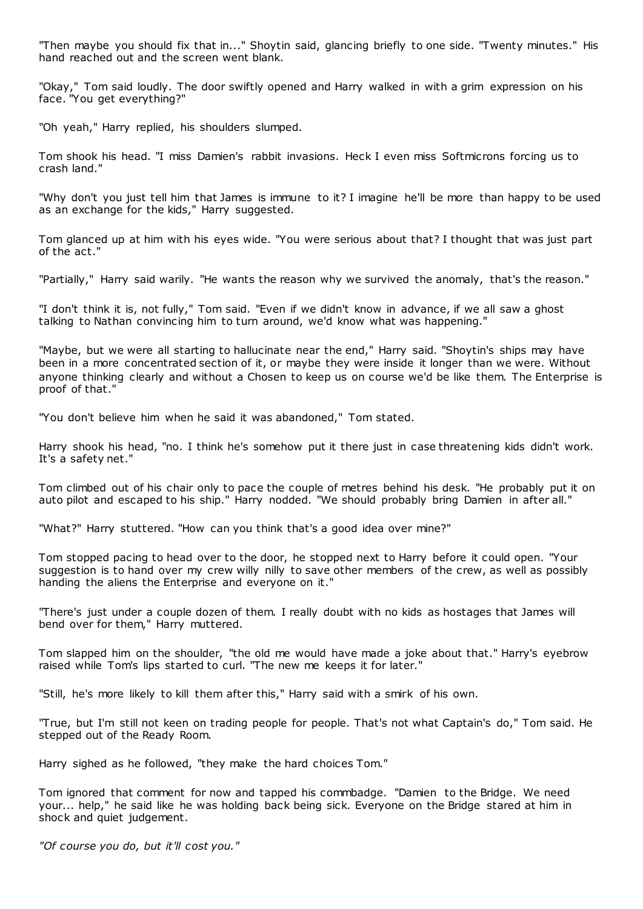"Then maybe you should fix that in..." Shoytin said, glancing briefly to one side. "Twenty minutes." His hand reached out and the screen went blank.

"Okay," Tom said loudly. The door swiftly opened and Harry walked in with a grim expression on his face. "You get everything?"

"Oh yeah," Harry replied, his shoulders slumped.

Tom shook his head. "I miss Damien's rabbit invasions. Heck I even miss Softmicrons forcing us to crash land."

"Why don't you just tell him that James is immune to it? I imagine he'll be more than happy to be used as an exchange for the kids," Harry suggested.

Tom glanced up at him with his eyes wide. "You were serious about that? I thought that was just part of the act."

"Partially," Harry said warily. "He wants the reason why we survived the anomaly, that's the reason."

"I don't think it is, not fully," Tom said. "Even if we didn't know in advance, if we all saw a ghost talking to Nathan convincing him to turn around, we'd know what was happening."

"Maybe, but we were all starting to hallucinate near the end," Harry said. "Shoytin's ships may have been in a more concentrated section of it, or maybe they were inside it longer than we were. Without anyone thinking clearly and without a Chosen to keep us on course we'd be like them. The Enterprise is proof of that."

"You don't believe him when he said it was abandoned," Tom stated.

Harry shook his head, "no. I think he's somehow put it there just in case threatening kids didn't work. It's a safety net."

Tom climbed out of his chair only to pace the couple of metres behind his desk. "He probably put it on auto pilot and escaped to his ship." Harry nodded. "We should probably bring Damien in after all."

"What?" Harry stuttered. "How can you think that's a good idea over mine?"

Tom stopped pacing to head over to the door, he stopped next to Harry before it could open. "Your suggestion is to hand over my crew willy nilly to save other members of the crew, as well as possibly handing the aliens the Enterprise and everyone on it."

"There's just under a couple dozen of them. I really doubt with no kids as hostages that James will bend over for them," Harry muttered.

Tom slapped him on the shoulder, "the old me would have made a joke about that." Harry's eyebrow raised while Tom's lips started to curl. "The new me keeps it for later."

"Still, he's more likely to kill them after this," Harry said with a smirk of his own.

"True, but I'm still not keen on trading people for people. That's not what Captain's do," Tom said. He stepped out of the Ready Room.

Harry sighed as he followed, "they make the hard choices Tom."

Tom ignored that comment for now and tapped his commbadge. "Damien to the Bridge. We need your... help," he said like he was holding back being sick. Everyone on the Bridge stared at him in shock and quiet judgement.

*"Of course you do, but it'll cost you."*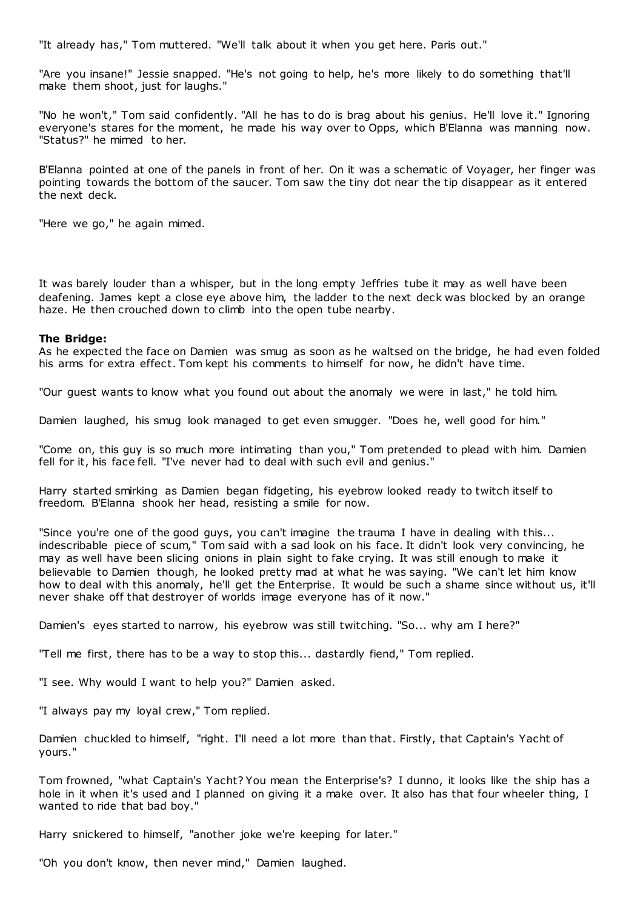"It already has," Tom muttered. "We'll talk about it when you get here. Paris out."

"Are you insane!" Jessie snapped. "He's not going to help, he's more likely to do something that'll make them shoot, just for laughs."

"No he won't," Tom said confidently. "All he has to do is brag about his genius. He'll love it." Ignoring everyone's stares for the moment, he made his way over to Opps, which B'Elanna was manning now. "Status?" he mimed to her.

B'Elanna pointed at one of the panels in front of her. On it was a schematic of Voyager, her finger was pointing towards the bottom of the saucer. Tom saw the tiny dot near the tip disappear as it entered the next deck.

"Here we go," he again mimed.

It was barely louder than a whisper, but in the long empty Jeffries tube it may as well have been deafening. James kept a close eye above him, the ladder to the next deck was blocked by an orange haze. He then crouched down to climb into the open tube nearby.

# **The Bridge:**

As he expected the face on Damien was smug as soon as he waltsed on the bridge, he had even folded his arms for extra effect. Tom kept his comments to himself for now, he didn't have time.

"Our guest wants to know what you found out about the anomaly we were in last," he told him.

Damien laughed, his smug look managed to get even smugger. "Does he, well good for him."

"Come on, this guy is so much more intimating than you," Tom pretended to plead with him. Damien fell for it, his face fell. "I've never had to deal with such evil and genius."

Harry started smirking as Damien began fidgeting, his eyebrow looked ready to twitch itself to freedom. B'Elanna shook her head, resisting a smile for now.

"Since you're one of the good guys, you can't imagine the trauma I have in dealing with this... indescribable piece of scum," Tom said with a sad look on his face. It didn't look very convincing, he may as well have been slicing onions in plain sight to fake crying. It was still enough to make it believable to Damien though, he looked pretty mad at what he was saying. "We can't let him know how to deal with this anomaly, he'll get the Enterprise. It would be such a shame since without us, it'll never shake off that destroyer of worlds image everyone has of it now."

Damien's eyes started to narrow, his eyebrow was still twitching. "So... why am I here?"

"Tell me first, there has to be a way to stop this... dastardly fiend," Tom replied.

"I see. Why would I want to help you?" Damien asked.

"I always pay my loyal crew," Tom replied.

Damien chuckled to himself, "right. I'll need a lot more than that. Firstly, that Captain's Yacht of yours."

Tom frowned, "what Captain's Yacht? You mean the Enterprise's? I dunno, it looks like the ship has a hole in it when it's used and I planned on giving it a make over. It also has that four wheeler thing, I wanted to ride that bad boy."

Harry snickered to himself, "another joke we're keeping for later."

"Oh you don't know, then never mind," Damien laughed.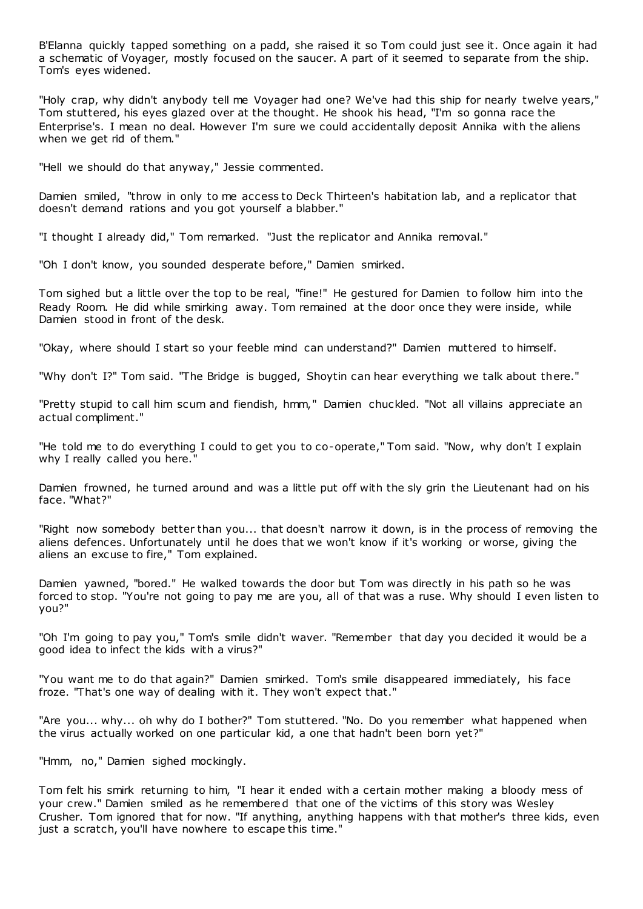B'Elanna quickly tapped something on a padd, she raised it so Tom could just see it. Once again it had a schematic of Voyager, mostly focused on the saucer. A part of it seemed to separate from the ship. Tom's eyes widened.

"Holy crap, why didn't anybody tell me Voyager had one? We've had this ship for nearly twelve years," Tom stuttered, his eyes glazed over at the thought. He shook his head, "I'm so gonna race the Enterprise's. I mean no deal. However I'm sure we could accidentally deposit Annika with the aliens when we get rid of them."

"Hell we should do that anyway," Jessie commented.

Damien smiled, "throw in only to me access to Deck Thirteen's habitation lab, and a replicator that doesn't demand rations and you got yourself a blabber."

"I thought I already did," Tom remarked. "Just the replicator and Annika removal."

"Oh I don't know, you sounded desperate before," Damien smirked.

Tom sighed but a little over the top to be real, "fine!" He gestured for Damien to follow him into the Ready Room. He did while smirking away. Tom remained at the door once they were inside, while Damien stood in front of the desk.

"Okay, where should I start so your feeble mind can understand?" Damien muttered to himself.

"Why don't I?" Tom said. "The Bridge is bugged, Shoytin can hear everything we talk about there."

"Pretty stupid to call him scum and fiendish, hmm," Damien chuckled. "Not all villains appreciate an actual compliment."

"He told me to do everything I could to get you to co-operate," Tom said. "Now, why don't I explain why I really called you here.'

Damien frowned, he turned around and was a little put off with the sly grin the Lieutenant had on his face. "What?"

"Right now somebody better than you... that doesn't narrow it down, is in the process of removing the aliens defences. Unfortunately until he does that we won't know if it's working or worse, giving the aliens an excuse to fire," Tom explained.

Damien yawned, "bored." He walked towards the door but Tom was directly in his path so he was forced to stop. "You're not going to pay me are you, all of that was a ruse. Why should I even listen to you?"

"Oh I'm going to pay you," Tom's smile didn't waver. "Remember that day you decided it would be a good idea to infect the kids with a virus?"

"You want me to do that again?" Damien smirked. Tom's smile disappeared immediately, his face froze. "That's one way of dealing with it. They won't expect that."

"Are you... why... oh why do I bother?" Tom stuttered. "No. Do you remember what happened when the virus actually worked on one particular kid, a one that hadn't been born yet?"

"Hmm, no," Damien sighed mockingly.

Tom felt his smirk returning to him, "I hear it ended with a certain mother making a bloody mess of your crew." Damien smiled as he remembered that one of the victims of this story was Wesley Crusher. Tom ignored that for now. "If anything, anything happens with that mother's three kids, even just a scratch, you'll have nowhere to escape this time."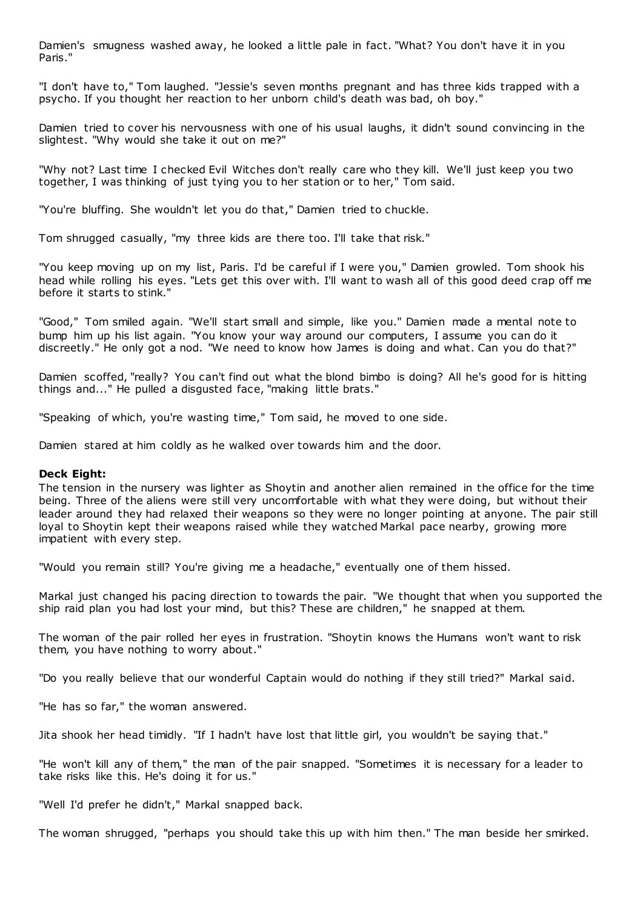Damien's smugness washed away, he looked a little pale in fact. "What? You don't have it in you Paris."

"I don't have to," Tom laughed. "Jessie's seven months pregnant and has three kids trapped with a psycho. If you thought her reaction to her unborn child's death was bad, oh boy."

Damien tried to cover his nervousness with one of his usual laughs, it didn't sound convincing in the slightest. "Why would she take it out on me?"

"Why not? Last time I checked Evil Witches don't really care who they kill. We'll just keep you two together, I was thinking of just tying you to her station or to her," Tom said.

"You're bluffing. She wouldn't let you do that," Damien tried to chuckle.

Tom shrugged casually, "my three kids are there too. I'll take that risk."

"You keep moving up on my list, Paris. I'd be careful if I were you," Damien growled. Tom shook his head while rolling his eyes. "Lets get this over with. I'll want to wash all of this good deed crap off me before it starts to stink."

"Good," Tom smiled again. "We'll start small and simple, like you." Damien made a mental note to bump him up his list again. "You know your way around our computers, I assume you can do it discreetly." He only got a nod. "We need to know how James is doing and what. Can you do that?"

Damien scoffed, "really? You can't find out what the blond bimbo is doing? All he's good for is hitting things and..." He pulled a disgusted face, "making little brats."

"Speaking of which, you're wasting time," Tom said, he moved to one side.

Damien stared at him coldly as he walked over towards him and the door.

# **Deck Eight:**

The tension in the nursery was lighter as Shoytin and another alien remained in the office for the time being. Three of the aliens were still very uncomfortable with what they were doing, but without their leader around they had relaxed their weapons so they were no longer pointing at anyone. The pair still loyal to Shoytin kept their weapons raised while they watched Markal pace nearby, growing more impatient with every step.

"Would you remain still? You're giving me a headache," eventually one of them hissed.

Markal just changed his pacing direction to towards the pair. "We thought that when you supported the ship raid plan you had lost your mind, but this? These are children," he snapped at them.

The woman of the pair rolled her eyes in frustration. "Shoytin knows the Humans won't want to risk them, you have nothing to worry about."

"Do you really believe that our wonderful Captain would do nothing if they still tried?" Markal said.

"He has so far," the woman answered.

Jita shook her head timidly. "If I hadn't have lost that little girl, you wouldn't be saying that."

"He won't kill any of them," the man of the pair snapped. "Sometimes it is necessary for a leader to take risks like this. He's doing it for us."

"Well I'd prefer he didn't," Markal snapped back.

The woman shrugged, "perhaps you should take this up with him then." The man beside her smirked.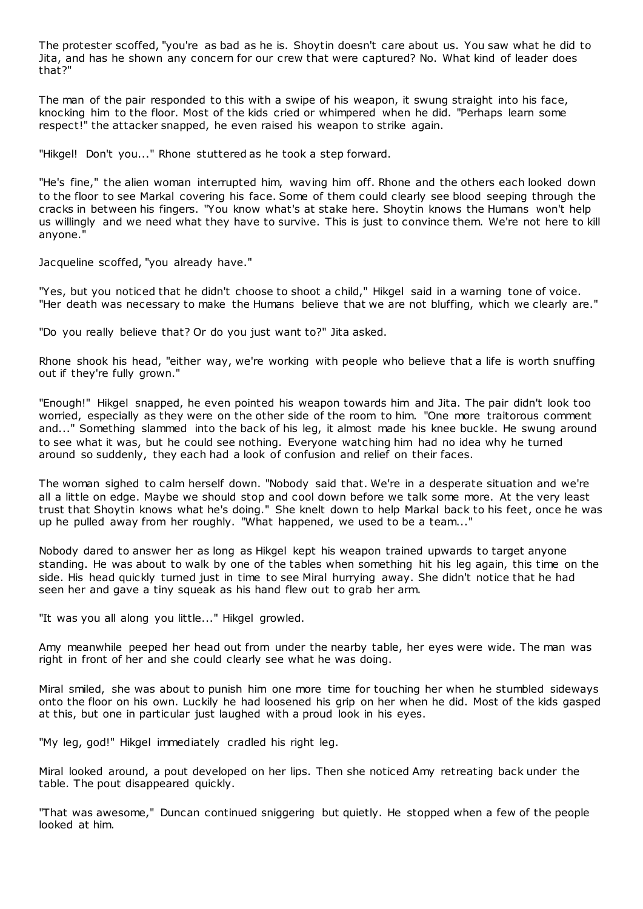The protester scoffed, "you're as bad as he is. Shoytin doesn't care about us. You saw what he did to Jita, and has he shown any concern for our crew that were captured? No. What kind of leader does that?"

The man of the pair responded to this with a swipe of his weapon, it swung straight into his face, knocking him to the floor. Most of the kids cried or whimpered when he did. "Perhaps learn some respect!" the attacker snapped, he even raised his weapon to strike again.

"Hikgel! Don't you..." Rhone stuttered as he took a step forward.

"He's fine," the alien woman interrupted him, waving him off. Rhone and the others each looked down to the floor to see Markal covering his face. Some of them could clearly see blood seeping through the cracks in between his fingers. "You know what's at stake here. Shoytin knows the Humans won't help us willingly and we need what they have to survive. This is just to convince them. We're not here to kill anyone."

Jacqueline scoffed, "you already have."

"Yes, but you noticed that he didn't choose to shoot a child," Hikgel said in a warning tone of voice. "Her death was necessary to make the Humans believe that we are not bluffing, which we clearly are."

"Do you really believe that? Or do you just want to?" Jita asked.

Rhone shook his head, "either way, we're working with people who believe that a life is worth snuffing out if they're fully grown."

"Enough!" Hikgel snapped, he even pointed his weapon towards him and Jita. The pair didn't look too worried, especially as they were on the other side of the room to him. "One more traitorous comment and..." Something slammed into the back of his leg, it almost made his knee buckle. He swung around to see what it was, but he could see nothing. Everyone watching him had no idea why he turned around so suddenly, they each had a look of confusion and relief on their faces.

The woman sighed to calm herself down. "Nobody said that. We're in a desperate situation and we're all a little on edge. Maybe we should stop and cool down before we talk some more. At the very least trust that Shoytin knows what he's doing." She knelt down to help Markal back to his feet, once he was up he pulled away from her roughly. "What happened, we used to be a team..."

Nobody dared to answer her as long as Hikgel kept his weapon trained upwards to target anyone standing. He was about to walk by one of the tables when something hit his leg again, this time on the side. His head quickly turned just in time to see Miral hurrying away. She didn't notice that he had seen her and gave a tiny squeak as his hand flew out to grab her arm.

"It was you all along you little..." Hikgel growled.

Amy meanwhile peeped her head out from under the nearby table, her eyes were wide. The man was right in front of her and she could clearly see what he was doing.

Miral smiled, she was about to punish him one more time for touching her when he stumbled sideways onto the floor on his own. Luckily he had loosened his grip on her when he did. Most of the kids gasped at this, but one in particular just laughed with a proud look in his eyes.

"My leg, god!" Hikgel immediately cradled his right leg.

Miral looked around, a pout developed on her lips. Then she noticed Amy retreating back under the table. The pout disappeared quickly.

"That was awesome," Duncan continued sniggering but quietly. He stopped when a few of the people looked at him.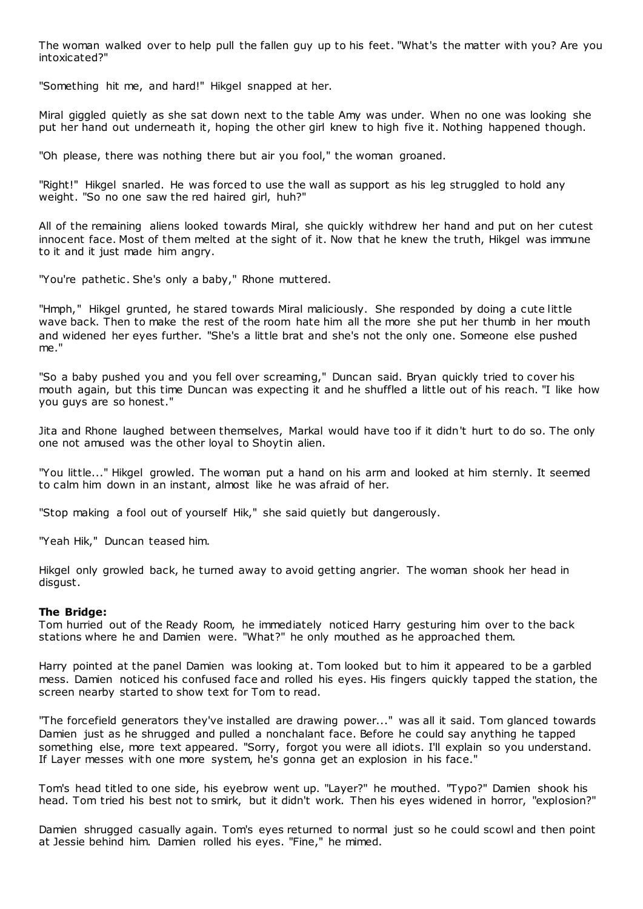The woman walked over to help pull the fallen guy up to his feet. "What's the matter with you? Are you intoxicated?"

"Something hit me, and hard!" Hikgel snapped at her.

Miral giggled quietly as she sat down next to the table Amy was under. When no one was looking she put her hand out underneath it, hoping the other girl knew to high five it. Nothing happened though.

"Oh please, there was nothing there but air you fool," the woman groaned.

"Right!" Hikgel snarled. He was forced to use the wall as support as his leg struggled to hold any weight. "So no one saw the red haired girl, huh?"

All of the remaining aliens looked towards Miral, she quickly withdrew her hand and put on her cutest innocent face. Most of them melted at the sight of it. Now that he knew the truth, Hikgel was immune to it and it just made him angry.

"You're pathetic. She's only a baby," Rhone muttered.

"Hmph," Hikgel grunted, he stared towards Miral maliciously. She responded by doing a cute little wave back. Then to make the rest of the room hate him all the more she put her thumb in her mouth and widened her eyes further. "She's a little brat and she's not the only one. Someone else pushed me."

"So a baby pushed you and you fell over screaming," Duncan said. Bryan quickly tried to cover his mouth again, but this time Duncan was expecting it and he shuffled a little out of his reach. "I like how you guys are so honest."

Jita and Rhone laughed between themselves, Markal would have too if it didn't hurt to do so. The only one not amused was the other loyal to Shoytin alien.

"You little..." Hikgel growled. The woman put a hand on his arm and looked at him sternly. It seemed to calm him down in an instant, almost like he was afraid of her.

"Stop making a fool out of yourself Hik," she said quietly but dangerously.

"Yeah Hik," Duncan teased him.

Hikgel only growled back, he turned away to avoid getting angrier. The woman shook her head in disgust.

# **The Bridge:**

Tom hurried out of the Ready Room, he immediately noticed Harry gesturing him over to the back stations where he and Damien were. "What?" he only mouthed as he approached them.

Harry pointed at the panel Damien was looking at. Tom looked but to him it appeared to be a garbled mess. Damien noticed his confused face and rolled his eyes. His fingers quickly tapped the station, the screen nearby started to show text for Tom to read.

"The forcefield generators they've installed are drawing power..." was all it said. Tom glanced towards Damien just as he shrugged and pulled a nonchalant face. Before he could say anything he tapped something else, more text appeared. "Sorry, forgot you were all idiots. I'll explain so you understand. If Layer messes with one more system, he's gonna get an explosion in his face."

Tom's head titled to one side, his eyebrow went up. "Layer?" he mouthed. "Typo?" Damien shook his head. Tom tried his best not to smirk, but it didn't work. Then his eyes widened in horror, "explosion?"

Damien shrugged casually again. Tom's eyes returned to normal just so he could scowl and then point at Jessie behind him. Damien rolled his eyes. "Fine," he mimed.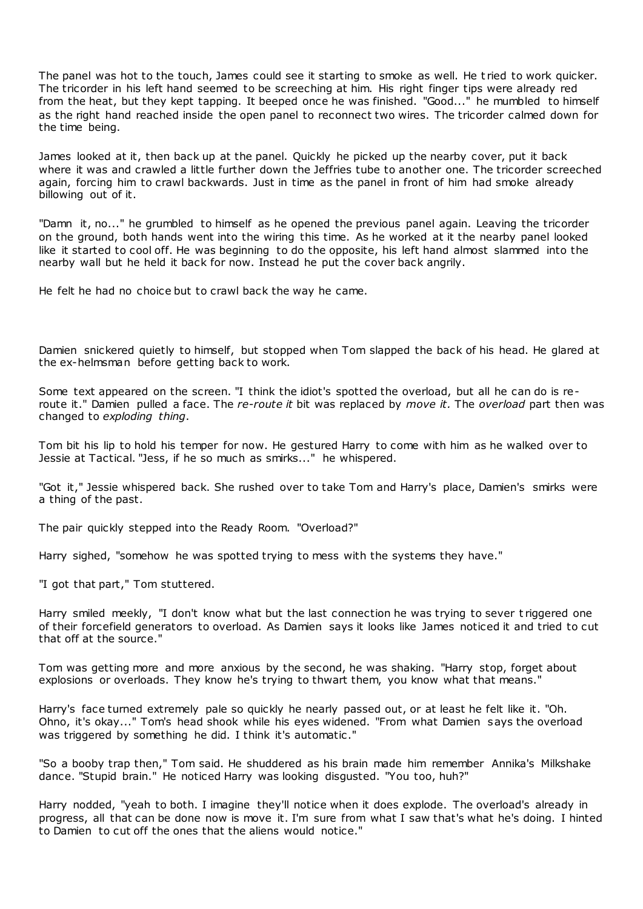The panel was hot to the touch, James could see it starting to smoke as well. He t ried to work quicker. The tricorder in his left hand seemed to be screeching at him. His right finger tips were already red from the heat, but they kept tapping. It beeped once he was finished. "Good..." he mumbled to himself as the right hand reached inside the open panel to reconnect two wires. The tricorder calmed down for the time being.

James looked at it, then back up at the panel. Quickly he picked up the nearby cover, put it back where it was and crawled a little further down the Jeffries tube to another one. The tricorder screeched again, forcing him to crawl backwards. Just in time as the panel in front of him had smoke already billowing out of it.

"Damn it, no..." he grumbled to himself as he opened the previous panel again. Leaving the tricorder on the ground, both hands went into the wiring this time. As he worked at it the nearby panel looked like it started to cool off. He was beginning to do the opposite, his left hand almost slammed into the nearby wall but he held it back for now. Instead he put the cover back angrily.

He felt he had no choice but to crawl back the way he came.

Damien snickered quietly to himself, but stopped when Tom slapped the back of his head. He glared at the ex-helmsman before getting back to work.

Some text appeared on the screen. "I think the idiot's spotted the overload, but all he can do is reroute it." Damien pulled a face. The *re-route it* bit was replaced by *move it.* The *overload* part then was changed to *exploding thing*.

Tom bit his lip to hold his temper for now. He gestured Harry to come with him as he walked over to Jessie at Tactical. "Jess, if he so much as smirks..." he whispered.

"Got it," Jessie whispered back. She rushed over to take Tom and Harry's place, Damien's smirks were a thing of the past.

The pair quickly stepped into the Ready Room. "Overload?"

Harry sighed, "somehow he was spotted trying to mess with the systems they have."

"I got that part," Tom stuttered.

Harry smiled meekly, "I don't know what but the last connection he was trying to sever t riggered one of their forcefield generators to overload. As Damien says it looks like James noticed it and tried to cut that off at the source."

Tom was getting more and more anxious by the second, he was shaking. "Harry stop, forget about explosions or overloads. They know he's trying to thwart them, you know what that means."

Harry's face turned extremely pale so quickly he nearly passed out, or at least he felt like it. "Oh. Ohno, it's okay..." Tom's head shook while his eyes widened. "From what Damien says the overload was triggered by something he did. I think it's automatic."

"So a booby trap then," Tom said. He shuddered as his brain made him remember Annika's Milkshake dance. "Stupid brain." He noticed Harry was looking disgusted. "You too, huh?"

Harry nodded, "yeah to both. I imagine they'll notice when it does explode. The overload's already in progress, all that can be done now is move it. I'm sure from what I saw that's what he's doing. I hinted to Damien to cut off the ones that the aliens would notice."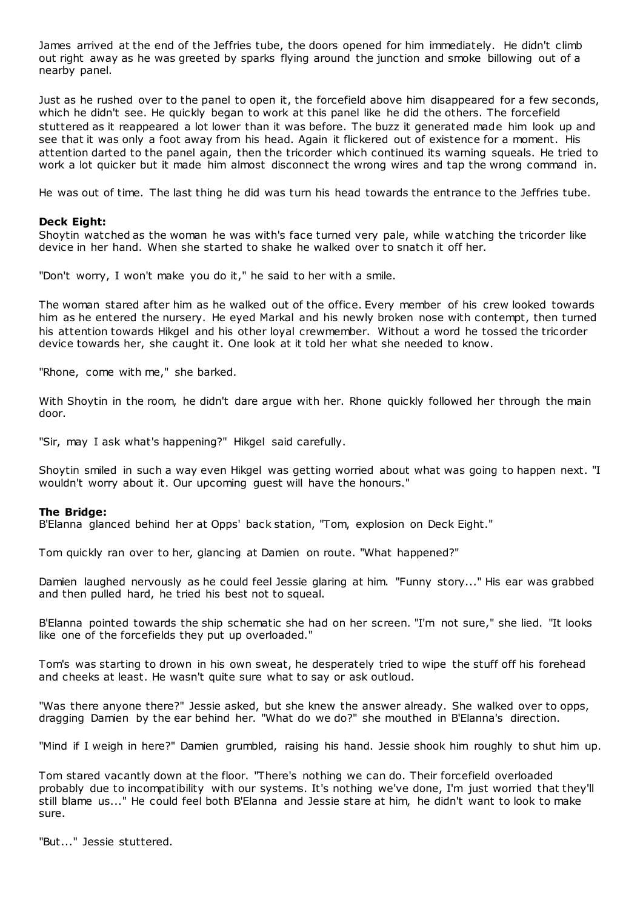James arrived at the end of the Jeffries tube, the doors opened for him immediately. He didn't climb out right away as he was greeted by sparks flying around the junction and smoke billowing out of a nearby panel.

Just as he rushed over to the panel to open it, the forcefield above him disappeared for a few seconds, which he didn't see. He quickly began to work at this panel like he did the others. The forcefield stuttered as it reappeared a lot lower than it was before. The buzz it generated made him look up and see that it was only a foot away from his head. Again it flickered out of existence for a moment. His attention darted to the panel again, then the tricorder which continued its warning squeals. He tried to work a lot quicker but it made him almost disconnect the wrong wires and tap the wrong command in.

He was out of time. The last thing he did was turn his head towards the entrance to the Jeffries tube.

#### **Deck Eight:**

Shoytin watched as the woman he was with's face turned very pale, while watching the tricorder like device in her hand. When she started to shake he walked over to snatch it off her.

"Don't worry, I won't make you do it," he said to her with a smile.

The woman stared after him as he walked out of the office. Every member of his crew looked towards him as he entered the nursery. He eyed Markal and his newly broken nose with contempt, then turned his attention towards Hikgel and his other loyal crewmember. Without a word he tossed the tricorder device towards her, she caught it. One look at it told her what she needed to know.

"Rhone, come with me," she barked.

With Shoytin in the room, he didn't dare argue with her. Rhone quickly followed her through the main door.

"Sir, may I ask what's happening?" Hikgel said carefully.

Shoytin smiled in such a way even Hikgel was getting worried about what was going to happen next. "I wouldn't worry about it. Our upcoming guest will have the honours."

#### **The Bridge:**

B'Elanna glanced behind her at Opps' back station, "Tom, explosion on Deck Eight."

Tom quickly ran over to her, glancing at Damien on route. "What happened?"

Damien laughed nervously as he could feel Jessie glaring at him. "Funny story..." His ear was grabbed and then pulled hard, he tried his best not to squeal.

B'Elanna pointed towards the ship schematic she had on her screen. "I'm not sure," she lied. "It looks like one of the forcefields they put up overloaded."

Tom's was starting to drown in his own sweat, he desperately tried to wipe the stuff off his forehead and cheeks at least. He wasn't quite sure what to say or ask outloud.

"Was there anyone there?" Jessie asked, but she knew the answer already. She walked over to opps, dragging Damien by the ear behind her. "What do we do?" she mouthed in B'Elanna's direction.

"Mind if I weigh in here?" Damien grumbled, raising his hand. Jessie shook him roughly to shut him up.

Tom stared vacantly down at the floor. "There's nothing we can do. Their forcefield overloaded probably due to incompatibility with our systems. It's nothing we've done, I'm just worried that they'll still blame us..." He could feel both B'Elanna and Jessie stare at him, he didn't want to look to make sure.

"But..." Jessie stuttered.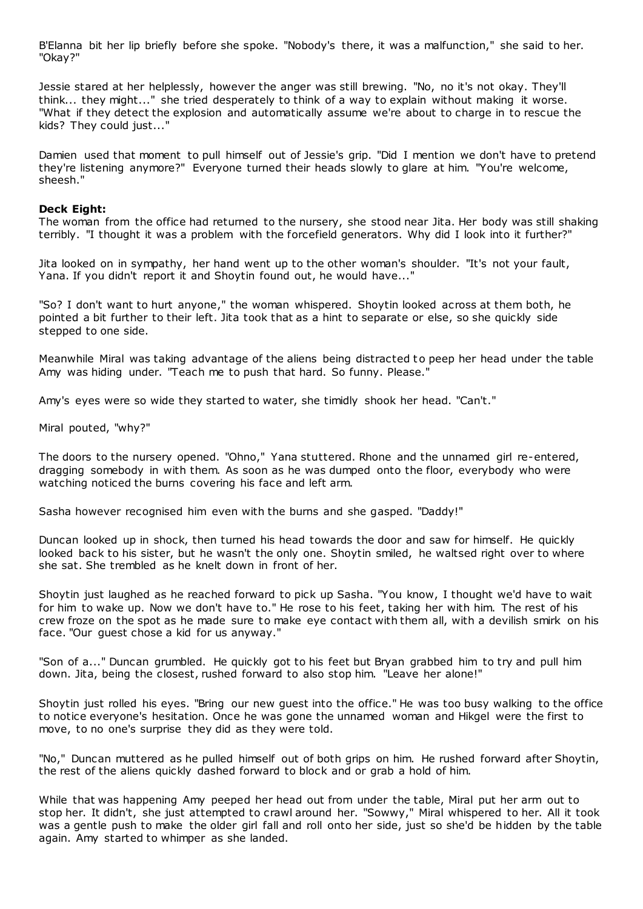B'Elanna bit her lip briefly before she spoke. "Nobody's there, it was a malfunction," she said to her. "Okay?"

Jessie stared at her helplessly, however the anger was still brewing. "No, no it's not okay. They'll think... they might..." she tried desperately to think of a way to explain without making it worse. "What if they detect the explosion and automatically assume we're about to charge in to rescue the kids? They could just..."

Damien used that moment to pull himself out of Jessie's grip. "Did I mention we don't have to pretend they're listening anymore?" Everyone turned their heads slowly to glare at him. "You're welcome, sheesh."

# **Deck Eight:**

The woman from the office had returned to the nursery, she stood near Jita. Her body was still shaking terribly. "I thought it was a problem with the forcefield generators. Why did I look into it further?"

Jita looked on in sympathy, her hand went up to the other woman's shoulder. "It's not your fault, Yana. If you didn't report it and Shoytin found out, he would have..."

"So? I don't want to hurt anyone," the woman whispered. Shoytin looked across at them both, he pointed a bit further to their left. Jita took that as a hint to separate or else, so she quickly side stepped to one side.

Meanwhile Miral was taking advantage of the aliens being distracted to peep her head under the table Amy was hiding under. "Teach me to push that hard. So funny. Please."

Amy's eyes were so wide they started to water, she timidly shook her head. "Can't."

Miral pouted, "why?"

The doors to the nursery opened. "Ohno," Yana stuttered. Rhone and the unnamed girl re-entered, dragging somebody in with them. As soon as he was dumped onto the floor, everybody who were watching noticed the burns covering his face and left arm.

Sasha however recognised him even with the burns and she gasped. "Daddy!"

Duncan looked up in shock, then turned his head towards the door and saw for himself. He quickly looked back to his sister, but he wasn't the only one. Shoytin smiled, he waltsed right over to where she sat. She trembled as he knelt down in front of her.

Shoytin just laughed as he reached forward to pick up Sasha. "You know, I thought we'd have to wait for him to wake up. Now we don't have to." He rose to his feet, taking her with him. The rest of his crew froze on the spot as he made sure to make eye contact with them all, with a devilish smirk on his face. "Our guest chose a kid for us anyway."

"Son of a..." Duncan grumbled. He quickly got to his feet but Bryan grabbed him to try and pull him down. Jita, being the closest, rushed forward to also stop him. "Leave her alone!"

Shoytin just rolled his eyes. "Bring our new guest into the office." He was too busy walking to the office to notice everyone's hesitation. Once he was gone the unnamed woman and Hikgel were the first to move, to no one's surprise they did as they were told.

"No," Duncan muttered as he pulled himself out of both grips on him. He rushed forward after Shoytin, the rest of the aliens quickly dashed forward to block and or grab a hold of him.

While that was happening Amy peeped her head out from under the table, Miral put her arm out to stop her. It didn't, she just attempted to crawl around her. "Sowwy," Miral whispered to her. All it took was a gentle push to make the older girl fall and roll onto her side, just so she'd be hidden by the table again. Amy started to whimper as she landed.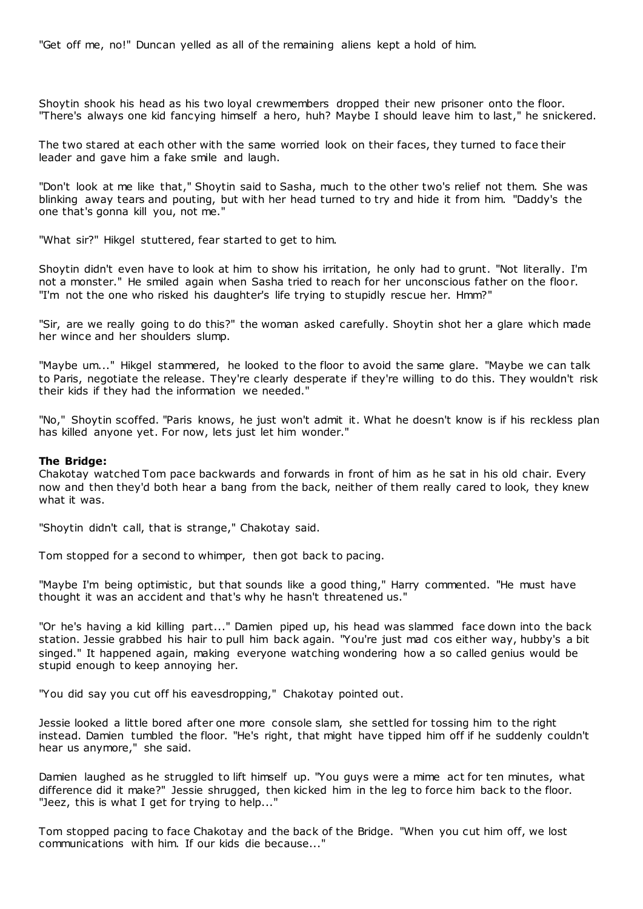"Get off me, no!" Duncan yelled as all of the remaining aliens kept a hold of him.

Shoytin shook his head as his two loyal crewmembers dropped their new prisoner onto the floor. "There's always one kid fancying himself a hero, huh? Maybe I should leave him to last," he snickered.

The two stared at each other with the same worried look on their faces, they turned to face their leader and gave him a fake smile and laugh.

"Don't look at me like that," Shoytin said to Sasha, much to the other two's relief not them. She was blinking away tears and pouting, but with her head turned to try and hide it from him. "Daddy's the one that's gonna kill you, not me."

"What sir?" Hikgel stuttered, fear started to get to him.

Shoytin didn't even have to look at him to show his irritation, he only had to grunt. "Not literally. I'm not a monster." He smiled again when Sasha tried to reach for her unconscious father on the floor. "I'm not the one who risked his daughter's life trying to stupidly rescue her. Hmm?"

"Sir, are we really going to do this?" the woman asked carefully. Shoytin shot her a glare which made her wince and her shoulders slump.

"Maybe um..." Hikgel stammered, he looked to the floor to avoid the same glare. "Maybe we can talk to Paris, negotiate the release. They're clearly desperate if they're willing to do this. They wouldn't risk their kids if they had the information we needed."

"No," Shoytin scoffed. "Paris knows, he just won't admit it. What he doesn't know is if his reckless plan has killed anyone yet. For now, lets just let him wonder."

# **The Bridge:**

Chakotay watched Tom pace backwards and forwards in front of him as he sat in his old chair. Every now and then they'd both hear a bang from the back, neither of them really cared to look, they knew what it was.

"Shoytin didn't call, that is strange," Chakotay said.

Tom stopped for a second to whimper, then got back to pacing.

"Maybe I'm being optimistic, but that sounds like a good thing," Harry commented. "He must have thought it was an accident and that's why he hasn't threatened us."

"Or he's having a kid killing part..." Damien piped up, his head was slammed face down into the back station. Jessie grabbed his hair to pull him back again. "You're just mad cos either way, hubby's a bit singed." It happened again, making everyone watching wondering how a so called genius would be stupid enough to keep annoying her.

"You did say you cut off his eavesdropping," Chakotay pointed out.

Jessie looked a little bored after one more console slam, she settled for tossing him to the right instead. Damien tumbled the floor. "He's right, that might have tipped him off if he suddenly couldn't hear us anymore," she said.

Damien laughed as he struggled to lift himself up. "You guys were a mime act for ten minutes, what difference did it make?" Jessie shrugged, then kicked him in the leg to force him back to the floor. "Jeez, this is what I get for trying to help..."

Tom stopped pacing to face Chakotay and the back of the Bridge. "When you cut him off, we lost communications with him. If our kids die because..."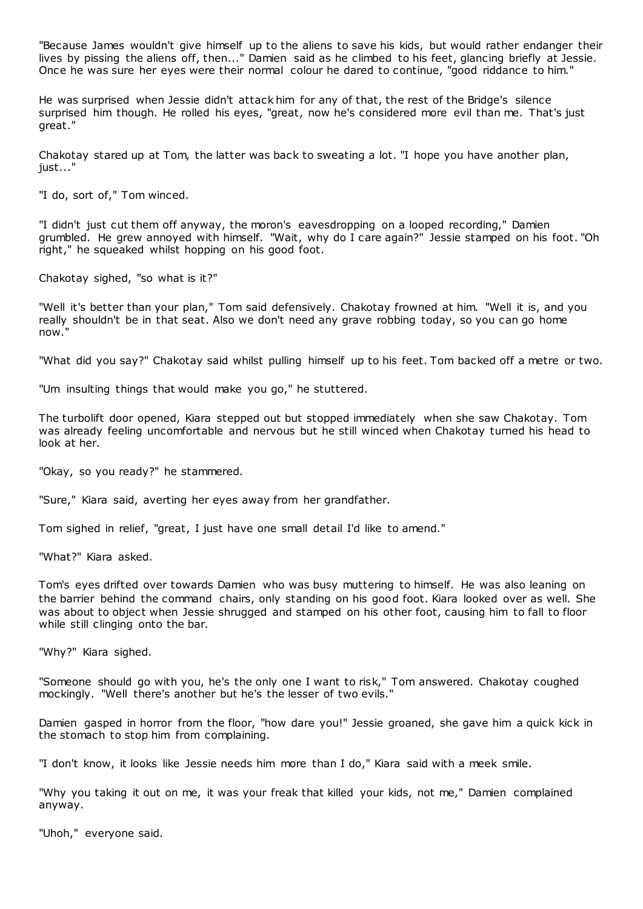"Because James wouldn't give himself up to the aliens to save his kids, but would rather endanger their lives by pissing the aliens off, then..." Damien said as he climbed to his feet, glancing briefly at Jessie. Once he was sure her eyes were their normal colour he dared to continue, "good riddance to him."

He was surprised when Jessie didn't attack him for any of that, the rest of the Bridge's silence surprised him though. He rolled his eyes, "great, now he's considered more evil than me. That's just great."

Chakotay stared up at Tom, the latter was back to sweating a lot. "I hope you have another plan, just..."

"I do, sort of," Tom winced.

"I didn't just cut them off anyway, the moron's eavesdropping on a looped recording," Damien grumbled. He grew annoyed with himself. "Wait, why do I care again?" Jessie stamped on his foot. "Oh right," he squeaked whilst hopping on his good foot.

Chakotay sighed, "so what is it?"

"Well it's better than your plan," Tom said defensively. Chakotay frowned at him. "Well it is, and you really shouldn't be in that seat. Also we don't need any grave robbing today, so you can go home now."

"What did you say?" Chakotay said whilst pulling himself up to his feet. Tom backed off a metre or two.

"Um insulting things that would make you go," he stuttered.

The turbolift door opened, Kiara stepped out but stopped immediately when she saw Chakotay. Tom was already feeling uncomfortable and nervous but he still winced when Chakotay turned his head to look at her.

"Okay, so you ready?" he stammered.

"Sure," Kiara said, averting her eyes away from her grandfather.

Tom sighed in relief, "great, I just have one small detail I'd like to amend."

"What?" Kiara asked.

Tom's eyes drifted over towards Damien who was busy muttering to himself. He was also leaning on the barrier behind the command chairs, only standing on his good foot. Kiara looked over as well. She was about to object when Jessie shrugged and stamped on his other foot, causing him to fall to floor while still clinging onto the bar.

"Why?" Kiara sighed.

"Someone should go with you, he's the only one I want to risk," Tom answered. Chakotay coughed mockingly. "Well there's another but he's the lesser of two evils."

Damien gasped in horror from the floor, "how dare you!" Jessie groaned, she gave him a quick kick in the stomach to stop him from complaining.

"I don't know, it looks like Jessie needs him more than I do," Kiara said with a meek smile.

"Why you taking it out on me, it was your freak that killed your kids, not me," Damien complained anyway.

"Uhoh," everyone said.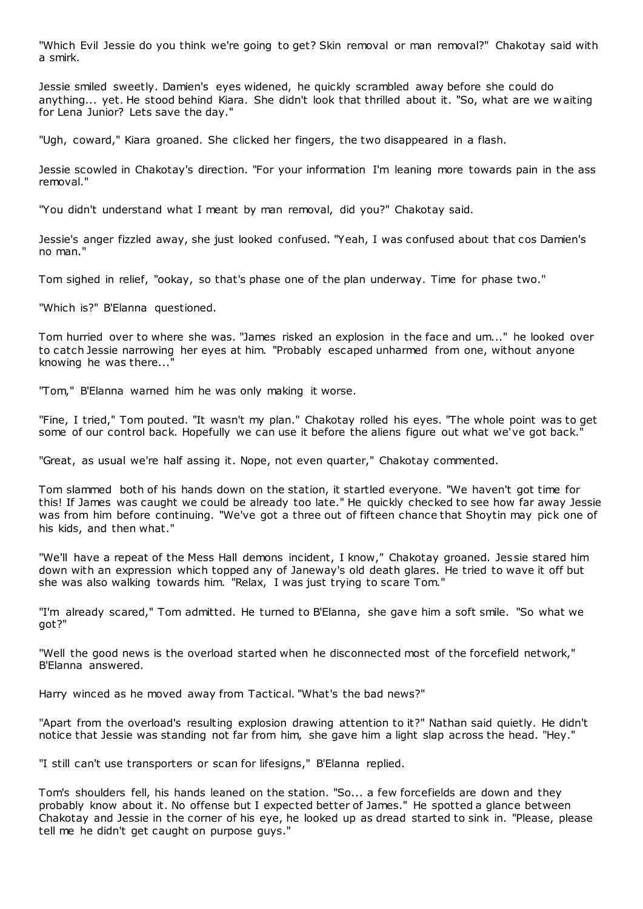"Which Evil Jessie do you think we're going to get? Skin removal or man removal?" Chakotay said with a smirk.

Jessie smiled sweetly. Damien's eyes widened, he quickly scrambled away before she could do anything... yet. He stood behind Kiara. She didn't look that thrilled about it. "So, what are we w aiting for Lena Junior? Lets save the day."

"Ugh, coward," Kiara groaned. She clicked her fingers, the two disappeared in a flash.

Jessie scowled in Chakotay's direction. "For your information I'm leaning more towards pain in the ass removal."

"You didn't understand what I meant by man removal, did you?" Chakotay said.

Jessie's anger fizzled away, she just looked confused. "Yeah, I was confused about that cos Damien's no man."

Tom sighed in relief, "ookay, so that's phase one of the plan underway. Time for phase two."

"Which is?" B'Elanna questioned.

Tom hurried over to where she was. "James risked an explosion in the face and um..." he looked over to catch Jessie narrowing her eyes at him. "Probably escaped unharmed from one, without anyone knowing he was there...

"Tom," B'Elanna warned him he was only making it worse.

"Fine, I tried," Tom pouted. "It wasn't my plan." Chakotay rolled his eyes. "The whole point was to get some of our control back. Hopefully we can use it before the aliens figure out what we've got back."

"Great, as usual we're half assing it. Nope, not even quarter," Chakotay commented.

Tom slammed both of his hands down on the station, it startled everyone. "We haven't got time for this! If James was caught we could be already too late." He quickly checked to see how far away Jessie was from him before continuing. "We've got a three out of fifteen chance that Shoytin may pick one of his kids, and then what."

"We'll have a repeat of the Mess Hall demons incident, I know," Chakotay groaned. Jes sie stared him down with an expression which topped any of Janeway's old death glares. He tried to wave it off but she was also walking towards him. "Relax, I was just trying to scare Tom."

"I'm already scared," Tom admitted. He turned to B'Elanna, she gave him a soft smile. "So what we got?"

"Well the good news is the overload started when he disconnected most of the forcefield network," B'Elanna answered.

Harry winced as he moved away from Tactical. "What's the bad news?"

"Apart from the overload's resulting explosion drawing attention to it?" Nathan said quietly. He didn't notice that Jessie was standing not far from him, she gave him a light slap across the head. "Hey."

"I still can't use transporters or scan for lifesigns," B'Elanna replied.

Tom's shoulders fell, his hands leaned on the station. "So... a few forcefields are down and they probably know about it. No offense but I expected better of James." He spotted a glance between Chakotay and Jessie in the corner of his eye, he looked up as dread started to sink in. "Please, please tell me he didn't get caught on purpose guys."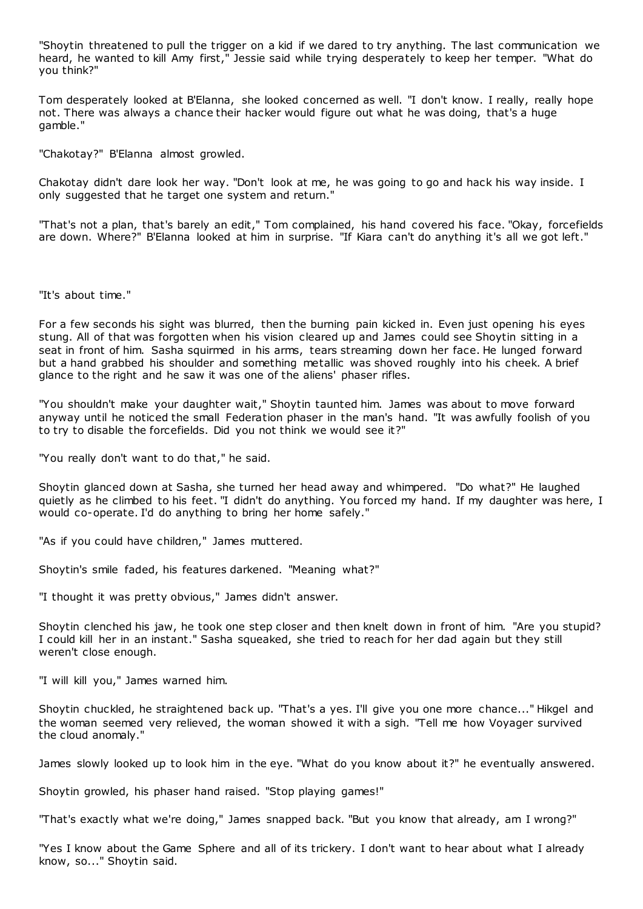"Shoytin threatened to pull the trigger on a kid if we dared to try anything. The last communication we heard, he wanted to kill Amy first," Jessie said while trying desperately to keep her temper. "What do you think?"

Tom desperately looked at B'Elanna, she looked concerned as well. "I don't know. I really, really hope not. There was always a chance their hacker would figure out what he was doing, that's a huge gamble."

"Chakotay?" B'Elanna almost growled.

Chakotay didn't dare look her way. "Don't look at me, he was going to go and hack his way inside. I only suggested that he target one system and return."

"That's not a plan, that's barely an edit," Tom complained, his hand covered his face. "Okay, forcefields are down. Where?" B'Elanna looked at him in surprise. "If Kiara can't do anything it's all we got left."

"It's about time."

For a few seconds his sight was blurred, then the burning pain kicked in. Even just opening his eyes stung. All of that was forgotten when his vision cleared up and James could see Shoytin sitting in a seat in front of him. Sasha squirmed in his arms, tears streaming down her face. He lunged forward but a hand grabbed his shoulder and something metallic was shoved roughly into his cheek. A brief glance to the right and he saw it was one of the aliens' phaser rifles.

"You shouldn't make your daughter wait," Shoytin taunted him. James was about to move forward anyway until he noticed the small Federation phaser in the man's hand. "It was awfully foolish of you to try to disable the forcefields. Did you not think we would see it?"

"You really don't want to do that," he said.

Shoytin glanced down at Sasha, she turned her head away and whimpered. "Do what?" He laughed quietly as he climbed to his feet. "I didn't do anything. You forced my hand. If my daughter was here, I would co-operate. I'd do anything to bring her home safely."

"As if you could have children," James muttered.

Shoytin's smile faded, his features darkened. "Meaning what?"

"I thought it was pretty obvious," James didn't answer.

Shoytin clenched his jaw, he took one step closer and then knelt down in front of him. "Are you stupid? I could kill her in an instant." Sasha squeaked, she tried to reach for her dad again but they still weren't close enough.

"I will kill you," James warned him.

Shoytin chuckled, he straightened back up. "That's a yes. I'll give you one more chance..." Hikgel and the woman seemed very relieved, the woman showed it with a sigh. "Tell me how Voyager survived the cloud anomaly."

James slowly looked up to look him in the eye. "What do you know about it?" he eventually answered.

Shoytin growled, his phaser hand raised. "Stop playing games!"

"That's exactly what we're doing," James snapped back. "But you know that already, am I wrong?"

"Yes I know about the Game Sphere and all of its trickery. I don't want to hear about what I already know, so..." Shoytin said.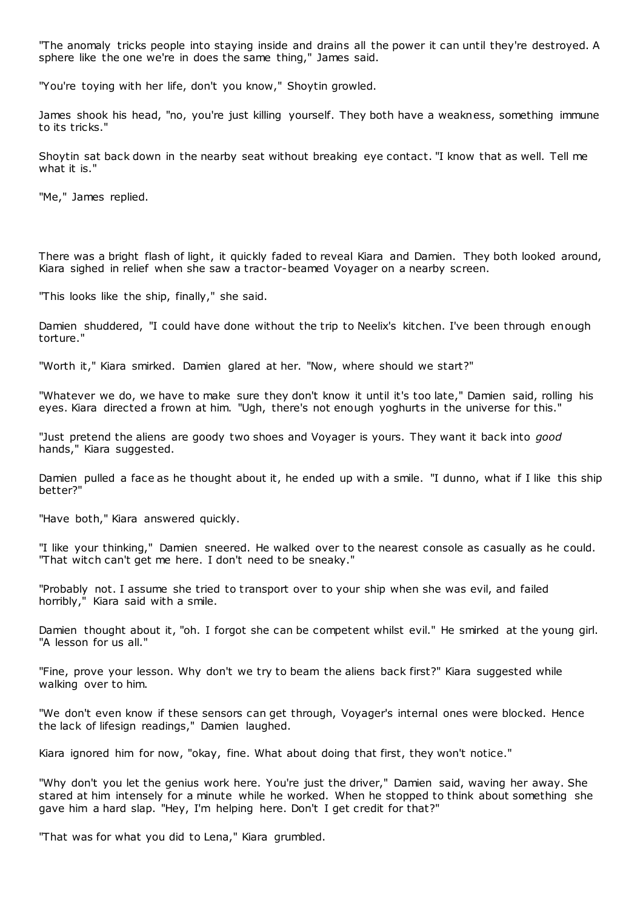"The anomaly tricks people into staying inside and drains all the power it can until they're destroyed. A sphere like the one we're in does the same thing," James said.

"You're toying with her life, don't you know," Shoytin growled.

James shook his head, "no, you're just killing yourself. They both have a weakness, something immune to its tricks."

Shoytin sat back down in the nearby seat without breaking eye contact. "I know that as well. Tell me what it is."

"Me," James replied.

There was a bright flash of light, it quickly faded to reveal Kiara and Damien. They both looked around, Kiara sighed in relief when she saw a tractor-beamed Voyager on a nearby screen.

"This looks like the ship, finally," she said.

Damien shuddered, "I could have done without the trip to Neelix's kitchen. I've been through enough torture."

"Worth it," Kiara smirked. Damien glared at her. "Now, where should we start?"

"Whatever we do, we have to make sure they don't know it until it's too late," Damien said, rolling his eyes. Kiara directed a frown at him. "Ugh, there's not enough yoghurts in the universe for this."

"Just pretend the aliens are goody two shoes and Voyager is yours. They want it back into *good* hands," Kiara suggested.

Damien pulled a face as he thought about it, he ended up with a smile. "I dunno, what if I like this ship better?"

"Have both," Kiara answered quickly.

"I like your thinking," Damien sneered. He walked over to the nearest console as casually as he could. "That witch can't get me here. I don't need to be sneaky."

"Probably not. I assume she tried to t ransport over to your ship when she was evil, and failed horribly," Kiara said with a smile.

Damien thought about it, "oh. I forgot she can be competent whilst evil." He smirked at the young girl. "A lesson for us all."

"Fine, prove your lesson. Why don't we try to beam the aliens back first?" Kiara suggested while walking over to him.

"We don't even know if these sensors can get through, Voyager's internal ones were blocked. Hence the lack of lifesign readings," Damien laughed.

Kiara ignored him for now, "okay, fine. What about doing that first, they won't notice."

"Why don't you let the genius work here. You're just the driver," Damien said, waving her away. She stared at him intensely for a minute while he worked. When he stopped to think about something she gave him a hard slap. "Hey, I'm helping here. Don't I get credit for that?"

"That was for what you did to Lena," Kiara grumbled.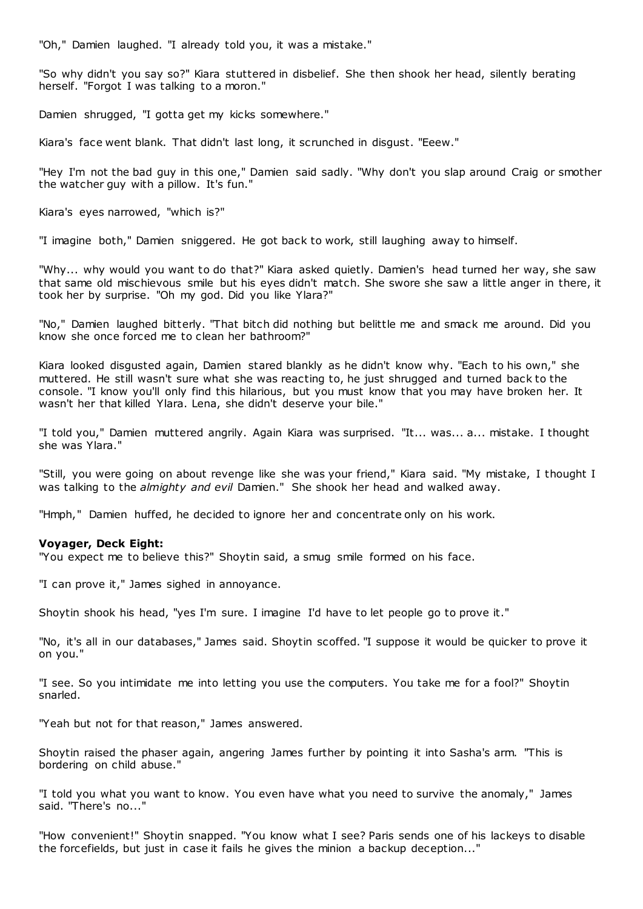"Oh," Damien laughed. "I already told you, it was a mistake."

"So why didn't you say so?" Kiara stuttered in disbelief. She then shook her head, silently berating herself. "Forgot I was talking to a moron."

Damien shrugged, "I gotta get my kicks somewhere."

Kiara's face went blank. That didn't last long, it scrunched in disgust. "Eeew."

"Hey I'm not the bad guy in this one," Damien said sadly. "Why don't you slap around Craig or smother the watcher guy with a pillow. It's fun."

Kiara's eyes narrowed, "which is?"

"I imagine both," Damien sniggered. He got back to work, still laughing away to himself.

"Why... why would you want to do that?" Kiara asked quietly. Damien's head turned her way, she saw that same old mischievous smile but his eyes didn't match. She swore she saw a little anger in there, it took her by surprise. "Oh my god. Did you like Ylara?"

"No," Damien laughed bitterly. "That bitch did nothing but belittle me and smack me around. Did you know she once forced me to clean her bathroom?"

Kiara looked disgusted again, Damien stared blankly as he didn't know why. "Each to his own," she muttered. He still wasn't sure what she was reacting to, he just shrugged and turned back to the console. "I know you'll only find this hilarious, but you must know that you may have broken her. It wasn't her that killed Ylara. Lena, she didn't deserve your bile."

"I told you," Damien muttered angrily. Again Kiara was surprised. "It... was... a... mistake. I thought she was Ylara."

"Still, you were going on about revenge like she was your friend," Kiara said. "My mistake, I thought I was talking to the *almighty and evil* Damien." She shook her head and walked away.

"Hmph," Damien huffed, he decided to ignore her and concentrate only on his work.

# **Voyager, Deck Eight:**

"You expect me to believe this?" Shoytin said, a smug smile formed on his face.

"I can prove it," James sighed in annoyance.

Shoytin shook his head, "yes I'm sure. I imagine I'd have to let people go to prove it."

"No, it's all in our databases," James said. Shoytin scoffed. "I suppose it would be quicker to prove it on you."

"I see. So you intimidate me into letting you use the computers. You take me for a fool?" Shoytin snarled.

"Yeah but not for that reason," James answered.

Shoytin raised the phaser again, angering James further by pointing it into Sasha's arm. "This is bordering on child abuse."

"I told you what you want to know. You even have what you need to survive the anomaly," James said. "There's no..."

"How convenient!" Shoytin snapped. "You know what I see? Paris sends one of his lackeys to disable the forcefields, but just in case it fails he gives the minion a backup deception..."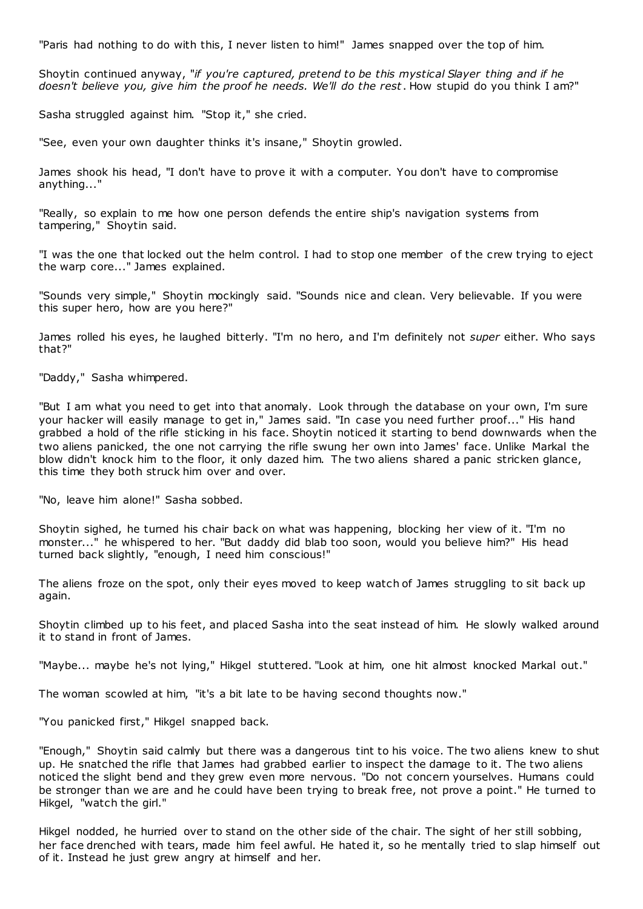"Paris had nothing to do with this, I never listen to him!" James snapped over the top of him.

Shoytin continued anyway, "*if you're captured, pretend to be this mystical Slayer thing and if he doesn't believe you, give him the proof he needs. We'll do the rest*. How stupid do you think I am?"

Sasha struggled against him. "Stop it," she cried.

"See, even your own daughter thinks it's insane," Shoytin growled.

James shook his head, "I don't have to prove it with a computer. You don't have to compromise anything..."

"Really, so explain to me how one person defends the entire ship's navigation systems from tampering," Shoytin said.

"I was the one that locked out the helm control. I had to stop one member of the crew trying to eject the warp core..." James explained.

"Sounds very simple," Shoytin mockingly said. "Sounds nice and clean. Very believable. If you were this super hero, how are you here?"

James rolled his eyes, he laughed bitterly. "I'm no hero, and I'm definitely not *super* either. Who says that?"

"Daddy," Sasha whimpered.

"But I am what you need to get into that anomaly. Look through the database on your own, I'm sure your hacker will easily manage to get in," James said. "In case you need further proof..." His hand grabbed a hold of the rifle sticking in his face. Shoytin noticed it starting to bend downwards when the two aliens panicked, the one not carrying the rifle swung her own into James' face. Unlike Markal the blow didn't knock him to the floor, it only dazed him. The two aliens shared a panic stricken glance, this time they both struck him over and over.

"No, leave him alone!" Sasha sobbed.

Shoytin sighed, he turned his chair back on what was happening, blocking her view of it. "I'm no monster..." he whispered to her. "But daddy did blab too soon, would you believe him?" His head turned back slightly, "enough, I need him conscious!"

The aliens froze on the spot, only their eyes moved to keep watch of James struggling to sit back up again.

Shoytin climbed up to his feet, and placed Sasha into the seat instead of him. He slowly walked around it to stand in front of James.

"Maybe... maybe he's not lying," Hikgel stuttered. "Look at him, one hit almost knocked Markal out."

The woman scowled at him, "it's a bit late to be having second thoughts now."

"You panicked first," Hikgel snapped back.

"Enough," Shoytin said calmly but there was a dangerous tint to his voice. The two aliens knew to shut up. He snatched the rifle that James had grabbed earlier to inspect the damage to it. The two aliens noticed the slight bend and they grew even more nervous. "Do not concern yourselves. Humans could be stronger than we are and he could have been trying to break free, not prove a point." He turned to Hikgel, "watch the girl."

Hikgel nodded, he hurried over to stand on the other side of the chair. The sight of her still sobbing, her face drenched with tears, made him feel awful. He hated it, so he mentally tried to slap himself out of it. Instead he just grew angry at himself and her.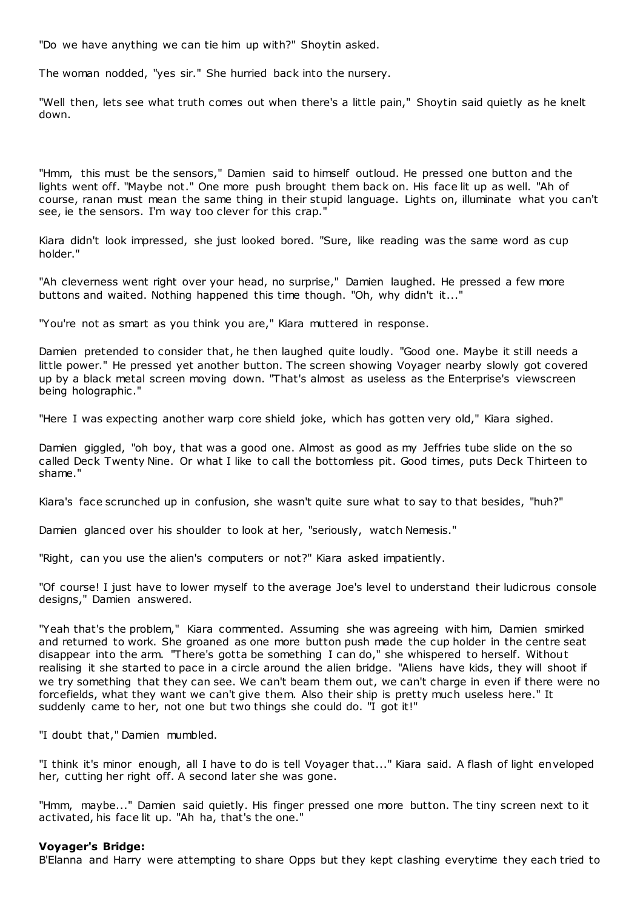"Do we have anything we can tie him up with?" Shoytin asked.

The woman nodded, "yes sir." She hurried back into the nursery.

"Well then, lets see what truth comes out when there's a little pain," Shoytin said quietly as he knelt down.

"Hmm, this must be the sensors," Damien said to himself outloud. He pressed one button and the lights went off. "Maybe not." One more push brought them back on. His face lit up as well. "Ah of course, ranan must mean the same thing in their stupid language. Lights on, illuminate what you can't see, ie the sensors. I'm way too clever for this crap."

Kiara didn't look impressed, she just looked bored. "Sure, like reading was the same word as cup holder."

"Ah cleverness went right over your head, no surprise," Damien laughed. He pressed a few more buttons and waited. Nothing happened this time though. "Oh, why didn't it..."

"You're not as smart as you think you are," Kiara muttered in response.

Damien pretended to consider that, he then laughed quite loudly. "Good one. Maybe it still needs a little power." He pressed yet another button. The screen showing Voyager nearby slowly got covered up by a black metal screen moving down. "That's almost as useless as the Enterprise's viewscreen being holographic ."

"Here I was expecting another warp core shield joke, which has gotten very old," Kiara sighed.

Damien giggled, "oh boy, that was a good one. Almost as good as my Jeffries tube slide on the so called Deck Twenty Nine. Or what I like to call the bottomless pit. Good times, puts Deck Thirteen to shame."

Kiara's face scrunched up in confusion, she wasn't quite sure what to say to that besides, "huh?"

Damien glanced over his shoulder to look at her, "seriously, watch Nemesis."

"Right, can you use the alien's computers or not?" Kiara asked impatiently.

"Of course! I just have to lower myself to the average Joe's level to understand their ludicrous console designs," Damien answered.

"Yeah that's the problem," Kiara commented. Assuming she was agreeing with him, Damien smirked and returned to work. She groaned as one more button push made the cup holder in the centre seat disappear into the arm. "There's gotta be something I can do," she whispered to herself. Without realising it she started to pace in a circle around the alien bridge. "Aliens have kids, they will shoot if we try something that they can see. We can't beam them out, we can't charge in even if there were no forcefields, what they want we can't give them. Also their ship is pretty much useless here." It suddenly came to her, not one but two things she could do. "I got it!"

"I doubt that," Damien mumbled.

"I think it's minor enough, all I have to do is tell Voyager that..." Kiara said. A flash of light enveloped her, cutting her right off. A second later she was gone.

"Hmm, maybe..." Damien said quietly. His finger pressed one more button. The tiny screen next to it activated, his face lit up. "Ah ha, that's the one."

#### **Voyager's Bridge:**

B'Elanna and Harry were attempting to share Opps but they kept clashing everytime they each tried to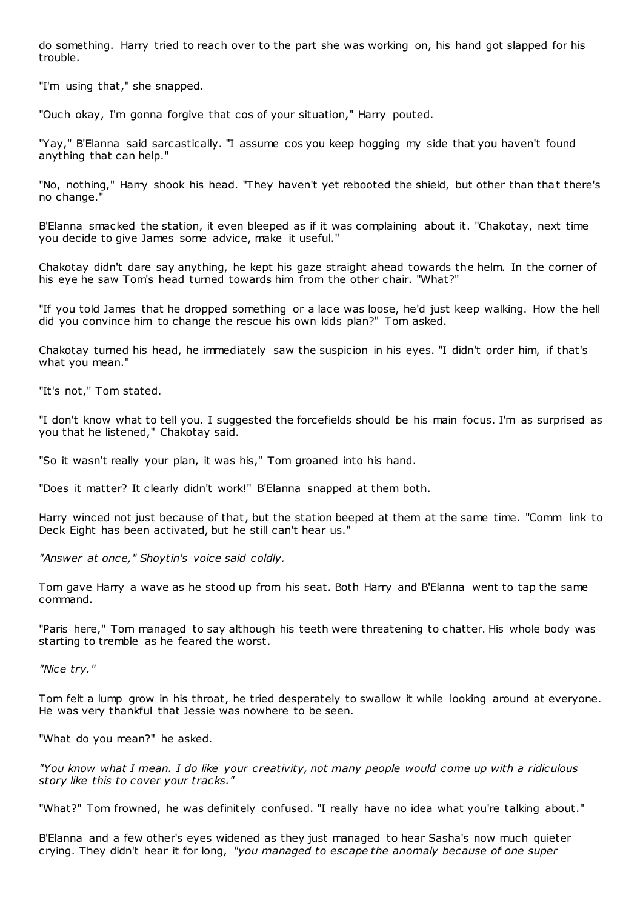do something. Harry tried to reach over to the part she was working on, his hand got slapped for his trouble.

"I'm using that," she snapped.

"Ouch okay, I'm gonna forgive that cos of your situation," Harry pouted.

"Yay," B'Elanna said sarcastically. "I assume cos you keep hogging my side that you haven't found anything that can help."

"No, nothing," Harry shook his head. "They haven't yet rebooted the shield, but other than that there's no change."

B'Elanna smacked the station, it even bleeped as if it was complaining about it. "Chakotay, next time you decide to give James some advice, make it useful."

Chakotay didn't dare say anything, he kept his gaze straight ahead towards the helm. In the corner of his eye he saw Tom's head turned towards him from the other chair. "What?"

"If you told James that he dropped something or a lace was loose, he'd just keep walking. How the hell did you convince him to change the rescue his own kids plan?" Tom asked.

Chakotay turned his head, he immediately saw the suspicion in his eyes. "I didn't order him, if that's what you mean."

"It's not," Tom stated.

"I don't know what to tell you. I suggested the forcefields should be his main focus. I'm as surprised as you that he listened," Chakotay said.

"So it wasn't really your plan, it was his," Tom groaned into his hand.

"Does it matter? It clearly didn't work!" B'Elanna snapped at them both.

Harry winced not just because of that, but the station beeped at them at the same time. "Comm link to Deck Eight has been activated, but he still can't hear us."

*"Answer at once," Shoytin's voice said coldly.*

Tom gave Harry a wave as he stood up from his seat. Both Harry and B'Elanna went to tap the same command.

"Paris here," Tom managed to say although his teeth were threatening to chatter. His whole body was starting to tremble as he feared the worst.

*"Nice try."*

Tom felt a lump grow in his throat, he tried desperately to swallow it while looking around at everyone. He was very thankful that Jessie was nowhere to be seen.

"What do you mean?" he asked.

*"You know what I mean. I do like your creativity, not many people would come up with a ridiculous story like this to cover your tracks."*

"What?" Tom frowned, he was definitely confused. "I really have no idea what you're talking about."

B'Elanna and a few other's eyes widened as they just managed to hear Sasha's now much quieter crying. They didn't hear it for long, *"you managed to escape the anomaly because of one super*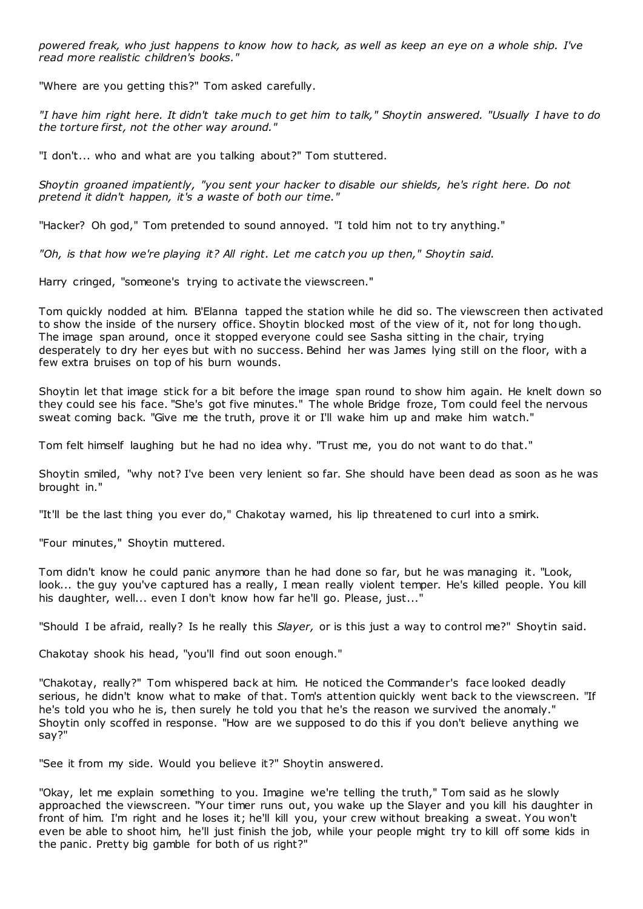*powered freak, who just happens to know how to hack, as well as keep an eye on a whole ship. I've read more realistic children's books."*

"Where are you getting this?" Tom asked carefully.

*"I have him right here. It didn't take much to get him to talk," Shoytin answered. "Usually I have to do the torture first, not the other way around."*

"I don't... who and what are you talking about?" Tom stuttered.

*Shoytin groaned impatiently, "you sent your hacker to disable our shields, he's right here. Do not pretend it didn't happen, it's a waste of both our time."*

"Hacker? Oh god," Tom pretended to sound annoyed. "I told him not to try anything."

*"Oh, is that how we're playing it? All right. Let me catch you up then," Shoytin said.*

Harry cringed, "someone's trying to activate the viewscreen."

Tom quickly nodded at him. B'Elanna tapped the station while he did so. The viewscreen then activated to show the inside of the nursery office. Shoytin blocked most of the view of it, not for long though. The image span around, once it stopped everyone could see Sasha sitting in the chair, trying desperately to dry her eyes but with no success. Behind her was James lying still on the floor, with a few extra bruises on top of his burn wounds.

Shoytin let that image stick for a bit before the image span round to show him again. He knelt down so they could see his face. "She's got five minutes." The whole Bridge froze, Tom could feel the nervous sweat coming back. "Give me the truth, prove it or I'll wake him up and make him watch."

Tom felt himself laughing but he had no idea why. "Trust me, you do not want to do that."

Shoytin smiled, "why not? I've been very lenient so far. She should have been dead as soon as he was brought in."

"It'll be the last thing you ever do," Chakotay warned, his lip threatened to curl into a smirk.

"Four minutes," Shoytin muttered.

Tom didn't know he could panic anymore than he had done so far, but he was managing it. "Look, look... the guy you've captured has a really, I mean really violent temper. He's killed people. You kill his daughter, well... even I don't know how far he'll go. Please, just..."

"Should I be afraid, really? Is he really this *Slayer,* or is this just a way to control me?" Shoytin said.

Chakotay shook his head, "you'll find out soon enough."

"Chakotay, really?" Tom whispered back at him. He noticed the Commander's face looked deadly serious, he didn't know what to make of that. Tom's attention quickly went back to the viewscreen. "If he's told you who he is, then surely he told you that he's the reason we survived the anomaly." Shoytin only scoffed in response. "How are we supposed to do this if you don't believe anything we say?"

"See it from my side. Would you believe it?" Shoytin answered.

"Okay, let me explain something to you. Imagine we're telling the truth," Tom said as he slowly approached the viewscreen. "Your timer runs out, you wake up the Slayer and you kill his daughter in front of him. I'm right and he loses it; he'll kill you, your crew without breaking a sweat. You won't even be able to shoot him, he'll just finish the job, while your people might try to kill off some kids in the panic. Pretty big gamble for both of us right?"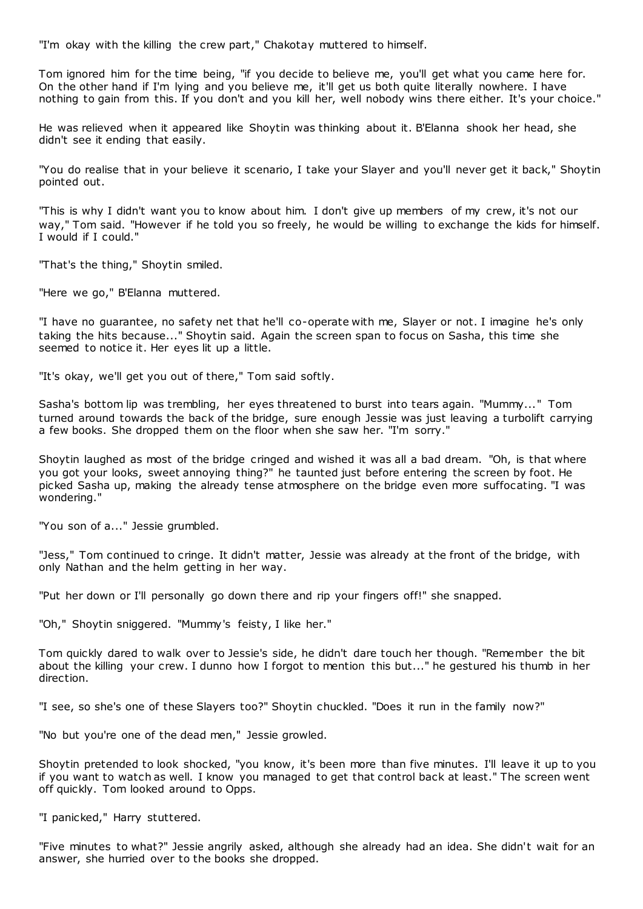"I'm okay with the killing the crew part," Chakotay muttered to himself.

Tom ignored him for the time being, "if you decide to believe me, you'll get what you came here for. On the other hand if I'm lying and you believe me, it'll get us both quite literally nowhere. I have nothing to gain from this. If you don't and you kill her, well nobody wins there either. It's your choice."

He was relieved when it appeared like Shoytin was thinking about it. B'Elanna shook her head, she didn't see it ending that easily.

"You do realise that in your believe it scenario, I take your Slayer and you'll never get it back," Shoytin pointed out.

"This is why I didn't want you to know about him. I don't give up members of my crew, it's not our way," Tom said. "However if he told you so freely, he would be willing to exchange the kids for himself. I would if I could."

"That's the thing," Shoytin smiled.

"Here we go," B'Elanna muttered.

"I have no guarantee, no safety net that he'll co-operate with me, Slayer or not. I imagine he's only taking the hits because..." Shoytin said. Again the screen span to focus on Sasha, this time she seemed to notice it. Her eyes lit up a little.

"It's okay, we'll get you out of there," Tom said softly.

Sasha's bottom lip was trembling, her eyes threatened to burst into tears again. "Mummy..." Tom turned around towards the back of the bridge, sure enough Jessie was just leaving a turbolift carrying a few books. She dropped them on the floor when she saw her. "I'm sorry."

Shoytin laughed as most of the bridge cringed and wished it was all a bad dream. "Oh, is that where you got your looks, sweet annoying thing?" he taunted just before entering the screen by foot. He picked Sasha up, making the already tense atmosphere on the bridge even more suffocating. "I was wondering."

"You son of a..." Jessie grumbled.

"Jess," Tom continued to cringe. It didn't matter, Jessie was already at the front of the bridge, with only Nathan and the helm getting in her way.

"Put her down or I'll personally go down there and rip your fingers off!" she snapped.

"Oh," Shoytin sniggered. "Mummy's feisty, I like her."

Tom quickly dared to walk over to Jessie's side, he didn't dare touch her though. "Remember the bit about the killing your crew. I dunno how I forgot to mention this but..." he gestured his thumb in her direction.

"I see, so she's one of these Slayers too?" Shoytin chuckled. "Does it run in the family now?"

"No but you're one of the dead men," Jessie growled.

Shoytin pretended to look shocked, "you know, it's been more than five minutes. I'll leave it up to you if you want to watch as well. I know you managed to get that control back at least." The screen went off quickly. Tom looked around to Opps.

"I panicked," Harry stuttered.

"Five minutes to what?" Jessie angrily asked, although she already had an idea. She didn't wait for an answer, she hurried over to the books she dropped.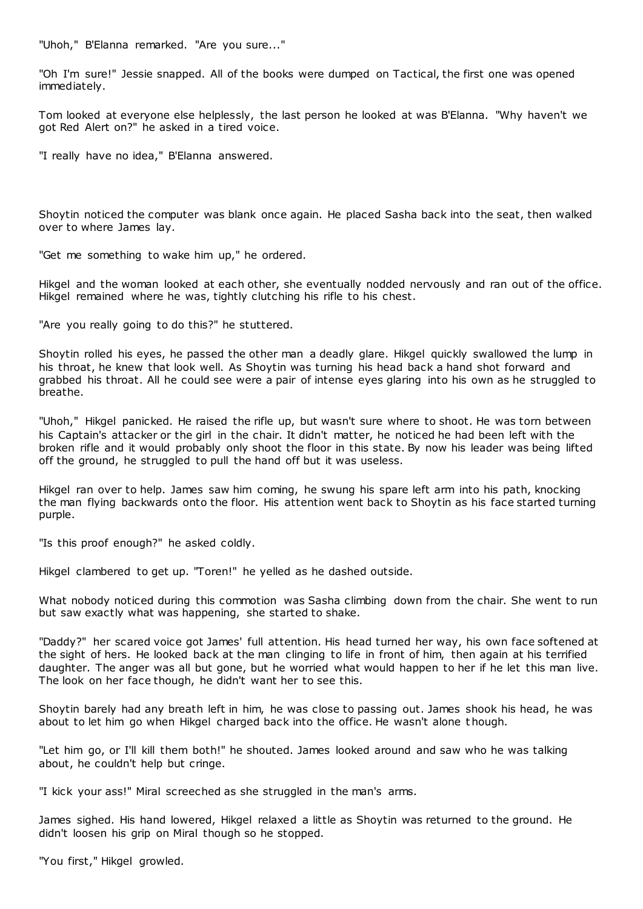"Uhoh," B'Elanna remarked. "Are you sure..."

"Oh I'm sure!" Jessie snapped. All of the books were dumped on Tactical, the first one was opened immediately.

Tom looked at everyone else helplessly, the last person he looked at was B'Elanna. "Why haven't we got Red Alert on?" he asked in a tired voice.

"I really have no idea," B'Elanna answered.

Shoytin noticed the computer was blank once again. He placed Sasha back into the seat, then walked over to where James lay.

"Get me something to wake him up," he ordered.

Hikgel and the woman looked at each other, she eventually nodded nervously and ran out of the office. Hikgel remained where he was, tightly clutching his rifle to his chest.

"Are you really going to do this?" he stuttered.

Shoytin rolled his eyes, he passed the other man a deadly glare. Hikgel quickly swallowed the lump in his throat, he knew that look well. As Shoytin was turning his head back a hand shot forward and grabbed his throat. All he could see were a pair of intense eyes glaring into his own as he struggled to breathe.

"Uhoh," Hikgel panicked. He raised the rifle up, but wasn't sure where to shoot. He was torn between his Captain's attacker or the girl in the chair. It didn't matter, he noticed he had been left with the broken rifle and it would probably only shoot the floor in this state. By now his leader was being lifted off the ground, he struggled to pull the hand off but it was useless.

Hikgel ran over to help. James saw him coming, he swung his spare left arm into his path, knocking the man flying backwards onto the floor. His attention went back to Shoytin as his face started turning purple.

"Is this proof enough?" he asked coldly.

Hikgel clambered to get up. "Toren!" he yelled as he dashed outside.

What nobody noticed during this commotion was Sasha climbing down from the chair. She went to run but saw exactly what was happening, she started to shake.

"Daddy?" her scared voice got James' full attention. His head turned her way, his own face softened at the sight of hers. He looked back at the man clinging to life in front of him, then again at his terrified daughter. The anger was all but gone, but he worried what would happen to her if he let this man live. The look on her face though, he didn't want her to see this.

Shoytin barely had any breath left in him, he was close to passing out. James shook his head, he was about to let him go when Hikgel charged back into the office. He wasn't alone t hough.

"Let him go, or I'll kill them both!" he shouted. James looked around and saw who he was talking about, he couldn't help but cringe.

"I kick your ass!" Miral screeched as she struggled in the man's arms.

James sighed. His hand lowered, Hikgel relaxed a little as Shoytin was returned to the ground. He didn't loosen his grip on Miral though so he stopped.

"You first," Hikgel growled.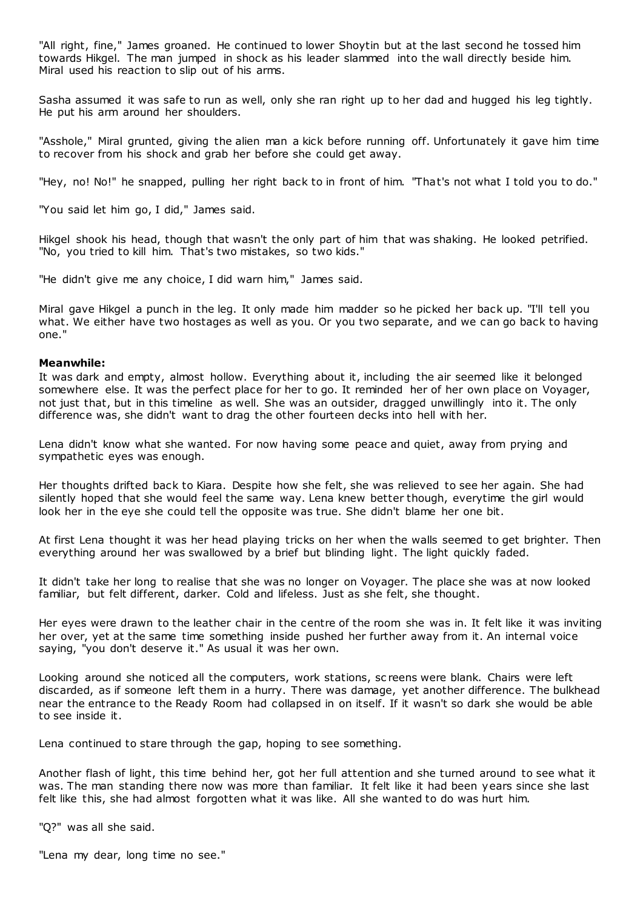"All right, fine," James groaned. He continued to lower Shoytin but at the last second he tossed him towards Hikgel. The man jumped in shock as his leader slammed into the wall directly beside him. Miral used his reaction to slip out of his arms.

Sasha assumed it was safe to run as well, only she ran right up to her dad and hugged his leg tightly. He put his arm around her shoulders.

"Asshole," Miral grunted, giving the alien man a kick before running off. Unfortunately it gave him time to recover from his shock and grab her before she could get away.

"Hey, no! No!" he snapped, pulling her right back to in front of him. "That's not what I told you to do."

"You said let him go, I did," James said.

Hikgel shook his head, though that wasn't the only part of him that was shaking. He looked petrified. "No, you tried to kill him. That's two mistakes, so two kids."

"He didn't give me any choice, I did warn him," James said.

Miral gave Hikgel a punch in the leg. It only made him madder so he picked her back up. "I'll tell you what. We either have two hostages as well as you. Or you two separate, and we can go back to having one."

#### **Meanwhile:**

It was dark and empty, almost hollow. Everything about it, including the air seemed like it belonged somewhere else. It was the perfect place for her to go. It reminded her of her own place on Voyager, not just that, but in this timeline as well. She was an outsider, dragged unwillingly into it. The only difference was, she didn't want to drag the other fourteen decks into hell with her.

Lena didn't know what she wanted. For now having some peace and quiet, away from prying and sympathetic eyes was enough.

Her thoughts drifted back to Kiara. Despite how she felt, she was relieved to see her again. She had silently hoped that she would feel the same way. Lena knew better though, everytime the girl would look her in the eye she could tell the opposite was true. She didn't blame her one bit.

At first Lena thought it was her head playing tricks on her when the walls seemed to get brighter. Then everything around her was swallowed by a brief but blinding light. The light quickly faded.

It didn't take her long to realise that she was no longer on Voyager. The place she was at now looked familiar, but felt different, darker. Cold and lifeless. Just as she felt, she thought.

Her eyes were drawn to the leather chair in the centre of the room she was in. It felt like it was inviting her over, yet at the same time something inside pushed her further away from it. An internal voice saying, "you don't deserve it." As usual it was her own.

Looking around she noticed all the computers, work stations, sc reens were blank. Chairs were left discarded, as if someone left them in a hurry. There was damage, yet another difference. The bulkhead near the entrance to the Ready Room had collapsed in on itself. If it wasn't so dark she would be able to see inside it.

Lena continued to stare through the gap, hoping to see something.

Another flash of light, this time behind her, got her full attention and she turned around to see what it was. The man standing there now was more than familiar. It felt like it had been years since she last felt like this, she had almost forgotten what it was like. All she wanted to do was hurt him.

"Q?" was all she said.

"Lena my dear, long time no see."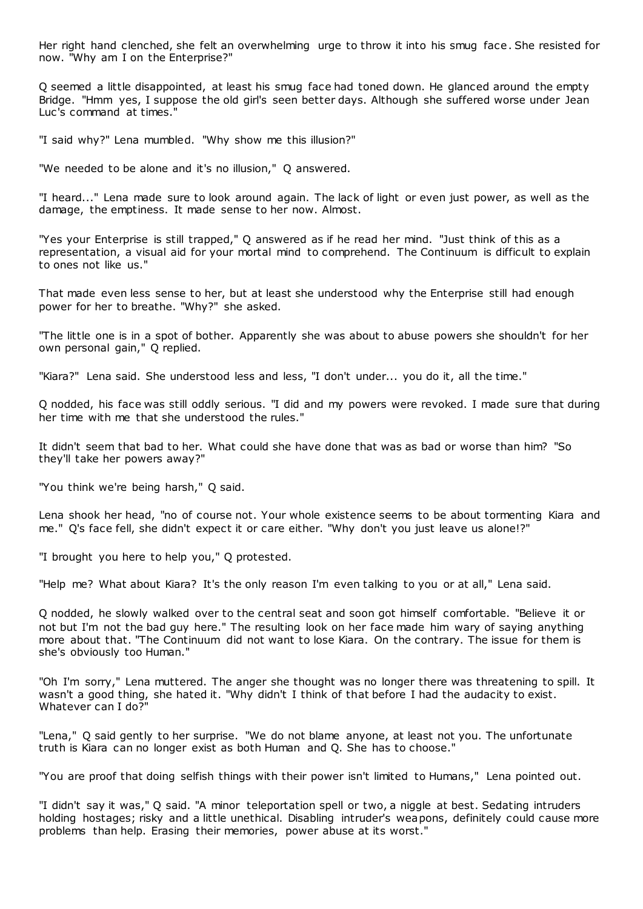Her right hand clenched, she felt an overwhelming urge to throw it into his smug face. She resisted for now. "Why am I on the Enterprise?"

Q seemed a little disappointed, at least his smug face had toned down. He glanced around the empty Bridge. "Hmm yes, I suppose the old girl's seen better days. Although she suffered worse under Jean Luc's command at times."

"I said why?" Lena mumbled. "Why show me this illusion?"

"We needed to be alone and it's no illusion," Q answered.

"I heard..." Lena made sure to look around again. The lack of light or even just power, as well as the damage, the emptiness. It made sense to her now. Almost.

"Yes your Enterprise is still trapped," Q answered as if he read her mind. "Just think of this as a representation, a visual aid for your mortal mind to comprehend. The Continuum is difficult to explain to ones not like us."

That made even less sense to her, but at least she understood why the Enterprise still had enough power for her to breathe. "Why?" she asked.

"The little one is in a spot of bother. Apparently she was about to abuse powers she shouldn't for her own personal gain," Q replied.

"Kiara?" Lena said. She understood less and less, "I don't under... you do it, all the time."

Q nodded, his face was still oddly serious. "I did and my powers were revoked. I made sure that during her time with me that she understood the rules."

It didn't seem that bad to her. What could she have done that was as bad or worse than him? "So they'll take her powers away?"

"You think we're being harsh," Q said.

Lena shook her head, "no of course not. Your whole existence seems to be about tormenting Kiara and me." Q's face fell, she didn't expect it or care either. "Why don't you just leave us alone!?"

"I brought you here to help you," Q protested.

"Help me? What about Kiara? It's the only reason I'm even talking to you or at all," Lena said.

Q nodded, he slowly walked over to the central seat and soon got himself comfortable. "Believe it or not but I'm not the bad guy here." The resulting look on her face made him wary of saying anything more about that. "The Continuum did not want to lose Kiara. On the contrary. The issue for them is she's obviously too Human."

"Oh I'm sorry," Lena muttered. The anger she thought was no longer there was threatening to spill. It wasn't a good thing, she hated it. "Why didn't I think of that before I had the audacity to exist. Whatever can I do?"

"Lena," Q said gently to her surprise. "We do not blame anyone, at least not you. The unfortunate truth is Kiara can no longer exist as both Human and Q. She has to choose."

"You are proof that doing selfish things with their power isn't limited to Humans," Lena pointed out.

"I didn't say it was," Q said. "A minor teleportation spell or two, a niggle at best. Sedating intruders holding hostages; risky and a little unethical. Disabling intruder's weapons, definitely could cause more problems than help. Erasing their memories, power abuse at its worst."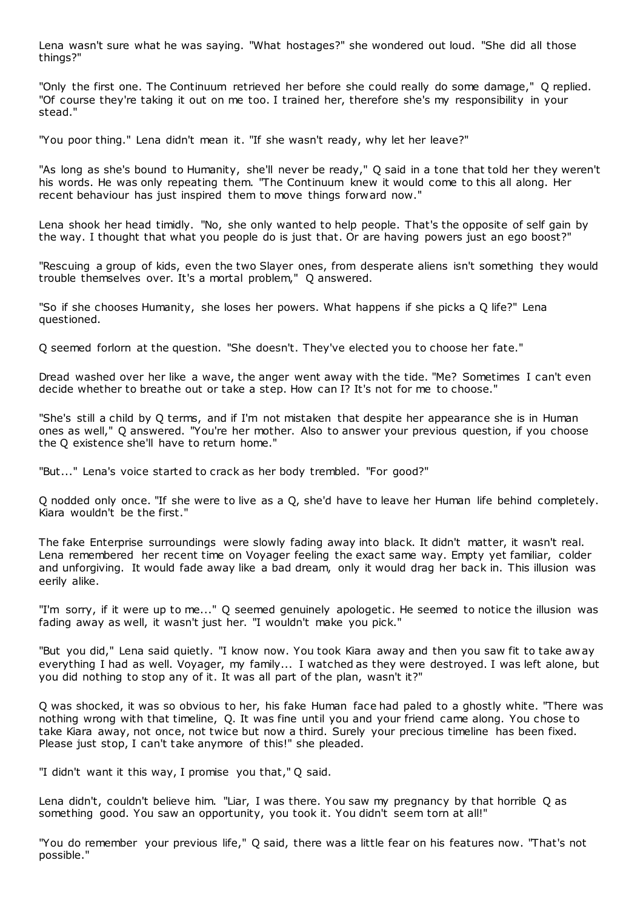Lena wasn't sure what he was saying. "What hostages?" she wondered out loud. "She did all those things?"

"Only the first one. The Continuum retrieved her before she could really do some damage," Q replied. "Of course they're taking it out on me too. I trained her, therefore she's my responsibility in your stead."

"You poor thing." Lena didn't mean it. "If she wasn't ready, why let her leave?"

"As long as she's bound to Humanity, she'll never be ready," Q said in a tone that told her they weren't his words. He was only repeating them. "The Continuum knew it would come to this all along. Her recent behaviour has just inspired them to move things forward now."

Lena shook her head timidly. "No, she only wanted to help people. That's the opposite of self gain by the way. I thought that what you people do is just that. Or are having powers just an ego boost?"

"Rescuing a group of kids, even the two Slayer ones, from desperate aliens isn't something they would trouble themselves over. It's a mortal problem," Q answered.

"So if she chooses Humanity, she loses her powers. What happens if she picks a Q life?" Lena questioned.

Q seemed forlorn at the question. "She doesn't. They've elected you to choose her fate."

Dread washed over her like a wave, the anger went away with the tide. "Me? Sometimes I can't even decide whether to breathe out or take a step. How can I? It's not for me to choose."

"She's still a child by Q terms, and if I'm not mistaken that despite her appearance she is in Human ones as well," Q answered. "You're her mother. Also to answer your previous question, if you choose the Q existence she'll have to return home."

"But..." Lena's voice started to crack as her body trembled. "For good?"

Q nodded only once. "If she were to live as a Q, she'd have to leave her Human life behind completely. Kiara wouldn't be the first."

The fake Enterprise surroundings were slowly fading away into black. It didn't matter, it wasn't real. Lena remembered her recent time on Voyager feeling the exact same way. Empty yet familiar, colder and unforgiving. It would fade away like a bad dream, only it would drag her back in. This illusion was eerily alike.

"I'm sorry, if it were up to me..." Q seemed genuinely apologetic . He seemed to notice the illusion was fading away as well, it wasn't just her. "I wouldn't make you pick."

"But you did," Lena said quietly. "I know now. You took Kiara away and then you saw fit to take aw ay everything I had as well. Voyager, my family... I watched as they were destroyed. I was left alone, but you did nothing to stop any of it. It was all part of the plan, wasn't it?"

Q was shocked, it was so obvious to her, his fake Human face had paled to a ghostly white. "There was nothing wrong with that timeline, Q. It was fine until you and your friend came along. You chose to take Kiara away, not once, not twice but now a third. Surely your precious timeline has been fixed. Please just stop, I can't take anymore of this!" she pleaded.

"I didn't want it this way, I promise you that," Q said.

Lena didn't, couldn't believe him. "Liar, I was there. You saw my pregnancy by that horrible Q as something good. You saw an opportunity, you took it. You didn't seem torn at all!"

"You do remember your previous life," Q said, there was a little fear on his features now. "That's not possible."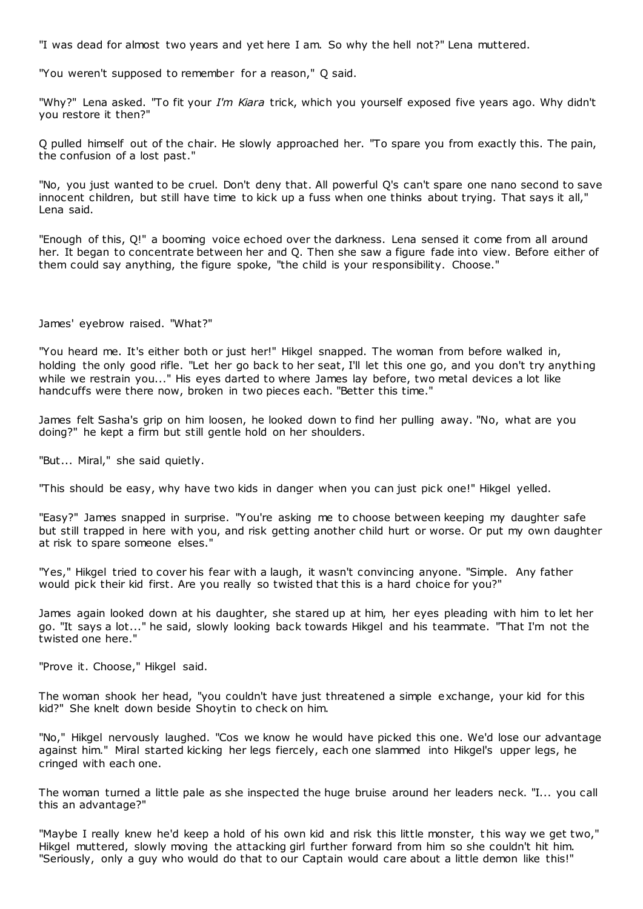"I was dead for almost two years and yet here I am. So why the hell not?" Lena muttered.

"You weren't supposed to remember for a reason," Q said.

"Why?" Lena asked. "To fit your *I'm Kiara* trick, which you yourself exposed five years ago. Why didn't you restore it then?"

Q pulled himself out of the chair. He slowly approached her. "To spare you from exactly this. The pain, the confusion of a lost past."

"No, you just wanted to be cruel. Don't deny that. All powerful Q's can't spare one nano second to save innocent children, but still have time to kick up a fuss when one thinks about trying. That says it all," Lena said.

"Enough of this, Q!" a booming voice echoed over the darkness. Lena sensed it come from all around her. It began to concentrate between her and Q. Then she saw a figure fade into view. Before either of them could say anything, the figure spoke, "the child is your responsibility. Choose."

James' eyebrow raised. "What?"

"You heard me. It's either both or just her!" Hikgel snapped. The woman from before walked in, holding the only good rifle. "Let her go back to her seat, I'll let this one go, and you don't try anything while we restrain you..." His eyes darted to where James lay before, two metal devices a lot like handcuffs were there now, broken in two pieces each. "Better this time."

James felt Sasha's grip on him loosen, he looked down to find her pulling away. "No, what are you doing?" he kept a firm but still gentle hold on her shoulders.

"But... Miral," she said quietly.

"This should be easy, why have two kids in danger when you can just pick one!" Hikgel yelled.

"Easy?" James snapped in surprise. "You're asking me to choose between keeping my daughter safe but still trapped in here with you, and risk getting another child hurt or worse. Or put my own daughter at risk to spare someone elses."

"Yes," Hikgel tried to cover his fear with a laugh, it wasn't convincing anyone. "Simple. Any father would pick their kid first. Are you really so twisted that this is a hard choice for you?"

James again looked down at his daughter, she stared up at him, her eyes pleading with him to let her go. "It says a lot..." he said, slowly looking back towards Hikgel and his teammate. "That I'm not the twisted one here."

"Prove it. Choose," Hikgel said.

The woman shook her head, "you couldn't have just threatened a simple exchange, your kid for this kid?" She knelt down beside Shoytin to check on him.

"No," Hikgel nervously laughed. "Cos we know he would have picked this one. We'd lose our advantage against him." Miral started kicking her legs fiercely, each one slammed into Hikgel's upper legs, he cringed with each one.

The woman turned a little pale as she inspected the huge bruise around her leaders neck. "I... you call this an advantage?"

"Maybe I really knew he'd keep a hold of his own kid and risk this little monster, t his way we get two," Hikgel muttered, slowly moving the attacking girl further forward from him so she couldn't hit him. "Seriously, only a guy who would do that to our Captain would care about a little demon like this!"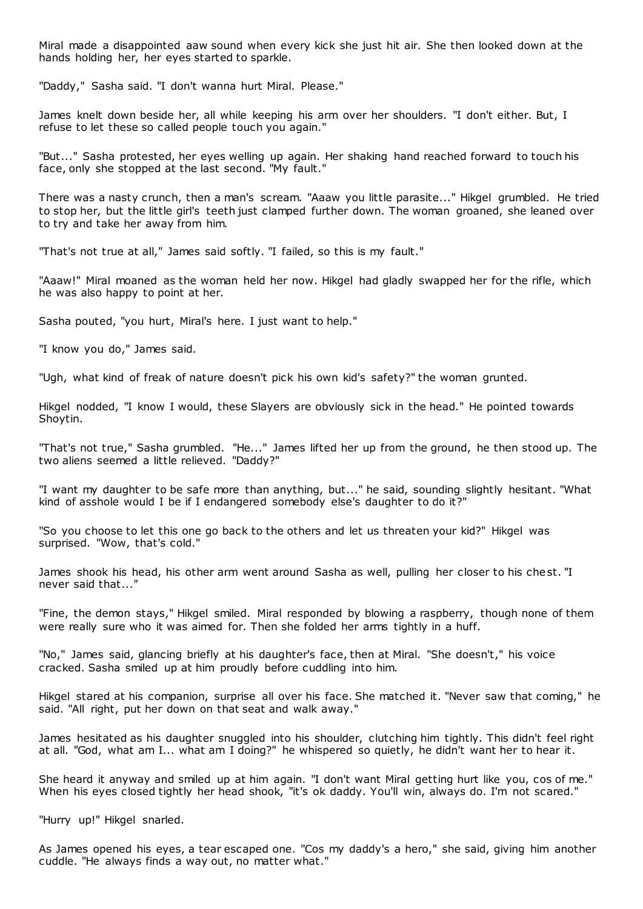Miral made a disappointed aaw sound when every kick she just hit air. She then looked down at the hands holding her, her eyes started to sparkle.

"Daddy," Sasha said. "I don't wanna hurt Miral. Please."

James knelt down beside her, all while keeping his arm over her shoulders. "I don't either. But, I refuse to let these so called people touch you again."

"But..." Sasha protested, her eyes welling up again. Her shaking hand reached forward to touch his face, only she stopped at the last second. "My fault."

There was a nasty crunch, then a man's scream. "Aaaw you little parasite..." Hikgel grumbled. He tried to stop her, but the little girl's teeth just clamped further down. The woman groaned, she leaned over to try and take her away from him.

"That's not true at all," James said softly. "I failed, so this is my fault."

"Aaaw!" Miral moaned as the woman held her now. Hikgel had gladly swapped her for the rifle, which he was also happy to point at her.

Sasha pouted, "you hurt, Miral's here. I just want to help."

"I know you do," James said.

"Ugh, what kind of freak of nature doesn't pick his own kid's safety?" the woman grunted.

Hikgel nodded, "I know I would, these Slayers are obviously sick in the head." He pointed towards Shoytin.

"That's not true," Sasha grumbled. "He..." James lifted her up from the ground, he then stood up. The two aliens seemed a little relieved. "Daddy?"

"I want my daughter to be safe more than anything, but..." he said, sounding slightly hesitant. "What kind of asshole would I be if I endangered somebody else's daughter to do it?"

"So you choose to let this one go back to the others and let us threaten your kid?" Hikgel was surprised. "Wow, that's cold."

James shook his head, his other arm went around Sasha as well, pulling her closer to his chest. "I never said that..."

"Fine, the demon stays," Hikgel smiled. Miral responded by blowing a raspberry, though none of them were really sure who it was aimed for. Then she folded her arms tightly in a huff.

"No," James said, glancing briefly at his daughter's face, then at Miral. "She doesn't," his voice cracked. Sasha smiled up at him proudly before cuddling into him.

Hikgel stared at his companion, surprise all over his face. She matched it. "Never saw that coming," he said. "All right, put her down on that seat and walk away."

James hesitated as his daughter snuggled into his shoulder, clutching him tightly. This didn't feel right at all. "God, what am I... what am I doing?" he whispered so quietly, he didn't want her to hear it.

She heard it anyway and smiled up at him again. "I don't want Miral getting hurt like you, cos of me." When his eyes closed tightly her head shook, "it's ok daddy. You'll win, always do. I'm not scared."

"Hurry up!" Hikgel snarled.

As James opened his eyes, a tear escaped one. "Cos my daddy's a hero," she said, giving him another cuddle. "He always finds a way out, no matter what."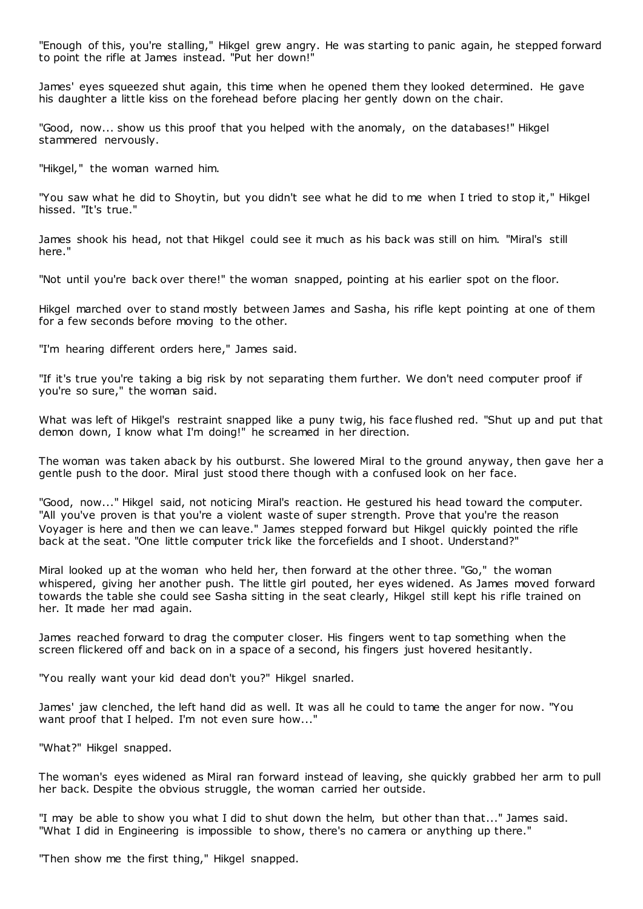"Enough of this, you're stalling," Hikgel grew angry. He was starting to panic again, he stepped forward to point the rifle at James instead. "Put her down!"

James' eyes squeezed shut again, this time when he opened them they looked determined. He gave his daughter a little kiss on the forehead before placing her gently down on the chair.

"Good, now... show us this proof that you helped with the anomaly, on the databases!" Hikgel stammered nervously.

"Hikgel," the woman warned him.

"You saw what he did to Shoytin, but you didn't see what he did to me when I tried to stop it," Hikgel hissed. "It's true."

James shook his head, not that Hikgel could see it much as his back was still on him. "Miral's still here."

"Not until you're back over there!" the woman snapped, pointing at his earlier spot on the floor.

Hikgel marched over to stand mostly between James and Sasha, his rifle kept pointing at one of them for a few seconds before moving to the other.

"I'm hearing different orders here," James said.

"If it's true you're taking a big risk by not separating them further. We don't need computer proof if you're so sure," the woman said.

What was left of Hikgel's restraint snapped like a puny twig, his face flushed red. "Shut up and put that demon down, I know what I'm doing!" he screamed in her direction.

The woman was taken aback by his outburst. She lowered Miral to the ground anyway, then gave her a gentle push to the door. Miral just stood there though with a confused look on her face.

"Good, now..." Hikgel said, not noticing Miral's reaction. He gestured his head toward the computer. "All you've proven is that you're a violent waste of super strength. Prove that you're the reason Voyager is here and then we can leave." James stepped forward but Hikgel quickly pointed the rifle back at the seat. "One little computer trick like the forcefields and I shoot. Understand?"

Miral looked up at the woman who held her, then forward at the other three. "Go," the woman whispered, giving her another push. The little girl pouted, her eyes widened. As James moved forward towards the table she could see Sasha sitting in the seat clearly, Hikgel still kept his rifle trained on her. It made her mad again.

James reached forward to drag the computer closer. His fingers went to tap something when the screen flickered off and back on in a space of a second, his fingers just hovered hesitantly.

"You really want your kid dead don't you?" Hikgel snarled.

James' jaw clenched, the left hand did as well. It was all he could to tame the anger for now. "You want proof that I helped. I'm not even sure how..."

"What?" Hikgel snapped.

The woman's eyes widened as Miral ran forward instead of leaving, she quickly grabbed her arm to pull her back. Despite the obvious struggle, the woman carried her outside.

"I may be able to show you what I did to shut down the helm, but other than that..." James said. "What I did in Engineering is impossible to show, there's no camera or anything up there."

"Then show me the first thing," Hikgel snapped.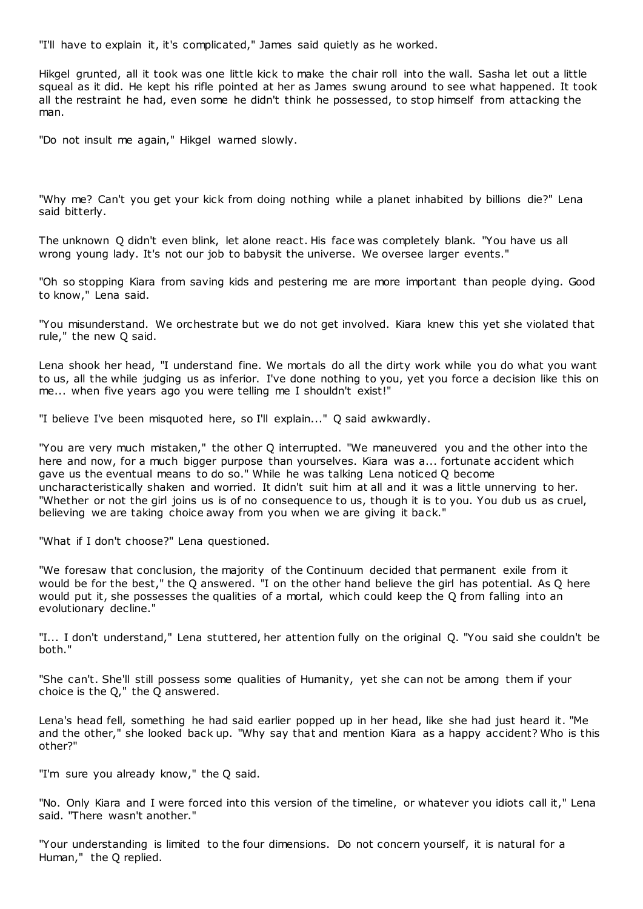"I'll have to explain it, it's complicated," James said quietly as he worked.

Hikgel grunted, all it took was one little kick to make the chair roll into the wall. Sasha let out a little squeal as it did. He kept his rifle pointed at her as James swung around to see what happened. It took all the restraint he had, even some he didn't think he possessed, to stop himself from attacking the man.

"Do not insult me again," Hikgel warned slowly.

"Why me? Can't you get your kick from doing nothing while a planet inhabited by billions die?" Lena said bitterly.

The unknown Q didn't even blink, let alone react. His face was completely blank. "You have us all wrong young lady. It's not our job to babysit the universe. We oversee larger events."

"Oh so stopping Kiara from saving kids and pestering me are more important than people dying. Good to know," Lena said.

"You misunderstand. We orchestrate but we do not get involved. Kiara knew this yet she violated that rule," the new Q said.

Lena shook her head, "I understand fine. We mortals do all the dirty work while you do what you want to us, all the while judging us as inferior. I've done nothing to you, yet you force a decision like this on me... when five years ago you were telling me I shouldn't exist!"

"I believe I've been misquoted here, so I'll explain..." Q said awkwardly.

"You are very much mistaken," the other Q interrupted. "We maneuvered you and the other into the here and now, for a much bigger purpose than yourselves. Kiara was a... fortunate accident which gave us the eventual means to do so." While he was talking Lena noticed Q become uncharacteristically shaken and worried. It didn't suit him at all and it was a little unnerving to her. "Whether or not the girl joins us is of no consequence to us, though it is to you. You dub us as cruel, believing we are taking choice away from you when we are giving it back."

"What if I don't choose?" Lena questioned.

"We foresaw that conclusion, the majority of the Continuum decided that permanent exile from it would be for the best," the Q answered. "I on the other hand believe the girl has potential. As Q here would put it, she possesses the qualities of a mortal, which could keep the Q from falling into an evolutionary decline."

"I... I don't understand," Lena stuttered, her attention fully on the original Q. "You said she couldn't be both."

"She can't. She'll still possess some qualities of Humanity, yet she can not be among them if your choice is the Q," the Q answered.

Lena's head fell, something he had said earlier popped up in her head, like she had just heard it. "Me and the other," she looked back up. "Why say that and mention Kiara as a happy accident? Who is this other?"

"I'm sure you already know," the Q said.

"No. Only Kiara and I were forced into this version of the timeline, or whatever you idiots call it," Lena said. "There wasn't another."

"Your understanding is limited to the four dimensions. Do not concern yourself, it is natural for a Human," the Q replied.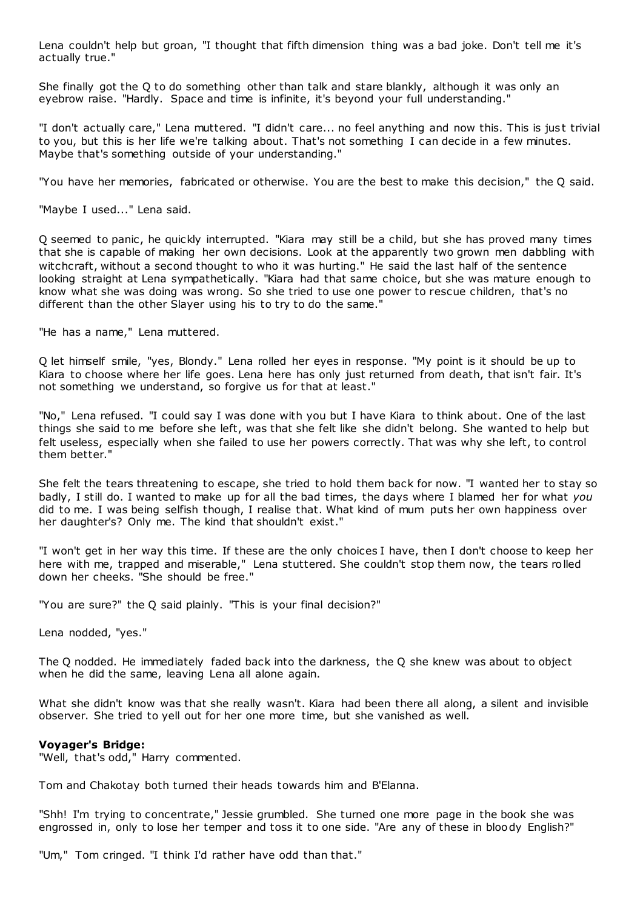Lena couldn't help but groan, "I thought that fifth dimension thing was a bad joke. Don't tell me it's actually true."

She finally got the Q to do something other than talk and stare blankly, although it was only an eyebrow raise. "Hardly. Space and time is infinite, it's beyond your full understanding."

"I don't actually care," Lena muttered. "I didn't care... no feel anything and now this. This is just trivial to you, but this is her life we're talking about. That's not something I can decide in a few minutes. Maybe that's something outside of your understanding."

"You have her memories, fabricated or otherwise. You are the best to make this decision," the Q said.

"Maybe I used..." Lena said.

Q seemed to panic , he quickly interrupted. "Kiara may still be a child, but she has proved many times that she is capable of making her own decisions. Look at the apparently two grown men dabbling with witchcraft, without a second thought to who it was hurting." He said the last half of the sentence looking straight at Lena sympathetically. "Kiara had that same choice, but she was mature enough to know what she was doing was wrong. So she tried to use one power to rescue children, that's no different than the other Slayer using his to try to do the same.

"He has a name," Lena muttered.

Q let himself smile, "yes, Blondy." Lena rolled her eyes in response. "My point is it should be up to Kiara to choose where her life goes. Lena here has only just returned from death, that isn't fair. It's not something we understand, so forgive us for that at least."

"No," Lena refused. "I could say I was done with you but I have Kiara to think about. One of the last things she said to me before she left, was that she felt like she didn't belong. She wanted to help but felt useless, especially when she failed to use her powers correctly. That was why she left, to control them better."

She felt the tears threatening to escape, she tried to hold them back for now. "I wanted her to stay so badly, I still do. I wanted to make up for all the bad times, the days where I blamed her for what *you* did to me. I was being selfish though, I realise that. What kind of mum puts her own happiness over her daughter's? Only me. The kind that shouldn't exist."

"I won't get in her way this time. If these are the only choices I have, then I don't choose to keep her here with me, trapped and miserable," Lena stuttered. She couldn't stop them now, the tears rolled down her cheeks. "She should be free."

"You are sure?" the Q said plainly. "This is your final decision?"

Lena nodded, "yes."

The Q nodded. He immediately faded back into the darkness, the Q she knew was about to object when he did the same, leaving Lena all alone again.

What she didn't know was that she really wasn't. Kiara had been there all along, a silent and invisible observer. She tried to yell out for her one more time, but she vanished as well.

# **Voyager's Bridge:**

"Well, that's odd," Harry commented.

Tom and Chakotay both turned their heads towards him and B'Elanna.

"Shh! I'm trying to concentrate," Jessie grumbled. She turned one more page in the book she was engrossed in, only to lose her temper and toss it to one side. "Are any of these in bloody English?"

"Um," Tom cringed. "I think I'd rather have odd than that."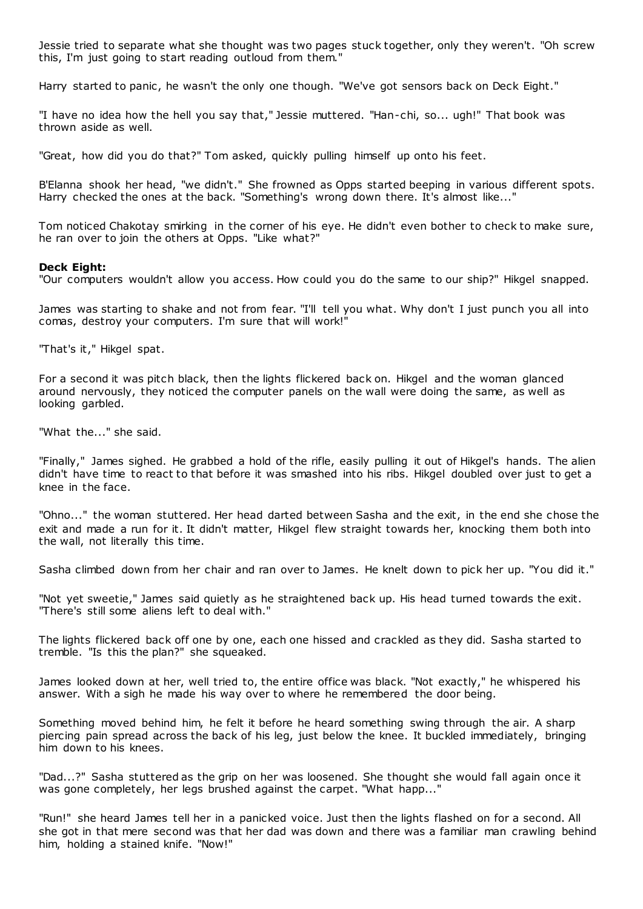Jessie tried to separate what she thought was two pages stuck together, only they weren't. "Oh screw this, I'm just going to start reading outloud from them."

Harry started to panic, he wasn't the only one though. "We've got sensors back on Deck Eight."

"I have no idea how the hell you say that," Jessie muttered. "Han-chi, so... ugh!" That book was thrown aside as well.

"Great, how did you do that?" Tom asked, quickly pulling himself up onto his feet.

B'Elanna shook her head, "we didn't." She frowned as Opps started beeping in various different spots. Harry checked the ones at the back. "Something's wrong down there. It's almost like..."

Tom noticed Chakotay smirking in the corner of his eye. He didn't even bother to check to make sure, he ran over to join the others at Opps. "Like what?"

#### **Deck Eight:**

"Our computers wouldn't allow you access. How could you do the same to our ship?" Hikgel snapped.

James was starting to shake and not from fear. "I'll tell you what. Why don't I just punch you all into comas, destroy your computers. I'm sure that will work!"

"That's it," Hikgel spat.

For a second it was pitch black, then the lights flickered back on. Hikgel and the woman glanced around nervously, they noticed the computer panels on the wall were doing the same, as well as looking garbled.

"What the..." she said.

"Finally," James sighed. He grabbed a hold of the rifle, easily pulling it out of Hikgel's hands. The alien didn't have time to react to that before it was smashed into his ribs. Hikgel doubled over just to get a knee in the face.

"Ohno..." the woman stuttered. Her head darted between Sasha and the exit, in the end she chose the exit and made a run for it. It didn't matter, Hikgel flew straight towards her, knocking them both into the wall, not literally this time.

Sasha climbed down from her chair and ran over to James. He knelt down to pick her up. "You did it."

"Not yet sweetie," James said quietly as he straightened back up. His head turned towards the exit. "There's still some aliens left to deal with."

The lights flickered back off one by one, each one hissed and crackled as they did. Sasha started to tremble. "Is this the plan?" she squeaked.

James looked down at her, well tried to, the entire office was black. "Not exactly," he whispered his answer. With a sigh he made his way over to where he remembered the door being.

Something moved behind him, he felt it before he heard something swing through the air. A sharp piercing pain spread across the back of his leg, just below the knee. It buckled immediately, bringing him down to his knees.

"Dad...?" Sasha stuttered as the grip on her was loosened. She thought she would fall again once it was gone completely, her legs brushed against the carpet. "What happ..."

"Run!" she heard James tell her in a panicked voice. Just then the lights flashed on for a second. All she got in that mere second was that her dad was down and there was a familiar man crawling behind him, holding a stained knife. "Now!"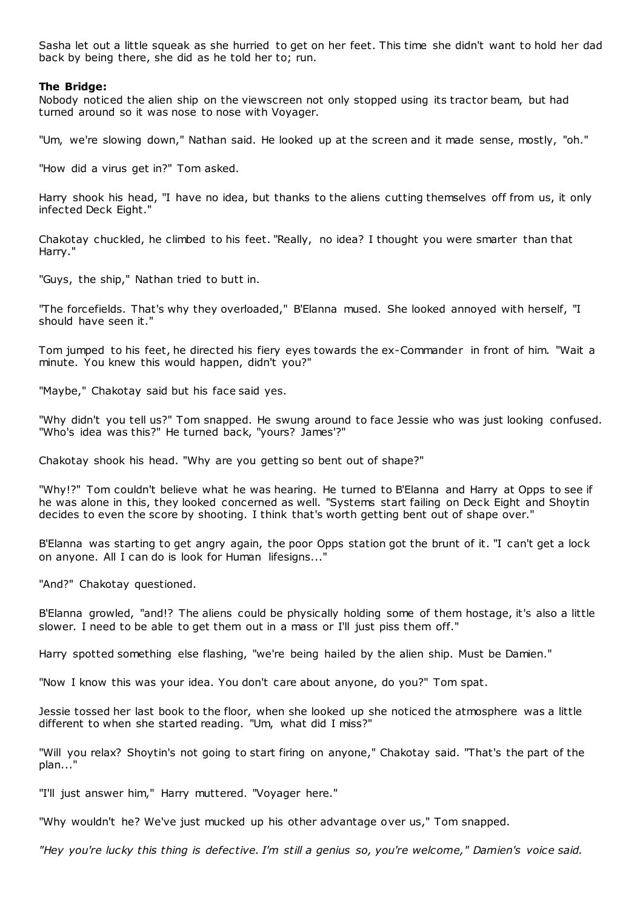Sasha let out a little squeak as she hurried to get on her feet. This time she didn't want to hold her dad back by being there, she did as he told her to; run.

# **The Bridge:**

Nobody noticed the alien ship on the viewscreen not only stopped using its tractor beam, but had turned around so it was nose to nose with Voyager.

"Um, we're slowing down," Nathan said. He looked up at the screen and it made sense, mostly, "oh."

"How did a virus get in?" Tom asked.

Harry shook his head, "I have no idea, but thanks to the aliens cutting themselves off from us, it only infected Deck Eight."

Chakotay chuckled, he climbed to his feet. "Really, no idea? I thought you were smarter than that Harry."

"Guys, the ship," Nathan tried to butt in.

"The forcefields. That's why they overloaded," B'Elanna mused. She looked annoyed with herself, "I should have seen it."

Tom jumped to his feet, he directed his fiery eyes towards the ex-Commander in front of him. "Wait a minute. You knew this would happen, didn't you?"

"Maybe," Chakotay said but his face said yes.

"Why didn't you tell us?" Tom snapped. He swung around to face Jessie who was just looking confused. "Who's idea was this?" He turned back, "yours? James'?"

Chakotay shook his head. "Why are you getting so bent out of shape?"

"Why!?" Tom couldn't believe what he was hearing. He turned to B'Elanna and Harry at Opps to see if he was alone in this, they looked concerned as well. "Systems start failing on Deck Eight and Shoytin decides to even the score by shooting. I think that's worth getting bent out of shape over."

B'Elanna was starting to get angry again, the poor Opps station got the brunt of it. "I can't get a lock on anyone. All I can do is look for Human lifesigns..."

"And?" Chakotay questioned.

B'Elanna growled, "and!? The aliens could be physically holding some of them hostage, it's also a little slower. I need to be able to get them out in a mass or I'll just piss them off."

Harry spotted something else flashing, "we're being hailed by the alien ship. Must be Damien."

"Now I know this was your idea. You don't care about anyone, do you?" Tom spat.

Jessie tossed her last book to the floor, when she looked up she noticed the atmosphere was a little different to when she started reading. "Um, what did I miss?"

"Will you relax? Shoytin's not going to start firing on anyone," Chakotay said. "That's the part of the plan..."

"I'll just answer him," Harry muttered. "Voyager here."

"Why wouldn't he? We've just mucked up his other advantage over us," Tom snapped.

*"Hey you're lucky this thing is defective. I'm still a genius so, you're welcome," Damien's voice said.*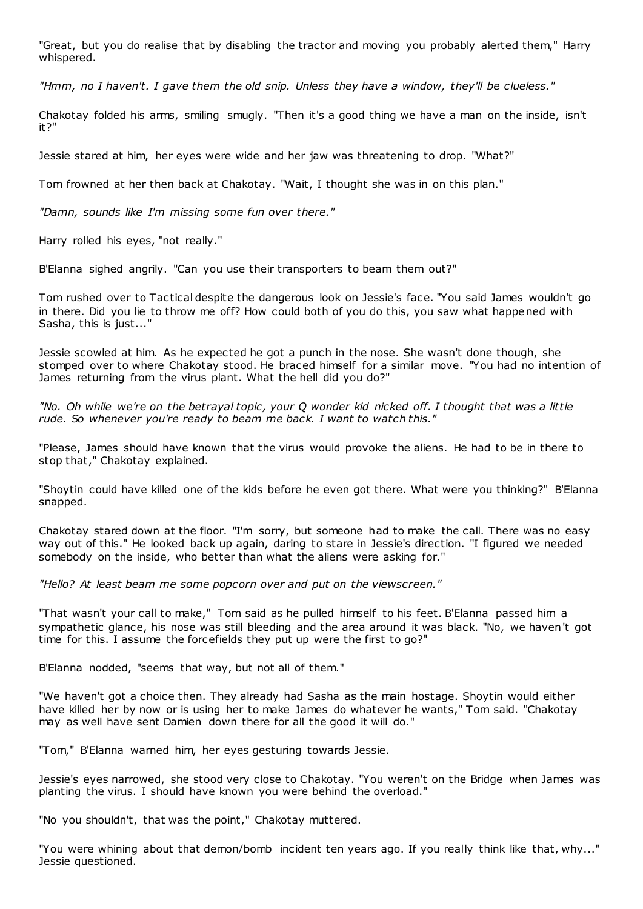"Great, but you do realise that by disabling the tractor and moving you probably alerted them," Harry whispered.

*"Hmm, no I haven't. I gave them the old snip. Unless they have a window, they'll be clueless."*

Chakotay folded his arms, smiling smugly. "Then it's a good thing we have a man on the inside, isn't it?"

Jessie stared at him, her eyes were wide and her jaw was threatening to drop. "What?"

Tom frowned at her then back at Chakotay. "Wait, I thought she was in on this plan."

*"Damn, sounds like I'm missing some fun over there."*

Harry rolled his eyes, "not really."

B'Elanna sighed angrily. "Can you use their transporters to beam them out?"

Tom rushed over to Tactical despite the dangerous look on Jessie's face. "You said James wouldn't go in there. Did you lie to throw me off? How could both of you do this, you saw what happened with Sasha, this is just..."

Jessie scowled at him. As he expected he got a punch in the nose. She wasn't done though, she stomped over to where Chakotay stood. He braced himself for a similar move. "You had no intention of James returning from the virus plant. What the hell did you do?"

*"No. Oh while we're on the betrayal topic , your Q wonder kid nicked off. I thought that was a little rude. So whenever you're ready to beam me back. I want to watch this."*

"Please, James should have known that the virus would provoke the aliens. He had to be in there to stop that," Chakotay explained.

"Shoytin could have killed one of the kids before he even got there. What were you thinking?" B'Elanna snapped.

Chakotay stared down at the floor. "I'm sorry, but someone had to make the call. There was no easy way out of this." He looked back up again, daring to stare in Jessie's direction. "I figured we needed somebody on the inside, who better than what the aliens were asking for."

*"Hello? At least beam me some popcorn over and put on the viewscreen."*

"That wasn't your call to make," Tom said as he pulled himself to his feet. B'Elanna passed him a sympathetic glance, his nose was still bleeding and the area around it was black. "No, we haven't got time for this. I assume the forcefields they put up were the first to go?"

B'Elanna nodded, "seems that way, but not all of them."

"We haven't got a choice then. They already had Sasha as the main hostage. Shoytin would either have killed her by now or is using her to make James do whatever he wants," Tom said. "Chakotay may as well have sent Damien down there for all the good it will do."

"Tom," B'Elanna warned him, her eyes gesturing towards Jessie.

Jessie's eyes narrowed, she stood very close to Chakotay. "You weren't on the Bridge when James was planting the virus. I should have known you were behind the overload."

"No you shouldn't, that was the point," Chakotay muttered.

"You were whining about that demon/bomb incident ten years ago. If you really think like that, why..." Jessie questioned.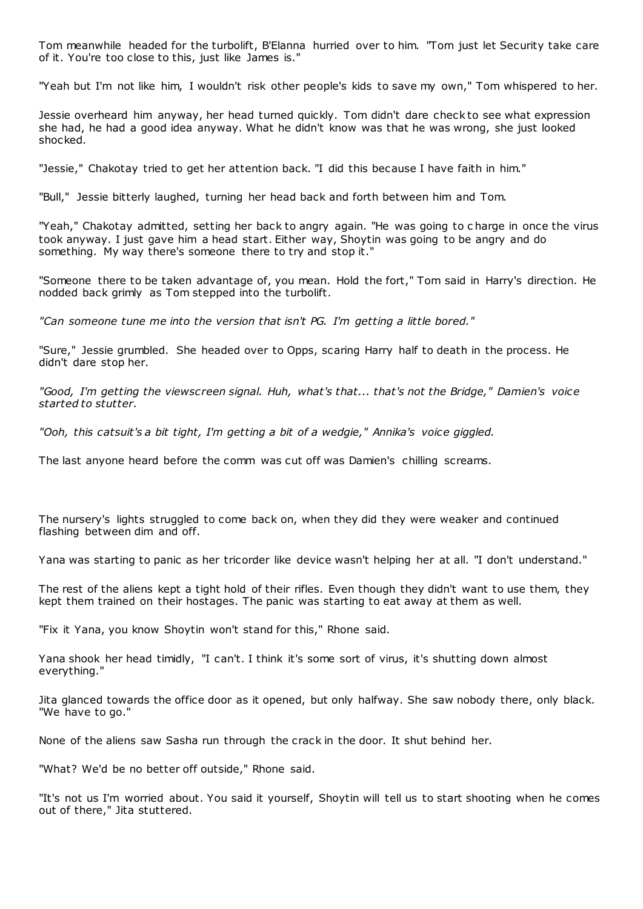Tom meanwhile headed for the turbolift, B'Elanna hurried over to him. "Tom just let Security take care of it. You're too close to this, just like James is."

"Yeah but I'm not like him, I wouldn't risk other people's kids to save my own," Tom whispered to her.

Jessie overheard him anyway, her head turned quickly. Tom didn't dare check to see what expression she had, he had a good idea anyway. What he didn't know was that he was wrong, she just looked shocked.

"Jessie," Chakotay tried to get her attention back. "I did this because I have faith in him."

"Bull," Jessie bitterly laughed, turning her head back and forth between him and Tom.

"Yeah," Chakotay admitted, setting her back to angry again. "He was going to c harge in once the virus took anyway. I just gave him a head start. Either way, Shoytin was going to be angry and do something. My way there's someone there to try and stop it."

"Someone there to be taken advantage of, you mean. Hold the fort," Tom said in Harry's direction. He nodded back grimly as Tom stepped into the turbolift.

*"Can someone tune me into the version that isn't PG. I'm getting a little bored."*

"Sure," Jessie grumbled. She headed over to Opps, scaring Harry half to death in the process. He didn't dare stop her.

*"Good, I'm getting the viewscreen signal. Huh, what's that... that's not the Bridge," Damien's voice started to stutter.*

*"Ooh, this catsuit's a bit tight, I'm getting a bit of a wedgie," Annika's voice giggled.*

The last anyone heard before the comm was cut off was Damien's chilling screams.

The nursery's lights struggled to come back on, when they did they were weaker and continued flashing between dim and off.

Yana was starting to panic as her tricorder like device wasn't helping her at all. "I don't understand."

The rest of the aliens kept a tight hold of their rifles. Even though they didn't want to use them, they kept them trained on their hostages. The panic was starting to eat away at them as well.

"Fix it Yana, you know Shoytin won't stand for this," Rhone said.

Yana shook her head timidly, "I can't. I think it's some sort of virus, it's shutting down almost everything."

Jita glanced towards the office door as it opened, but only halfway. She saw nobody there, only black. "We have to go."

None of the aliens saw Sasha run through the crack in the door. It shut behind her.

"What? We'd be no better off outside," Rhone said.

"It's not us I'm worried about. You said it yourself, Shoytin will tell us to start shooting when he comes out of there," Jita stuttered.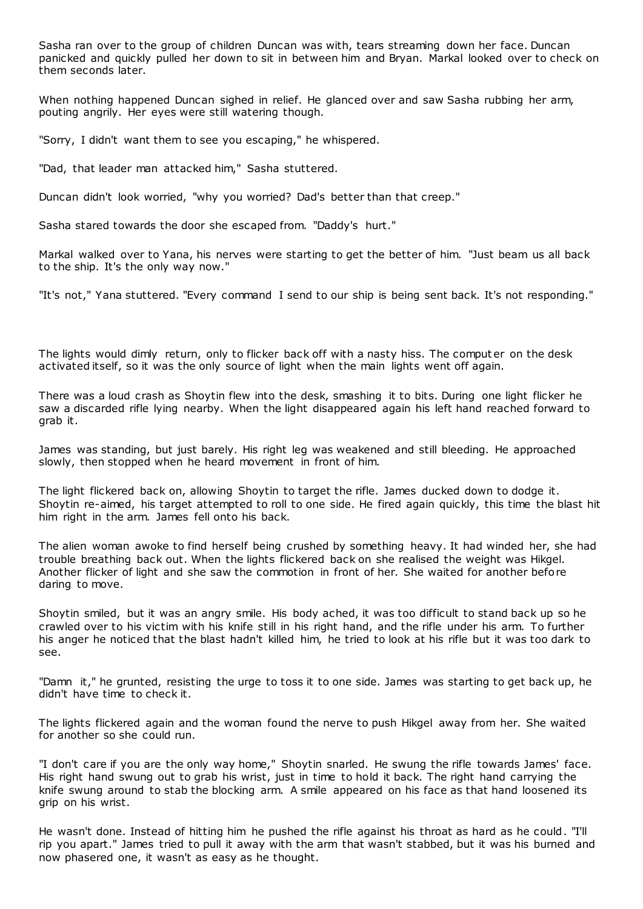Sasha ran over to the group of children Duncan was with, tears streaming down her face. Duncan panicked and quickly pulled her down to sit in between him and Bryan. Markal looked over to check on them seconds later.

When nothing happened Duncan sighed in relief. He glanced over and saw Sasha rubbing her arm, pouting angrily. Her eyes were still watering though.

"Sorry, I didn't want them to see you escaping," he whispered.

"Dad, that leader man attacked him," Sasha stuttered.

Duncan didn't look worried, "why you worried? Dad's better than that creep."

Sasha stared towards the door she escaped from. "Daddy's hurt."

Markal walked over to Yana, his nerves were starting to get the better of him. "Just beam us all back to the ship. It's the only way now."

"It's not," Yana stuttered. "Every command I send to our ship is being sent back. It's not responding."

The lights would dimly return, only to flicker back off with a nasty hiss. The comput er on the desk activated itself, so it was the only source of light when the main lights went off again.

There was a loud crash as Shoytin flew into the desk, smashing it to bits. During one light flicker he saw a discarded rifle lying nearby. When the light disappeared again his left hand reached forward to grab it.

James was standing, but just barely. His right leg was weakened and still bleeding. He approached slowly, then stopped when he heard movement in front of him.

The light flickered back on, allowing Shoytin to target the rifle. James ducked down to dodge it. Shoytin re-aimed, his target attempted to roll to one side. He fired again quickly, this time the blast hit him right in the arm. James fell onto his back.

The alien woman awoke to find herself being crushed by something heavy. It had winded her, she had trouble breathing back out. When the lights flickered back on she realised the weight was Hikgel. Another flicker of light and she saw the commotion in front of her. She waited for another before daring to move.

Shoytin smiled, but it was an angry smile. His body ached, it was too difficult to stand back up so he crawled over to his victim with his knife still in his right hand, and the rifle under his arm. To further his anger he noticed that the blast hadn't killed him, he tried to look at his rifle but it was too dark to see.

"Damn it," he grunted, resisting the urge to toss it to one side. James was starting to get back up, he didn't have time to check it.

The lights flickered again and the woman found the nerve to push Hikgel away from her. She waited for another so she could run.

"I don't care if you are the only way home," Shoytin snarled. He swung the rifle towards James' face. His right hand swung out to grab his wrist, just in time to hold it back. The right hand carrying the knife swung around to stab the blocking arm. A smile appeared on his face as that hand loosened its grip on his wrist.

He wasn't done. Instead of hitting him he pushed the rifle against his throat as hard as he could. "I'll rip you apart." James tried to pull it away with the arm that wasn't stabbed, but it was his burned and now phasered one, it wasn't as easy as he thought.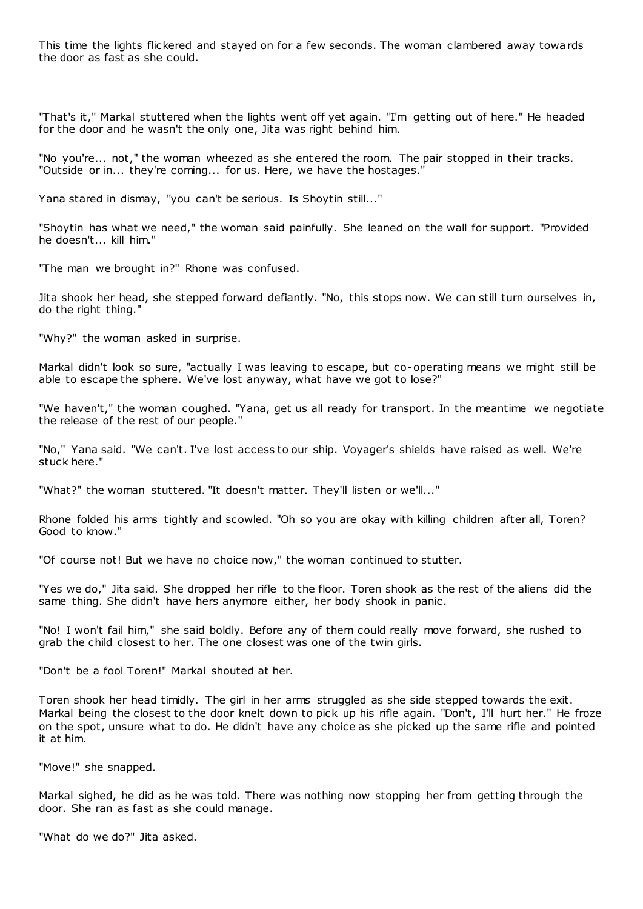This time the lights flickered and stayed on for a few seconds. The woman clambered away towards the door as fast as she could.

"That's it," Markal stuttered when the lights went off yet again. "I'm getting out of here." He headed for the door and he wasn't the only one, Jita was right behind him.

"No you're... not," the woman wheezed as she entered the room. The pair stopped in their tracks. "Outside or in... they're coming... for us. Here, we have the hostages."

Yana stared in dismay, "you can't be serious. Is Shoytin still..."

"Shoytin has what we need," the woman said painfully. She leaned on the wall for support. "Provided he doesn't... kill him."

"The man we brought in?" Rhone was confused.

Jita shook her head, she stepped forward defiantly. "No, this stops now. We can still turn ourselves in, do the right thing."

"Why?" the woman asked in surprise.

Markal didn't look so sure, "actually I was leaving to escape, but co-operating means we might still be able to escape the sphere. We've lost anyway, what have we got to lose?"

"We haven't," the woman coughed. "Yana, get us all ready for transport. In the meantime we negotiate the release of the rest of our people."

"No," Yana said. "We can't. I've lost access to our ship. Voyager's shields have raised as well. We're stuck here."

"What?" the woman stuttered. "It doesn't matter. They'll listen or we'll..."

Rhone folded his arms tightly and scowled. "Oh so you are okay with killing children after all, Toren? Good to know."

"Of course not! But we have no choice now," the woman continued to stutter.

"Yes we do," Jita said. She dropped her rifle to the floor. Toren shook as the rest of the aliens did the same thing. She didn't have hers anymore either, her body shook in panic .

"No! I won't fail him," she said boldly. Before any of them could really move forward, she rushed to grab the child closest to her. The one closest was one of the twin girls.

"Don't be a fool Toren!" Markal shouted at her.

Toren shook her head timidly. The girl in her arms struggled as she side stepped towards the exit. Markal being the closest to the door knelt down to pick up his rifle again. "Don't, I'll hurt her." He froze on the spot, unsure what to do. He didn't have any choice as she picked up the same rifle and pointed it at him.

"Move!" she snapped.

Markal sighed, he did as he was told. There was nothing now stopping her from getting through the door. She ran as fast as she could manage.

"What do we do?" Jita asked.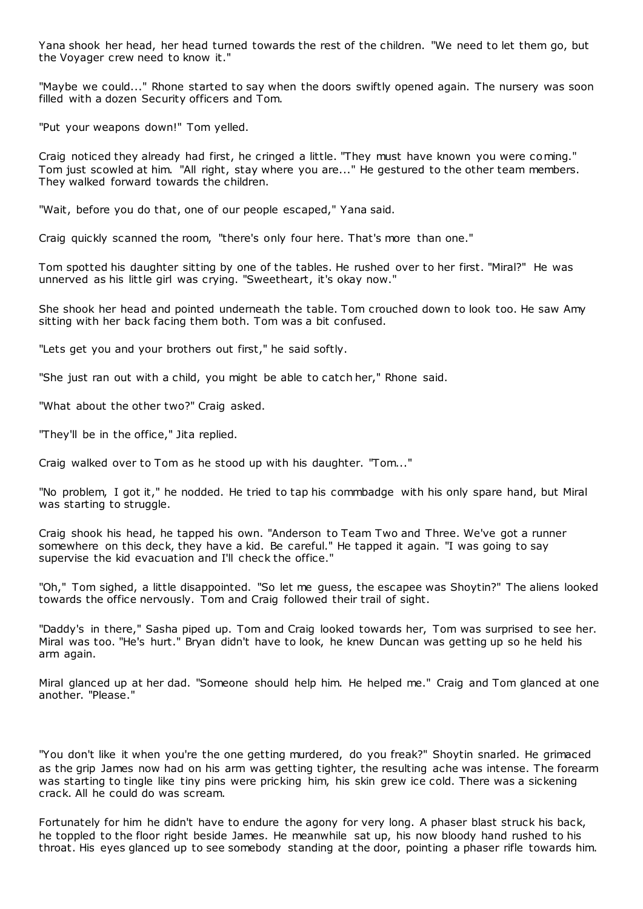Yana shook her head, her head turned towards the rest of the children. "We need to let them go, but the Voyager crew need to know it."

"Maybe we could..." Rhone started to say when the doors swiftly opened again. The nursery was soon filled with a dozen Security officers and Tom.

"Put your weapons down!" Tom yelled.

Craig noticed they already had first, he cringed a little. "They must have known you were coming." Tom just scowled at him. "All right, stay where you are..." He gestured to the other team members. They walked forward towards the children.

"Wait, before you do that, one of our people escaped," Yana said.

Craig quickly scanned the room, "there's only four here. That's more than one."

Tom spotted his daughter sitting by one of the tables. He rushed over to her first. "Miral?" He was unnerved as his little girl was crying. "Sweetheart, it's okay now."

She shook her head and pointed underneath the table. Tom crouched down to look too. He saw Amy sitting with her back facing them both. Tom was a bit confused.

"Lets get you and your brothers out first," he said softly.

"She just ran out with a child, you might be able to catch her," Rhone said.

"What about the other two?" Craig asked.

"They'll be in the office," Jita replied.

Craig walked over to Tom as he stood up with his daughter. "Tom..."

"No problem, I got it," he nodded. He tried to tap his commbadge with his only spare hand, but Miral was starting to struggle.

Craig shook his head, he tapped his own. "Anderson to Team Two and Three. We've got a runner somewhere on this deck, they have a kid. Be careful." He tapped it again. "I was going to say supervise the kid evacuation and I'll check the office."

"Oh," Tom sighed, a little disappointed. "So let me guess, the escapee was Shoytin?" The aliens looked towards the office nervously. Tom and Craig followed their trail of sight.

"Daddy's in there," Sasha piped up. Tom and Craig looked towards her, Tom was surprised to see her. Miral was too. "He's hurt." Bryan didn't have to look, he knew Duncan was getting up so he held his arm again.

Miral glanced up at her dad. "Someone should help him. He helped me." Craig and Tom glanced at one another. "Please."

"You don't like it when you're the one getting murdered, do you freak?" Shoytin snarled. He grimaced as the grip James now had on his arm was getting tighter, the resulting ache was intense. The forearm was starting to tingle like tiny pins were pricking him, his skin grew ice cold. There was a sickening crack. All he could do was scream.

Fortunately for him he didn't have to endure the agony for very long. A phaser blast struck his back, he toppled to the floor right beside James. He meanwhile sat up, his now bloody hand rushed to his throat. His eyes glanced up to see somebody standing at the door, pointing a phaser rifle towards him.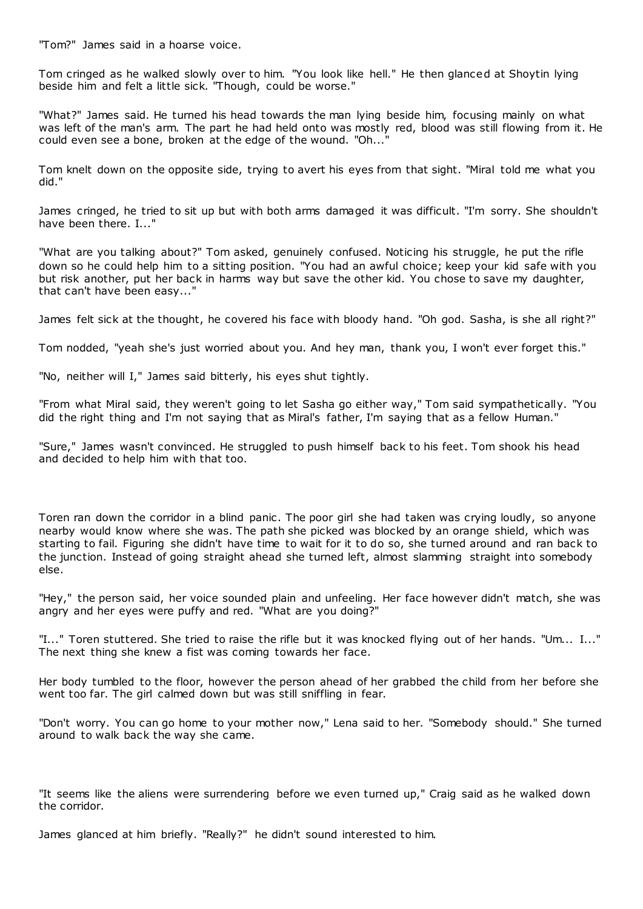"Tom?" James said in a hoarse voice.

Tom cringed as he walked slowly over to him. "You look like hell." He then glanced at Shoytin lying beside him and felt a little sick. "Though, could be worse."

"What?" James said. He turned his head towards the man lying beside him, focusing mainly on what was left of the man's arm. The part he had held onto was mostly red, blood was still flowing from it. He could even see a bone, broken at the edge of the wound. "Oh..."

Tom knelt down on the opposite side, trying to avert his eyes from that sight. "Miral told me what you did."

James cringed, he tried to sit up but with both arms damaged it was difficult. "I'm sorry. She shouldn't have been there. I..."

"What are you talking about?" Tom asked, genuinely confused. Noticing his struggle, he put the rifle down so he could help him to a sitting position. "You had an awful choice; keep your kid safe with you but risk another, put her back in harms way but save the other kid. You chose to save my daughter, that can't have been easy..."

James felt sick at the thought, he covered his face with bloody hand. "Oh god. Sasha, is she all right?"

Tom nodded, "yeah she's just worried about you. And hey man, thank you, I won't ever forget this."

"No, neither will I," James said bitterly, his eyes shut tightly.

"From what Miral said, they weren't going to let Sasha go either way," Tom said sympathetically. "You did the right thing and I'm not saying that as Miral's father, I'm saying that as a fellow Human."

"Sure," James wasn't convinced. He struggled to push himself back to his feet. Tom shook his head and decided to help him with that too.

Toren ran down the corridor in a blind panic . The poor girl she had taken was crying loudly, so anyone nearby would know where she was. The path she picked was blocked by an orange shield, which was starting to fail. Figuring she didn't have time to wait for it to do so, she turned around and ran back to the junction. Instead of going straight ahead she turned left, almost slamming straight into somebody else.

"Hey," the person said, her voice sounded plain and unfeeling. Her face however didn't match, she was angry and her eyes were puffy and red. "What are you doing?"

"I..." Toren stuttered. She tried to raise the rifle but it was knocked flying out of her hands. "Um... I..." The next thing she knew a fist was coming towards her face.

Her body tumbled to the floor, however the person ahead of her grabbed the child from her before she went too far. The girl calmed down but was still sniffling in fear.

"Don't worry. You can go home to your mother now," Lena said to her. "Somebody should." She turned around to walk back the way she came.

"It seems like the aliens were surrendering before we even turned up," Craig said as he walked down the corridor.

James glanced at him briefly. "Really?" he didn't sound interested to him.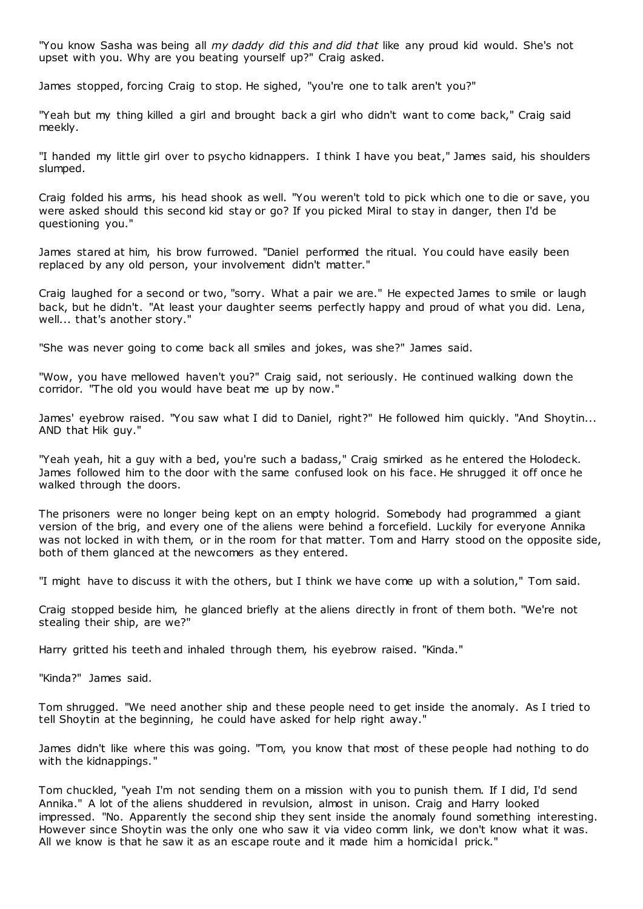"You know Sasha was being all *my daddy did this and did that* like any proud kid would. She's not upset with you. Why are you beating yourself up?" Craig asked.

James stopped, forcing Craig to stop. He sighed, "you're one to talk aren't you?"

"Yeah but my thing killed a girl and brought back a girl who didn't want to come back," Craig said meekly.

"I handed my little girl over to psycho kidnappers. I think I have you beat," James said, his shoulders slumped.

Craig folded his arms, his head shook as well. "You weren't told to pick which one to die or save, you were asked should this second kid stay or go? If you picked Miral to stay in danger, then I'd be questioning you."

James stared at him, his brow furrowed. "Daniel performed the ritual. You could have easily been replaced by any old person, your involvement didn't matter."

Craig laughed for a second or two, "sorry. What a pair we are." He expected James to smile or laugh back, but he didn't. "At least your daughter seems perfectly happy and proud of what you did. Lena, well... that's another story."

"She was never going to come back all smiles and jokes, was she?" James said.

"Wow, you have mellowed haven't you?" Craig said, not seriously. He continued walking down the corridor. "The old you would have beat me up by now."

James' eyebrow raised. "You saw what I did to Daniel, right?" He followed him quickly. "And Shoytin... AND that Hik guy."

"Yeah yeah, hit a guy with a bed, you're such a badass," Craig smirked as he entered the Holodeck. James followed him to the door with the same confused look on his face. He shrugged it off once he walked through the doors.

The prisoners were no longer being kept on an empty hologrid. Somebody had programmed a giant version of the brig, and every one of the aliens were behind a forcefield. Luckily for everyone Annika was not locked in with them, or in the room for that matter. Tom and Harry stood on the opposite side, both of them glanced at the newcomers as they entered.

"I might have to discuss it with the others, but I think we have come up with a solution," Tom said.

Craig stopped beside him, he glanced briefly at the aliens directly in front of them both. "We're not stealing their ship, are we?"

Harry gritted his teeth and inhaled through them, his eyebrow raised. "Kinda."

"Kinda?" James said.

Tom shrugged. "We need another ship and these people need to get inside the anomaly. As I tried to tell Shoytin at the beginning, he could have asked for help right away."

James didn't like where this was going. "Tom, you know that most of these people had nothing to do with the kidnappings."

Tom chuckled, "yeah I'm not sending them on a mission with you to punish them. If I did, I'd send Annika." A lot of the aliens shuddered in revulsion, almost in unison. Craig and Harry looked impressed. "No. Apparently the second ship they sent inside the anomaly found something interesting. However since Shoytin was the only one who saw it via video comm link, we don't know what it was. All we know is that he saw it as an escape route and it made him a homicidal prick."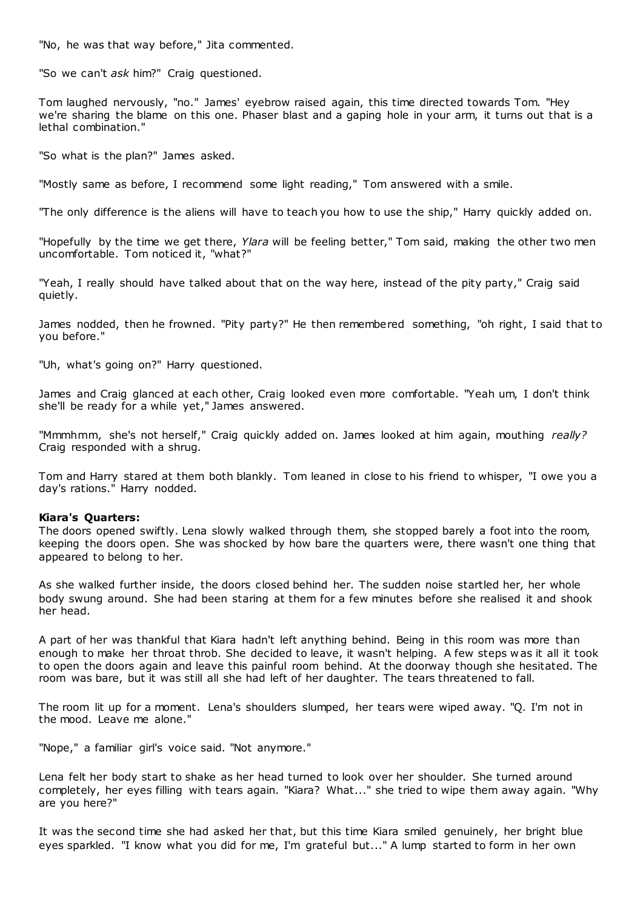"No, he was that way before," Jita commented.

"So we can't *ask* him?" Craig questioned.

Tom laughed nervously, "no." James' eyebrow raised again, this time directed towards Tom. "Hey we're sharing the blame on this one. Phaser blast and a gaping hole in your arm, it turns out that is a lethal combination."

"So what is the plan?" James asked.

"Mostly same as before, I recommend some light reading," Tom answered with a smile.

"The only difference is the aliens will have to teach you how to use the ship," Harry quickly added on.

"Hopefully by the time we get there, *Ylara* will be feeling better," Tom said, making the other two men uncomfortable. Tom noticed it, "what?"

"Yeah, I really should have talked about that on the way here, instead of the pity party," Craig said quietly.

James nodded, then he frowned. "Pity party?" He then remembered something, "oh right, I said that to you before."

"Uh, what's going on?" Harry questioned.

James and Craig glanced at each other, Craig looked even more comfortable. "Yeah um, I don't think she'll be ready for a while yet," James answered.

"Mmmhmm, she's not herself," Craig quickly added on. James looked at him again, mouthing *really?*  Craig responded with a shrug.

Tom and Harry stared at them both blankly. Tom leaned in close to his friend to whisper, "I owe you a day's rations." Harry nodded.

## **Kiara's Quarters:**

The doors opened swiftly. Lena slowly walked through them, she stopped barely a foot into the room, keeping the doors open. She was shocked by how bare the quarters were, there wasn't one thing that appeared to belong to her.

As she walked further inside, the doors closed behind her. The sudden noise startled her, her whole body swung around. She had been staring at them for a few minutes before she realised it and shook her head.

A part of her was thankful that Kiara hadn't left anything behind. Being in this room was more than enough to make her throat throb. She decided to leave, it wasn't helping. A few steps w as it all it took to open the doors again and leave this painful room behind. At the doorway though she hesitated. The room was bare, but it was still all she had left of her daughter. The tears threatened to fall.

The room lit up for a moment. Lena's shoulders slumped, her tears were wiped away. "Q. I'm not in the mood. Leave me alone."

"Nope," a familiar girl's voice said. "Not anymore."

Lena felt her body start to shake as her head turned to look over her shoulder. She turned around completely, her eyes filling with tears again. "Kiara? What..." she tried to wipe them away again. "Why are you here?"

It was the second time she had asked her that, but this time Kiara smiled genuinely, her bright blue eyes sparkled. "I know what you did for me, I'm grateful but..." A lump started to form in her own